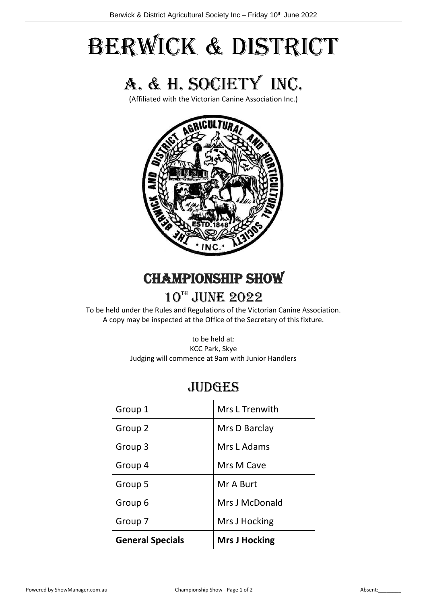# Berwick & District



(Affiliated with the Victorian Canine Association Inc.)



# **CHAMPIONSHIP SHOW**

# 10TH JUNE 2022

To be held under the Rules and Regulations of the Victorian Canine Association. A copy may be inspected at the Office of the Secretary of this fixture.

> to be held at: KCC Park, Skye Judging will commence at 9am with Junior Handlers

# **JUDGES**

| Group 1                 | Mrs L Trenwith       |
|-------------------------|----------------------|
| Group 2                 | Mrs D Barclay        |
| Group 3                 | Mrs L Adams          |
| Group 4                 | Mrs M Cave           |
| Group 5                 | Mr A Burt            |
| Group 6                 | Mrs J McDonald       |
| Group 7                 | Mrs J Hocking        |
| <b>General Specials</b> | <b>Mrs J Hocking</b> |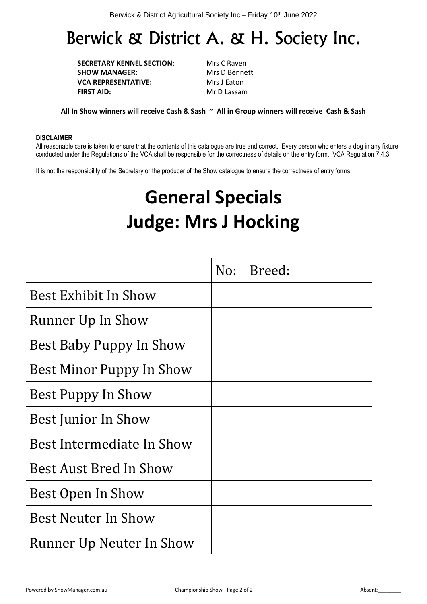# Berwick & District A. & H. Society Inc.

**SECRETARY KENNEL SECTION:** Mrs C Raven **SHOW MANAGER:** Mrs D Bennett **VCA REPRESENTATIVE:** Mrs J Eaton **FIRST AID:** Mr D Lassam

**All In Show winners will receive Cash & Sash ~ All in Group winners will receive Cash & Sash**

## **DISCLAIMER**

All reasonable care is taken to ensure that the contents of this catalogue are true and correct. Every person who enters a dog in any fixture conducted under the Regulations of the VCA shall be responsible for the correctness of details on the entry form. VCA Regulation 7.4.3.

It is not the responsibility of the Secretary or the producer of the Show catalogue to ensure the correctness of entry forms.

# **General Specials Judge: Mrs J Hocking**

|                                 | No: | Breed: |
|---------------------------------|-----|--------|
| Best Exhibit In Show            |     |        |
| Runner Up In Show               |     |        |
| <b>Best Baby Puppy In Show</b>  |     |        |
| Best Minor Puppy In Show        |     |        |
| <b>Best Puppy In Show</b>       |     |        |
| <b>Best Junior In Show</b>      |     |        |
| Best Intermediate In Show       |     |        |
| Best Aust Bred In Show          |     |        |
| <b>Best Open In Show</b>        |     |        |
| Best Neuter In Show             |     |        |
| <b>Runner Up Neuter In Show</b> |     |        |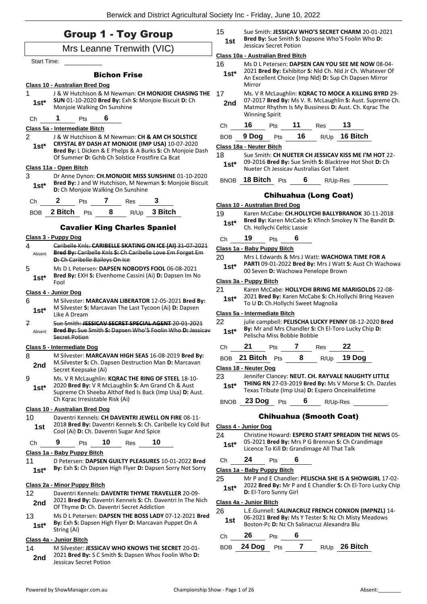|                          | <b>Group 1 - Toy Group</b>                                                                                                                | 15<br>1st                                                                                               | Sue Smith: JESSICAV WHO'S SECRET CHARM 20-01-2021<br>Bred By: Sue Smith S: Dapsone Who'S Foolin Who D:                                                                                             |  |  |
|--------------------------|-------------------------------------------------------------------------------------------------------------------------------------------|---------------------------------------------------------------------------------------------------------|----------------------------------------------------------------------------------------------------------------------------------------------------------------------------------------------------|--|--|
|                          | Mrs Leanne Trenwith (VIC)                                                                                                                 | Jessicav Secret Potion                                                                                  |                                                                                                                                                                                                    |  |  |
| <b>Start Time:</b>       |                                                                                                                                           | 16                                                                                                      | Class 10a - Australian Bred Bitch<br>Ms D L Petersen: DAPSEN CAN YOU SEE ME NOW 08-04-                                                                                                             |  |  |
|                          | <b>Bichon Frise</b><br>Class 10 - Australian Bred Dog                                                                                     | $1st*$                                                                                                  | 2021 Bred By: Exhibitor S: Nld Ch. Nld Jr Ch. Whatever Of<br>An Excellent Choice (Imp Nld) D: Sup Ch Dapsen Mirror<br>Mirror                                                                       |  |  |
| 1<br>$1st*$              | J & W Hutchison & M Newman: CH MONJOIE CHASING THE<br>SUN 01-10-2020 Bred By: Exh S: Monjoie Biscuit D: Ch<br>Monjoie Walking On Sunshine | 17<br>2nd                                                                                               | Ms. V R McLaughlin: KQRAC TO MOCK A KILLING BYRD 29-<br>07-2017 Bred By: Ms V. R. McLaughlin S: Aust. Supreme Ch.<br>Matmor Rhythm Is My Bussiness D: Aust. Ch. Kqrac The<br><b>Winning Spirit</b> |  |  |
| Ch                       | 6<br>1<br>Pts                                                                                                                             | Ch                                                                                                      | 16<br>11<br>13<br>Pts<br>Res                                                                                                                                                                       |  |  |
| $\overline{2}$           | Class 5a - Intermediate Bitch<br>J & W Hutchison & M Newman: CH & AM CH SOLSTICE                                                          | <b>BOB</b>                                                                                              | 16<br>R/Up 16 Bitch<br>9 Dog<br>Pts                                                                                                                                                                |  |  |
| $1st^*$                  | CRYSTAL BY DASH AT MONJOIE (IMP USA) 10-07-2020                                                                                           |                                                                                                         | Class 18a - Neuter Bitch                                                                                                                                                                           |  |  |
|                          | Bred By: L Dicken & E Phelps & A Burks S: Ch Monjoie Dash<br>Of Summer D: Gchb Ch Solstice Frostfire Ca Bcat                              | 18                                                                                                      | Sue Smith: CH NUETER CH JESSICAV KISS ME I'M HOT 22-                                                                                                                                               |  |  |
|                          | Class 11a - Open Bitch                                                                                                                    | $1st*$                                                                                                  | 09-2016 Bred By: Sue Smith S: Blacktree Hot Shot D: Ch<br>Nueter Ch Jessicav Australias Got Talent                                                                                                 |  |  |
| 3                        | Dr Anne Dynon: CH.MONJOIE MISS SUNSHINE 01-10-2020                                                                                        |                                                                                                         |                                                                                                                                                                                                    |  |  |
| $1st*$                   | Bred By: J and W Hutchison, M Newman S: Monjoie Biscuit<br>D: Ch Monjoie Walking On Sunshine                                              |                                                                                                         | BNOB 18 Bitch Pts<br>6<br>R/Up-Res                                                                                                                                                                 |  |  |
| Ch                       | Pts 7 Res<br>$\mathbf{z}$                                                                                                                 |                                                                                                         | <b>Chihuahua (Long Coat)</b>                                                                                                                                                                       |  |  |
|                          | BOB 2 Bitch Pts 8<br>R/Up 3 Bitch                                                                                                         |                                                                                                         | Class 10 - Australian Bred Dog                                                                                                                                                                     |  |  |
|                          | <b>Cavalier King Charles Spaniel</b>                                                                                                      | 19<br>$1st*$                                                                                            | Karen McCabe: CH.HOLLYCHI BALLYBRANOK 30-11-2018<br>Bred By: Karen McCabe S: Kfinch Smokey N The Bandit D:<br>Ch. Hollychi Celtic Lassie                                                           |  |  |
|                          | Class 3 - Puppy Dog                                                                                                                       | Ch                                                                                                      | 19<br>6<br>Pts                                                                                                                                                                                     |  |  |
| 4                        | Caribelle Knls: CARIBELLE SKATING ON ICE (AI) 31 07 2021                                                                                  |                                                                                                         | Class 1a - Baby Puppy Bitch                                                                                                                                                                        |  |  |
| Absent                   | Bred By: Caribelle Knls S: Ch Caribelle Love Em Forget Em<br>D: Ch Caribelle Baileys On Ice                                               | 20                                                                                                      | Mrs L Edwards & Mrs J Watt: WACHOWA TIME FOR A                                                                                                                                                     |  |  |
| 5                        | Ms D L Petersen: DAPSEN NOBODYS FOOL 06-08-2021                                                                                           | PARTI 09-01-2022 Bred By: Mrs J Watt S: Aust Ch Wachowa<br>$1st*$<br>00 Seven D: Wachowa Penelope Brown |                                                                                                                                                                                                    |  |  |
| $1st*$                   | Bred By: EXH S: Elvenhome Cassini (Ai) D: Dapsen Im No<br>Fool                                                                            |                                                                                                         | Class 3a - Puppy Bitch                                                                                                                                                                             |  |  |
|                          | Class 4 - Junior Dog                                                                                                                      | 21                                                                                                      | Karen McCabe: HOLLYCHI BRING ME MARIGOLDS 22-08-                                                                                                                                                   |  |  |
| 6<br>$1st^*$             | M Silvester: MARCAVAN LIBERATOR 12-05-2021 Bred By:<br>M Silvester S: Marcavan The Last Tycoon (Ai) D: Dapsen                             | $1st*$                                                                                                  | 2021 Bred By: Karen McCabe S: Ch.Hollychi Bring Heaven<br>To U D: Ch. Hollychi Sweet Magnolia                                                                                                      |  |  |
|                          | Like A Dream                                                                                                                              |                                                                                                         | Class 5a - Intermediate Bitch                                                                                                                                                                      |  |  |
| $\overline{f}$<br>Absent | Sue Smith: JESSICAV SECRET SPECIAL AGENT 20 01 2021<br>Bred By: Sue Smith S: Dapsen Who'S Foolin Who D: Jessicay<br><b>Secret Potion</b>  | 22<br>$1st^*$                                                                                           | julie campbell: PELISCHA LUCKY PENNY 08-12-2020 Bred<br>By: Mr and Mrs Chandler S: Ch El-Toro Lucky Chip D:<br>Pelischa Miss Bobbie Bobbie                                                         |  |  |
|                          | Class 5 - Intermediate Dog                                                                                                                | Ch                                                                                                      | 22<br>21<br>7<br>Pts<br>Res                                                                                                                                                                        |  |  |
| 8                        | M Silvester: MARCAVAN HIGH SEAS 16-08-2019 Bred By:                                                                                       |                                                                                                         | BOB 21 Bitch Pts<br>8<br>19 Dog<br>R/Up                                                                                                                                                            |  |  |
| 2nd                      | M. Silvester S: Ch. Dapsen Destruction Man D: Marcavan<br>Secret Keepsake (Ai)                                                            |                                                                                                         | Class 18 - Neuter Dog                                                                                                                                                                              |  |  |
| 9                        | Ms. V R McLaughlin: KQRAC THE RING OF STEEL 18-10-                                                                                        | 23                                                                                                      | Jennifer Clancey: NEUT. CH. RAYVALE NAUGHTY LITTLE                                                                                                                                                 |  |  |
| $1st*$                   | 2020 Bred By: V R McLaughlin S: Am Grand Ch & Aust<br>Supreme Ch Sheeba Althof Red Is Back (Imp Usa) D: Aust.                             | $1st^*$                                                                                                 | THING RN 27-03-2019 Bred By: Ms V Morse S: Ch. Dazzles<br>Texas Tribute (Imp Usa) D: Espero Onceinalifetime                                                                                        |  |  |
|                          | Ch Kgrac Irresistable Risk (Ai)                                                                                                           | <b>BNOB</b>                                                                                             | 23 Dog<br>6<br><b>Pts</b><br>R/Up-Res                                                                                                                                                              |  |  |
|                          | Class 10 - Australian Bred Dog                                                                                                            |                                                                                                         |                                                                                                                                                                                                    |  |  |
| 10 <sup>1</sup>          | Daventri Kennels: CH DAVENTRI JEWELL ON FIRE 08-11-<br>2018 Bred By: Daventri Kennels S: Ch. Caribelle Icy Cold But                       |                                                                                                         | <b>Chihuahua (Smooth Coat)</b>                                                                                                                                                                     |  |  |
| 1st                      | Cool (Ai) D: Ch. Daventri Sugar And Spice                                                                                                 | 24                                                                                                      | Class 4 - Junior Dog<br>Christine Howard: ESPERO START SPREADIN THE NEWS 05-                                                                                                                       |  |  |
| Ch                       | 10<br>10<br>9<br>Pts<br>Res                                                                                                               | $1st*$                                                                                                  | 05-2021 Bred By: Mrs P G Brennan S: Ch Crandimage                                                                                                                                                  |  |  |
|                          | Class 1a - Baby Puppy Bitch                                                                                                               |                                                                                                         | Licence To Kill D: Grandimage All That Talk                                                                                                                                                        |  |  |
| 11<br>$1st*$             | D Petersen: DAPSEN GUILTY PLEASURES 10-01-2022 Bred<br>By: Exh S: Ch Dapsen High Flyer D: Dapsen Sorry Not Sorry                          | Ch                                                                                                      | 6<br>24<br>Pts<br>Class 1a - Baby Puppy Bitch                                                                                                                                                      |  |  |
|                          |                                                                                                                                           | 25                                                                                                      | Mr P and E Chandler: PELISCHA SHE IS A SHOWGIRL 17-02-                                                                                                                                             |  |  |
|                          | Class 2a - Minor Puppy Bitch                                                                                                              | $1st*$                                                                                                  | 2022 Bred By: Mr P and E Chandler S: Ch El-Toro Lucky Chip<br>D: El-Toro Sunny Girl                                                                                                                |  |  |
| 12<br>2nd                | Daventri Kennels: DAVENTRI THYME TRAVELLER 20-09-<br>2021 Bred By: Daventri Kennels S: Ch. Daventri In The Nich                           |                                                                                                         | Class 4a - Junior Bitch                                                                                                                                                                            |  |  |
|                          | Of Thyme D: Ch. Daventri Secret Addiction                                                                                                 | 26                                                                                                      | L.E.Gunnell: SALINACRUZ FRENCH CONXON (IMPNZL) 14-                                                                                                                                                 |  |  |
| 13<br>$1st^*$            | Ms D L Petersen: DAPSEN THE BOSS LADY 07-12-2021 Bred<br>By: Exh S: Dapsen High Flyer D: Marcavan Puppet On A<br>String (Ai)              | 1st                                                                                                     | 06-2021 Bred By: Ms Y Tester S: Nz Ch Misty Meadows<br>Boston-Pc D: Nz Ch Salinacruz Alexandra Blu                                                                                                 |  |  |
|                          | Class 4a - Junior Bitch                                                                                                                   | Ch                                                                                                      | 26<br>6<br>Pts                                                                                                                                                                                     |  |  |
| 14                       | M Silvester: JESSICAV WHO KNOWS THE SECRET 20-01-                                                                                         | <b>BOB</b>                                                                                              | $\overline{\mathbf{r}}$<br>24 Dog<br>R/Up 26 Bitch<br>Pts                                                                                                                                          |  |  |
| 2nd                      | 2021 Bred By: S C Smith S: Dapsen Whos Foolin Who D:<br>Jessicav Secret Potion                                                            |                                                                                                         |                                                                                                                                                                                                    |  |  |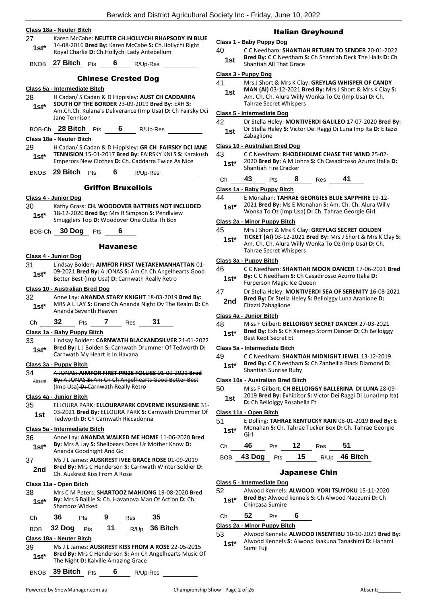| 27            | Class 18a - Neuter Bitch<br>Karen McCabe: NEUTER CH.HOLLYCHI RHAPSODY IN BLUE                                                                                                     |
|---------------|-----------------------------------------------------------------------------------------------------------------------------------------------------------------------------------|
|               | 14-08-2016 Bred By: Karen McCabe S: Ch.Hollychi Right                                                                                                                             |
| $1st^*$       | Royal Charlie D: Ch.Hollychi Lady Antebellum                                                                                                                                      |
|               | BNOB 27 Bitch Pts<br>6<br>R/Up-Res                                                                                                                                                |
|               | <b>Chinese Crested Dog</b>                                                                                                                                                        |
|               | Class 5a - Intermediate Bitch                                                                                                                                                     |
| 28<br>$1st^*$ | H Cadan/ S Cadan & D Hippisley: AUST CH CADDARRA<br>SOUTH OF THE BORDER 23-09-2019 Bred By: EXH S:<br>Am.Ch.Ch. Kulana's Deliverance (Imp Usa) D: Ch Fairsky Dci<br>Jane Tennison |
|               | BOB-Ch 28 Bitch Pts<br>$6$ R/Up-Res                                                                                                                                               |
|               | Class 18a - Neuter Bitch                                                                                                                                                          |
| 29<br>$1st*$  | H Cadan/ S Cadan & D Hippisley: GR CH FAIRSKY DCI JANE<br>TENNISION 15-01-2017 Bred By: FAIRSKY KNLS S: Karakush<br>Emperors New Clothes D: Ch. Caddarra Twice As Nice            |
| <b>BNOB</b>   | 29 Bitch<br>6<br>Pts<br>R/Up-Res                                                                                                                                                  |
|               | <b>Griffon Bruxellois</b>                                                                                                                                                         |
|               | Class 4 - Junior Dog                                                                                                                                                              |
| 30            | Kathy Grass: CH. WOODOVER BATTRIES NOT INCLUDED                                                                                                                                   |
| 1st*          | 18-12-2020 Bred By: Mrs R Simpson S: Pendlview<br>Smugglers Top D: Woodover One Outta Th Box                                                                                      |
| BOB-Ch        | 30 Dog<br>6<br><b>Pts</b>                                                                                                                                                         |
|               | <b>Havanese</b>                                                                                                                                                                   |
|               | Class 4 - Junior Dog                                                                                                                                                              |
| 31            | Lindsay Bolden: AIMFOR FIRST WETAKEMANHATTAN 01-                                                                                                                                  |
| $1st*$        | 09-2021 Bred By: A JONAS S: Am Ch Ch Angelhearts Good<br>Better Best (Imp Usa) D: Carnwath Really Retro                                                                           |
|               | Class 10 - Australian Bred Dog                                                                                                                                                    |
| 32<br>$1st*$  | Anne Lay: ANANDA STARY KNIGHT 18-03-2019 Bred By:<br>MRS A L LAY S: Grand Ch Ananda Night Ov The Realm D: Ch<br>Ananda Seventh Heaven                                             |
| Сh            | 32<br>7 Res<br>31<br>Pts                                                                                                                                                          |
|               | Class 1a - Baby Puppy Bitch                                                                                                                                                       |
| 33            | Lindsay Bolden: CARNWATH BLACKANDSILVER 21-01-2022                                                                                                                                |
| $1st*$        | Bred By: L J Bolden S: Carnwath Drummer Of Tedworth D:<br>Carnwath My Heart Is In Havana                                                                                          |
|               | Class 3a - Puppy Bitch                                                                                                                                                            |
| 34            | A JONAS: AIMFOR FIRST PRIZE FOLLIES 01-09-2021 Bred<br>By: A JONAS S: Am Ch Ch Angelhearts Good Better Best                                                                       |
| Absent        | (Imp Usa) D: Carnwath Really Retro                                                                                                                                                |
|               | Class 4a - Junior Bitch                                                                                                                                                           |
| 35            | ELLOURA PARK: ELLOURAPARK COVERME INSUNSHINE 31-                                                                                                                                  |
| 1st           | 03-2021 Bred By: ELLOURA PARK S: Carnwath Drummer Of<br>Tedworth D: Ch Carnwath Riccadonna                                                                                        |
|               | Class 5a - Intermediate Bitch                                                                                                                                                     |
| 36            | Anne Lay: ANANDA WALKED ME HOME 11-06-2020 Bred                                                                                                                                   |
| $1st^*$       | By: Mrs A Lay S: Shellbears Does Ur Mother Know D:<br>Ananda Goodnight And Go                                                                                                     |
| 37            | Ms J L James: AUSKREST IVEE GRACE ROSE 01-09-2019                                                                                                                                 |
| 2nd           | Bred By: Mrs C Henderson S: Carnwath Winter Soldier D:<br>Ch. Auskrest Kiss From A Rose                                                                                           |
|               | Class 11a - Open Bitch                                                                                                                                                            |
| 38<br>1st*    | Mrs C M Peters: SHARTOOZ MAHJONG 19-08-2020 Bred<br>By: Mrs S Baillie S: Ch. Havanova Man Of Action D: Ch.                                                                        |
|               | Shartooz Wicked                                                                                                                                                                   |
| Сh            | 36<br>35<br>9<br><b>Pts</b><br>Res                                                                                                                                                |
|               |                                                                                                                                                                                   |

## Italian Greyhound

## **Class 1 - Baby Puppy Dog**

40 C C Needham: **SHANTIAH RETURN TO SENDER** 20-01-2022 **Bred By:** C C Needham **S:** Ch Shantiah Deck The Halls **D:** Ch **1st Bred By:** C C Needham **1st 1st 1shand Shantiah All That Grace** 

## **Class 3 - Puppy Dog**

- 41 Mrs J Short & Mrs K Clay: **GREYLAG WHISPER OF CANDY**
- **MAN (AI)** 03-12-2021 **Bred By:** Mrs J Short & Mrs K Clay **S:**  Am. Ch. Ch. Alura Willy Wonka To Oz (Imp Usa) **D:** Ch. Tahrae Secret Whispers **1st**

## **Class 5 - Intermediate Dog**

42 Dr Stella Heley: **MONTIVERDI GALILEO** 17-07-2020 **Bred By:** Dr Stella Heley **S:** Victor Dei Raggi Di Luna Imp Ita **D:** Eltazzi **1st** Dr Stella He<br>Zabaglione

## **Class 10 - Australian Bred Dog**

43 C C Needham: **RHODEHOLME CHASE THE WIND** 25-02- 2020 **Bred By:** A M Johns **S:** Ch Casadirosso Azurro Italia **D: 1st**\* 2020 **Bred By:** A M Jo<br>Shantiah Fire Cracker

| C <sub>h</sub> | 43 | 'ts | Res | × |  |
|----------------|----|-----|-----|---|--|
|                |    |     |     |   |  |

## **Class 1a - Baby Puppy Bitch**

- 44 E Monahan: **TAHRAE GEORGIES BLUE SAPPHIRE** 19-12-
- 2021 **Bred By:** Ms E Monahan **S:** Am. Ch. Ch. Alura Willy Wonka To Oz (Imp Usa) **D:** Ch. Tahrae Georgie Girl **1st\***

## **Class 2a - Minor Puppy Bitch**

- 45 Mrs J Short & Mrs K Clay: **GREYLAG SECRET GOLDEN**
- **TICKET (AI)** 03-12-2021 **Bred By:** Mrs J Short & Mrs K Clay **S:**  Am. Ch. Ch. Alura Willy Wonka To Oz (Imp Usa) **D:** Ch. Tahrae Secret Whispers **1st\***

## **Class 3a - Puppy Bitch**

- 46 C C Needham: **SHANTIAH MOON DANCER** 17-06-2021 **Bred By:** C C Needham **S:** Ch Casadirosso Azurro Italia **D: 1st\* by:** C C Needham **S:** Ch Casa<br>Furperson Magic Ice Queen
- 47 Dr Stella Heley: **MONTIVERDI SEA OF SERENITY** 16-08-2021 **Bred By:** Dr Stella Heley **S:** Belloiggy Luna Aranione **D:**
- **2nd Brea By:** Dr Stella<br>**Eltazzi Zabaglione**

## **Class 4a - Junior Bitch**

48 Miss F Gilbert: **BELLOIGGY SECRET DANCER** 27-03-2021 **Bred By:** Exh **S:** Ch Xarnego Storm Dancer **D:** Ch Belloiggy **1st\*** Brea by: Exn S: Cn 3<br>Best Kept Secret Et

## **Class 5a - Intermediate Bitch**

- 49 C C Needham: **SHANTIAH MIDNIGHT JEWEL** 13-12-2019
- **Bred By:** C C Needham **S:** Ch Zanbellia Black Diamond **D:**

## **Class 10a - Australian Bred Bitch**

50 Miss F Gilbert: **CH BELLOIGGY BALLERINA DI LUNA** 28-09- 2019 **Bred By:** Exhibitor **S:** Victor Dei Raggi Di Luna(Imp Ita)

# **1st D:** Ch Belloiggy Rosabella Et **1st**

## **Class 11a - Open Bitch**

51 E Dolling: **TAHRAE KENTUCKY RAIN** 08-01-2019 **Bred By:** E Monahan **S:** Ch. Tahrae Tucker Box **D:** Ch. Tahrae Georgie Girl **1st\***

| Ch 46 Pts 12 Res 51 |  |                                 |
|---------------------|--|---------------------------------|
|                     |  | BOB 43 Dog Pts 15 R/Up 46 Bitch |

## Japanese Chin

## **Class 5 - Intermediate Dog**

52 Alwood Kennels: **ALWOOD YORI TSUYOKU** 15-11-2020 **Bred By:** Alwood kennels **S:** Ch Alwood Naozumi **D:** Ch **1st\*** Brea By: Alwood<br>Chincasa Sumire

Ch **52** Pts **6**

## **Class 2a - Minor Puppy Bitch**

53 Alwood Kennels: **ALWOOD INSENTIBU** 10-10-2021 **Bred By:** Alwood Kennels **S:** Alwood Jaakuna Tanashimi **D:** Hanami 1st<sup>\*</sup> Alwood K<br>Sumi Fuji

**Class 18a - Neuter Bitch**

**1st\* Brea By:** C C Needham<br>Shantiah Sunrise Ruby

BOB **32 Dog** Pts **11** R/Up **36 Bitch**

**1st\* Died By:** MITS C Henderson **5:** Am Channel The Night **D:** Kalville Amazing Grace

BNOB **39 Bitch** Pts **6** R/Up-Res

39 Ms J L James: **AUSKREST KISS FROM A ROSE** 22-05-2015

**Bred By:** Mrs C Henderson **S:** Am Ch Angelhearts Music Of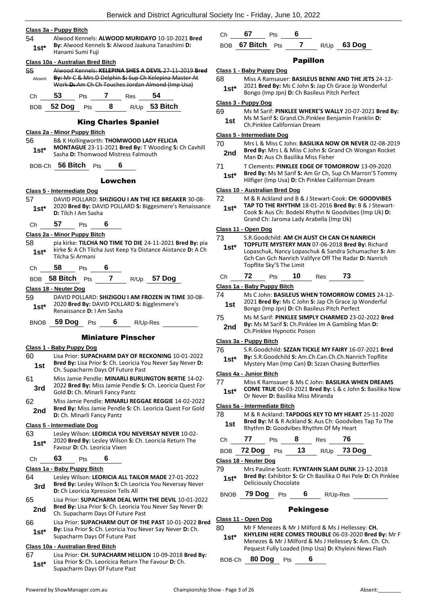#### **Class 3a - Puppy Bitch**

54 Alwood Kennels: **ALWOOD MURIDAYO** 10-10-2021 **Bred By:** Alwood Kennels **S:** Alwood Jaakuna Tanashimi **D:**  1st<sup>\*</sup> **Dy**: Alwood Netting

| Class 10a - Australian Bred Bitch |                     |       |                                     |                                                                                                           |                             |
|-----------------------------------|---------------------|-------|-------------------------------------|-----------------------------------------------------------------------------------------------------------|-----------------------------|
| 55                                |                     |       |                                     | Alwood Kennels: KELEPINA SHES A DEVIL 27-11-2019 Bred                                                     | <u>Cla</u>                  |
| Absent                            |                     |       |                                     | By: Mr C & Mrs D Delphin S: Sup Ch Kelepina Master At<br>Work D: Am Ch Ch Touches Jordan Almond (Imp Usa) | 68                          |
|                                   |                     |       |                                     |                                                                                                           | $\overline{\phantom{a}}$    |
| Ch                                | - 53                |       | Pts 7 Res 54                        |                                                                                                           |                             |
|                                   |                     |       |                                     | BOB 52 Dog Pts 8 R/Up 53 Bitch                                                                            | <u>Cla</u><br>69            |
|                                   |                     |       | <b>King Charles Spaniel</b>         |                                                                                                           |                             |
| Class 2a - Minor Puppy Bitch      |                     |       |                                     |                                                                                                           | <u>Cla</u>                  |
| 56<br>1st*                        |                     |       | Sasha D: Thomwood Mistress Falmouth | B& K Hollingworth: THOMWOOD LADY FELICIA<br>MONTAGUE 23-11-2021 Bred By: T Wooding S: Ch Cavhill          | 70                          |
|                                   | BOB-Ch 56 Bitch Pts |       | 6                                   |                                                                                                           | 71                          |
|                                   |                     |       | Lowchen                             |                                                                                                           |                             |
|                                   |                     |       |                                     |                                                                                                           |                             |
| Class 5 - Intermediate Dog<br>57  |                     |       |                                     | DAVID POLLARD: SHIZIGOU I AN THE ICE BREAKER 30-08-                                                       | <u>Cla</u><br>72            |
| 1st*                              |                     |       |                                     | 2020 Bred By: DAVID POLLARD S: Biggesmere's Renaissance                                                   | $\mathcal{L}_{\mathcal{A}}$ |
|                                   | D: Tilch I Am Sasha |       |                                     |                                                                                                           |                             |
| Ch                                | 57                  | Pts   | 6                                   |                                                                                                           |                             |
| Class 2a - Minor Puppy Bitch      |                     |       |                                     |                                                                                                           | <u>Cla</u><br>73            |
| 58                                |                     |       |                                     | pia kirke: TILCHA NO TIME TO DIE 24-11-2021 Bred By: pia                                                  | ł                           |
| $1st^*$                           |                     |       |                                     | kirke S: A Ch Tilcha Just Keep Ya Distance Aiistance D: A Ch                                              |                             |
|                                   | Tilcha Si Armani    |       |                                     |                                                                                                           |                             |
| Ch                                | 58                  | Pts 6 |                                     |                                                                                                           |                             |
|                                   |                     |       |                                     | BOB 58 Bitch Pts 7 R/Up 57 Dog                                                                            | CI                          |
| Class 18 - Neuter Dog             |                     |       |                                     |                                                                                                           | Cla                         |
| 59                                |                     |       |                                     | DAVID POLLARD: SHIZIGOU I AM FROZEN IN TIME 30-08-                                                        | 74                          |
| $1st^*$                           |                     |       | Renaissance D: I Am Sasha           | 2020 Bred By: DAVID POLLARD S: Bigglesmere's                                                              |                             |
|                                   |                     |       | BNOB 59 Dog Pts 6 R/Up-Res          |                                                                                                           | 75                          |
|                                   |                     |       | <b>Miniature Pinscher</b>           |                                                                                                           |                             |
| <u> Class 1 - Baby Puppy Dog</u>  |                     |       |                                     |                                                                                                           | Cla                         |
| 60                                |                     |       |                                     | Lisa Prior: SUPACHARM DAY OF RECKONING 10-01-2022                                                         | 76<br>ł                     |
| 1st                               |                     |       | Ch. Supacharm Days Of Future Past   | Bred By: Lisa Prior S: Ch. Leoricia You Never Say Never D:                                                | <u>Cla</u>                  |

# 2022 **Bred By:** Miss Jamie Pendle **S:** Ch. Leoricia Quest For

**3rd Digital Branch State Pandis** Gold **D**: Ch. Minarli Fancy Pantz 62 Miss Jamie Pendle: **MINARLI REGGAE REGGIE** 14-02-2022 **Bred By:** Miss Jamie Pendle **S:** Ch. Leoricia Quest For Gold **2nd** Brea By: Miss Jamie Pendi<br>**D:** Ch. Minarli Fancy Pantz

#### **Class 5 - Intermediate Dog**

63 Lesley Wilson: **LEORICIA YOU NEVERSAY NEVER** 10-02- 2020 **Bred By:** Lesley Wilson **S:** Ch. Leoricia Return The **1st**\* 2020 **Bred By:** Lesley Wilson<br>Favour **D:** Ch. Leoricia Vixen

## Ch **63** Pts **6**

#### **Class 1a - Baby Puppy Bitch**

- 64 Lesley Wilson: **LEORICIA ALL TAILOR MADE** 27-01-2022 **Bred By:** Lesley Wilson **S:** Ch Leoricia You Neversay Never **3rd Direct by:** Lesley Wilson **3:** Ch Leoricia Xpression Tells All
- 65 Lisa Prior: **SUPACHARM DEAL WITH THE DEVIL** 10-01-2022 **Bred By:** Lisa Prior **S:** Ch. Leoricia You Never Say Never **D: 2nd** Brea by: Lisa Prior S: Ch. Leoricia You<br>Ch. Supacharm Days Of Future Past
- 66 Lisa Prior: **SUPACHARM OUT OF THE PAST** 10-01-2022 **Bred By:** Lisa Prior **S:** Ch. Leoricia You Never Say Never **D:** Ch. **1st\*** By: Lisa Prior S: Ch. Leoricia You<br>Supacharm Days Of Future Past

#### **Class 10a - Australian Bred Bitch**

- 67 Lisa Prior: **CH. SUPACHARM HELLION** 10-09-2018 **Bred By:** Lisa Prior **S:** Ch. Leoricica Return The Favour **D:** Ch. **1st**\* Lisa Prior **5:** Cn. Leoricica Return<br>Supacharm Days Of Future Past
	-

Ch **67** Pts **6**

## BOB **67 Bitch** Pts **7** R/Up **63 Dog**

#### Papillon

- **Class 1 - Baby Puppy Dog**
- 68 Miss A Ramsauer: **BASILEUS BENNI AND THE JETS** 24-12- 2021 **Bred By:** Ms C John **S:** Jap Ch Grace Jp Wonderful
	- **1st**\* <sup>2021</sup> **Bred By:** MS C John **S:** Jap Ch Grace Jp •<br>Bongo (Imp Jpn) **D:** Ch Basileus Pitch Perfect

## **Class 3 - Puppy Dog**

| 69  | Ms M Sarif: PINKLEE WHERE'S WALLY 20-07-2021 Bred By: |
|-----|-------------------------------------------------------|
| 1st | Ms M Sarif S: Grand.Ch.Pinklee Benjamin Franklin D:   |
|     | Ch.Pinklee Californian Dream                          |

## **Class 5 - Intermediate Dog**

- Mrs L & Miss C John: **BASILIKA NOW OR NEVER** 02-08-2019 **Bred By:** Mrs L & Miss C John **S:** Grand Ch Wongan Rocket **2nd Bred By:** Mrs L & Miss C John **S:** Grad<br>Man D: Aus Ch Basilika Miss Fisher
- 71 T Clements: **PINKLEE EDGE OF TOMORROW** 13-09-2020
- **Bred By:** Ms M Sarif **S:** Am Gr Ch, Sup Ch Marron'S Tommy
	- **1st\* Bred By:** MS M Sarit **S:** Am Gr Ch, Sup Ch Marron S<br>Hilfiger (Imp Usa) **D:** Ch Pinklee Californian Dream

## **Class 10 - Australian Bred Dog**

- 72 M & R Ackland and B & J Stewart-Cook: **CH: GOODVIBES TAP TO THE RHYTHM** 18-01-2016 **Bred By:** B & J Stewart-Cook **S:** Aus Ch: Bodebi Rhythn N Goodvibes (Imp Uk) **D:**  Grand Ch: Jaroma Lady Arabella (Imp Uk) **1st\* Class 11 - Open Dog** 73 S.R.Goodchild: **AM CH AUST CH CAN CH NANRICH TOPFLITE MYSTERY MAN** 07-06-2018 **Bred By:** Richard Lopaschuk, Nancy Lopaschuk & Sandra Schumacher **S:** Am Gch Can Gch Nanrich Valifyre Off The Radar **D:** Nanrich Topflite Sky'S The Limit **1st\*** Ch **72** Pts **10** Res **73 Class 1a - Baby Puppy Bitch** Ms C John: **BASILEUS WHEN TOMORROW COMES** 24-12-2021 **Bred By:** Ms C John **S:** Jap Ch Grace Jp Wonderful **1st** 2021 **Bred By:** Ms C John S: Jap Ch Grace Jp<br>Bongo (Imp Jpn) **D**: Ch Basileus Pitch Perfect 75 Ms M Sarif: **PINKLEE SIMPLY CHARMED** 23-02-2022 **Bred** 
	- **By:** Ms M Sarif **S:** Ch.Pinklee Im A Gambling Man **D: 2nd By:** WIS MI 3dTH 3: CIT.PITIKIER<br>Ch.Pinklee Hypnotic Poison

#### **Class 3a - Puppy Bitch**

76 S.R.Goodchild: **SZZAN TICKLE MY FAIRY** 16-07-2021 **Bred By:** S.R.Goodchild **S:** Am.Ch.Can.Ch.Ch.Nanrich Topflite Mystery Man (Imp Can) **D:** Szzan Chasing Butterflies **1st\***

#### **Class 4a - Junior Bitch**

- 77 Miss K Ramsauer & Ms C John: **BASILIKA WHEN DREAMS**
- **COME TRUE** 06-03-2021 **Bred By:** L & c John **S:** Basilika Now **1st\*** CONIC INUE 06-03-2021 Brea By: **1st\*** Or Never D: Basilika Miss Miranda

## **Class 5a - Intermediate Bitch**

78 M & R Ackland: **TAPDOGS KEY TO MY HEART** 25-11-2020 **Bred By:** M & R Ackland **S:** Aus Ch: Goodvibes Tap To The **1st Brea By:** M & R Ackland **5:** Aus Ch: Goodvibes Rhythm Of My Heart

| Ch . | $\sqrt{7}$ | <b>Pts</b> | - 8 | Res | - 76                            |
|------|------------|------------|-----|-----|---------------------------------|
|      |            |            |     |     | BOB 72 Dog Pts 13 $R/Up$ 73 Dog |

#### **Class 18 - Neuter Dog**

79 Mrs Pauline Scott: **FLYNTAHN SLAM DUNK** 23-12-2018 **Bred By:** Exhibitor **S:** Gr Ch Basilika O Rei Pele **D:** Ch Pinklee **1st\* Deliciously Chocolate** 

BNOB **79 Dog** Pts **6** R/Up-Res

## Pekingese

- **Class 11 - Open Dog**
- 80 Mr F Menezes & Mr J Milford & Ms J Hellessey: **CH. KHYLEINI HERE COMES TROUBLE** 06-03-2020 **Bred By:** Mr F Menezes & Mr J Milford & Ms J Hellessey **S:** Am. Ch. Ch. Pequest Fully Loaded (Imp Usa) **D:** Khyleini News Flash **1st\***

BOB-Ch **80 Dog** Pts **6**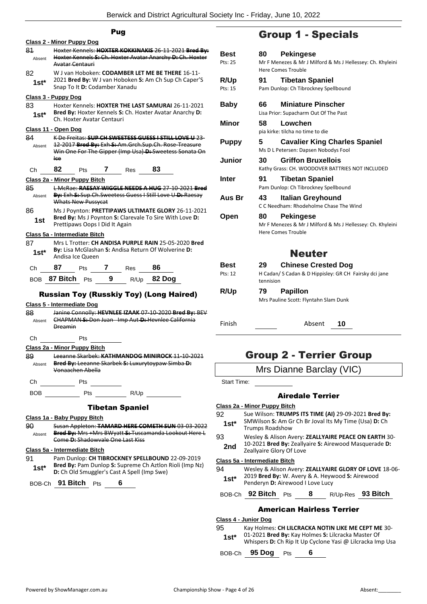|               | Pug                                                                                                                                                                                                    |           |  |  |  |
|---------------|--------------------------------------------------------------------------------------------------------------------------------------------------------------------------------------------------------|-----------|--|--|--|
|               | <u> Class 2 - Minor Puppy Dog</u>                                                                                                                                                                      |           |  |  |  |
| 81<br>Absent  | Hoxter Kennels: HOXTER KOKKINAKIS 26-11-2021 Bred By:<br>Hoxter Kennels S: Ch. Hoxter Avatar Anarchy D: Ch. Hoxter<br>Avatar Centauri                                                                  |           |  |  |  |
| 82<br>$1st^*$ | W J van Hoboken: CODAMBER LET ME BE THERE 16-11-<br>2021 Bred By: W J van Hoboken S: Am Ch Sup Ch Caper'S<br>Snap To It D: Codamber Xanadu                                                             | R,<br>Pts |  |  |  |
|               | <u> Class 3 - Puppy Dog</u>                                                                                                                                                                            |           |  |  |  |
| 83<br>$1st*$  | Hoxter Kennels: HOXTER THE LAST SAMURAI 26-11-2021<br>Bred By: Hoxter Kennels S: Ch. Hoxter Avatar Anarchy D:<br>Ch. Hoxter Avatar Centauri                                                            | В<br>М    |  |  |  |
|               | <u>Class 11 - Open Dog</u>                                                                                                                                                                             |           |  |  |  |
| 84<br>Absent  | K De Freitas: SUP CH SWEETESS GUESS I STILL LOVE U 23-<br>12 2017 Bred By: Exh S: Am. Grch. Sup. Ch. Rose Treasure<br>Win One For The Gipper (Imp Usa) D: Sweetess Sonata On<br>lee                    | P۱<br>Jι  |  |  |  |
| Ch            | 82<br>$\mathbf{7}$<br>83<br>Pts<br>Res                                                                                                                                                                 |           |  |  |  |
|               | Class 2a - Minor Puppy Bitch                                                                                                                                                                           | In        |  |  |  |
| 85            | L McRae: RAESAY WIGGLE NEEDS A HUG 27-10-2021 Bred                                                                                                                                                     |           |  |  |  |
| Absent        | By: Exh S: Sup. Ch. Sweetess Guess I Still Love U-D: Raesay<br>Whats New Pussycat                                                                                                                      | A۱        |  |  |  |
| 86<br>1st     | Ms J Poynton: PRETTIPAWS ULTIMATE GLORY 26-11-2021<br>Bred By: Ms J Poynton S: Clarevale To Sire With Love D:<br>Prettipaws Oops I Did It Again                                                        | O         |  |  |  |
| 87<br>$1st*$  | Class 5a - Intermediate Bitch<br>Mrs L Trotter: CH ANDISA PURPLE RAIN 25-05-2020 Bred<br>By: Lisa McGlashan S: Andisa Return Of Wolverine D:<br>Andisa Ice Queen                                       |           |  |  |  |
| Ch            | 87<br>86<br>Pts 7<br>Res                                                                                                                                                                               | В١        |  |  |  |
|               |                                                                                                                                                                                                        | Pt:       |  |  |  |
| BOB.          | 9 R/Up 82 Dog<br>87 Bitch Pts                                                                                                                                                                          |           |  |  |  |
| 88<br>Absent  | <b>Russian Toy (Russkiy Toy) (Long Haired)</b><br>Class 5 - Intermediate Dog<br>Janine Connolly: HEVNLEE IZAAK 07-10-2020 Bred By: BEV<br>CHAPMAN-S:-Don Juan Imp Aut-D:-Hevnlee California<br>Dreamin | R,<br>Fii |  |  |  |
| Сh            | Pts                                                                                                                                                                                                    |           |  |  |  |
|               | Class 2a - Minor Puppy Bitch                                                                                                                                                                           |           |  |  |  |
| 89<br>Absent  | Leeanne Skarbek: KATHMANDOG MINIROCK 11 10 2021<br>Bred By: Leeanne Skarbek S: Luxurytoypaw Simba D:<br>Vonaachen Abella                                                                               |           |  |  |  |
| Ch            | Pts                                                                                                                                                                                                    | S         |  |  |  |
| BOB           | Pts R/Up                                                                                                                                                                                               |           |  |  |  |
|               | <b>Tibetan Spaniel</b>                                                                                                                                                                                 | Cla:      |  |  |  |
|               | Class 1a - Baby Puppy Bitch                                                                                                                                                                            | 92        |  |  |  |
| 90<br>Absent  | Susan Appleton: TAMARD HERE COMETH SUN 03-03-2022<br>Bred By: Mrs +Mrs BWyatt S: Tuscamanda Lookout Here L<br>Come D: Shadowyale One Last Kiss                                                         | 93        |  |  |  |
|               | Class 5a - Intermediate Bitch                                                                                                                                                                          | 2         |  |  |  |

91 Pam Dunlop: **CH TIBROCKNEY SPELLBOUND** 22-09-2019 **Bred By:** Pam Dunlop **S:** Supreme Ch Aztlon Rioli (Imp Nz) **1st\* Brea By:** Pam Duniop **5:** Supreme Ch Aztlon<br>**D:** Ch Old Smuggler's Cast A Spell (Imp Swe)

BOB-Ch **91 Bitch** Pts **6**

# Group 1 - Specials

| Best<br>Pts: 25 | <b>Pekingese</b><br>80 -<br>Mr F Menezes & Mr J Milford & Ms J Hellessey: Ch. Khyleini                            |
|-----------------|-------------------------------------------------------------------------------------------------------------------|
|                 | <b>Here Comes Trouble</b>                                                                                         |
| R/Up            | <b>Tibetan Spaniel</b><br>91                                                                                      |
| Pts: 15         | Pam Dunlop: Ch Tibrockney Spellbound                                                                              |
| Baby            | <b>Miniature Pinscher</b><br>66                                                                                   |
|                 | Lisa Prior: Supacharm Out Of The Past                                                                             |
| Minor           | 58<br>Lowchen                                                                                                     |
|                 | pia kirke: tilcha no time to die                                                                                  |
| <b>Puppy</b>    | <b>Cavalier King Charles Spaniel</b><br>5<br>Ms D L Petersen: Dapsen Nobodys Fool                                 |
| Junior          | 30<br><b>Griffon Bruxellois</b><br>Kathy Grass: CH. WOODOVER BATTRIES NOT INCLUDED                                |
| <b>Inter</b>    | <b>Tibetan Spaniel</b><br>91<br>Pam Dunlop: Ch Tibrockney Spellbound                                              |
| Aus Br          | 43<br>Italian Greyhound<br>C.C. Needham: Rhodeholme Chase The Wind                                                |
| Open            | <b>Pekingese</b><br>80<br>Mr F Menezes & Mr J Milford & Ms J Hellessey: Ch. Khyleini<br><b>Here Comes Trouble</b> |
|                 | <b>Neuter</b>                                                                                                     |
| <b>Best</b>     | <b>Chinese Crested Dog</b><br>29                                                                                  |
| Pts: 12         | H Cadan/ S Cadan & D Hippisley: GR CH Fairsky dci jane<br>tennision                                               |
| R/Up            | <b>Papillon</b><br>79                                                                                             |
|                 | Mrs Pauline Scott: Flyntahn Slam Dunk                                                                             |
| Finish          | Absent<br>10                                                                                                      |

# Group 2 - Terrier Group

|  |  | Mrs Dianne Barclay (VIC) |  |
|--|--|--------------------------|--|
|--|--|--------------------------|--|

tart Time:

## Airedale Terrier

## **Class 2a - Minor Puppy Bitch**

- 92 Sue Wilson: **TRUMPS ITS TIME (AI)** 29-09-2021 **Bred By:** SMWilson **S:** Am Gr Ch Br Joval Its My Time (Usa) **D:** Ch **st\*** SIVI WIISON S: Am GIST\* Trumps Roadshow
- 93 Wesley & Alison Avery: **ZEALLYAIRE PEACE ON EARTH** 30-
- 10-2021 **Bred By:** Zeallyaire **S:** Airewood Masquerade **D: 2nd** L<sup>U-2021</sup> Brea By: Zeally<br>Zeallyaire Glory Of Love

## **Class 5a - Intermediate Bitch**

94 Wesley & Alison Avery: **ZEALLYAIRE GLORY OF LOVE** 18-06- 2019 **Bred By:** W. Avery & A. Heywood **S:** Airewood **1st**\* **Digital Bired By:** W. Avery & A. Heyw<br>Penderyn **D:** Airewood I Love Lucy

BOB-Ch **92 Bitch** Pts **8** R/Up-Res **93 Bitch**

## American Hairless Terrier

## **Class 4 - Junior Dog**

95 Kay Holmes: **CH LILCRACKA NOTIN LIKE ME CEPT ME** 30- 01-2021 **Bred By:** Kay Holmes **S:** Lilcracka Master Of **1st** <sup>1</sup> 01-2021 **Bred By:** Kay Holmes **S:** Lilcracka Master Of Whispers **D:** Ch Rip It Up Cyclone Yasi @ Lilcracka Imp Usa

BOB-Ch **95 Dog** Pts **6**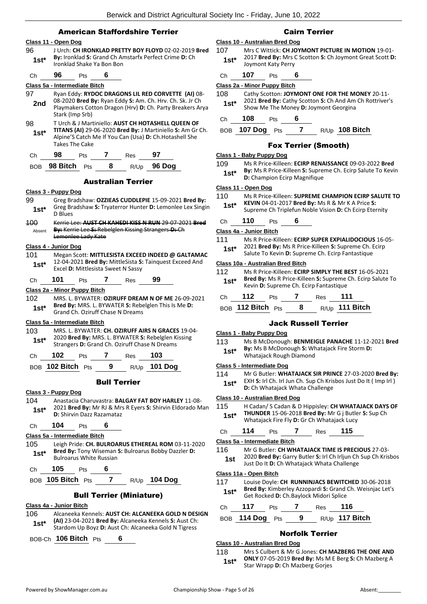## American Staffordshire Terrier

## **Class 11 - Open Dog** 96 J Urch: **CH IRONKLAD PRETTY BOY FLOYD** 02-02-2019 **Bred By:** Ironklad **S:** Grand Ch Amstarfx Perfect Crime **D:** Ch **1st\*** By: Ironklad S: Grand Ch All<br>Ironklad Shake Ya Bon Bon Ch **96** Pts **6 Class 5a - Intermediate Bitch** 97 Ryan Eddy: **RYDOC DRAGONS LIL RED CORVETTE (AI)** 08- 08-2020 **Bred By:** Ryan Eddy **S:** Am. Ch. Hrv. Ch. Sk. Jr Ch Playmakers Cotton Dragon (Hrv) **D:** Ch. Party Breakers Arya Stark (Imp Srb) **2nd** 98 T Urch & J Martiniello: **AUST CH HOTASHELL QUEEN OF TITANS (AI)** 29-06-2020 **Bred By:** J Martiniello **S:** Am Gr Ch. Alpine'S Catch Me If You Can (Usa) **D:** Ch.Hotashell She Takes The Cake **1st\*** Ch **98** Pts **7** Res **97** BOB **98 Bitch** Pts **8** R/Up **96 Dog** Australian Terrier

#### **Class 3 - Puppy Dog**

- 99 Greg Bradshaw: **OZZIEAS CUDDLEPIE** 15-09-2021 **Bred By:** Greg Bradshaw **S:** Tryaterror Hunter **D:** Lemonlee Lex Singin D Blues **1st\*** 100 Kerrie Lee: **AUST CH KAHEDI KISS N RUN** 29-07-2021 **Bred**
- **By:** Kerrie Lee **S:** Rebelglen Kissing Strangers **D:** Ch Lemonlee Lady Kate Absent

## **Class 4 - Junior Dog**

101 Megan Scott: **MITTLESISTA EXCEED INDEED @ GALTAMAC** 12-04-2021 **Bred By:** MittleSista **S:** Tainquest Exceed And Excel **D:** Mittlesista Sweet N Sassy **1st\***

Ch **101** Pts **7** Res **99**

## **Class 2a - Minor Puppy Bitch**

102 MRS. L. BYWATER: **OZIRUFF DREAM N OF ME** 26-09-2021 **Bred By:** MRS. L. BYWATER **S:** Rebelglen This Is Me **D: 1st\* Brea By:** MRS. L. BYWATER **5:** Rede<br>Grand Ch. Oziruff Chase N Dreams

#### **Class 5a - Intermediate Bitch**

103 MRS. L. BYWATER: **CH. OZIRUFF AIRS N GRACES** 19-04- 2020 **Bred By:** MRS. L. BYWATER **S:** Rebelglen Kissing **1st** 2020 Brea By: MRS. L. BYWATER S: Rebelgien K<br>Strangers D: Grand Ch. Oziruff Chase N Dreams

|    | $\sim$ $\sim$ 400 Ditch $\sim$ | n | $ -$ | 101B <sub>2</sub> |  |
|----|--------------------------------|---|------|-------------------|--|
| Ch | 102                            |   | Res  | 103               |  |

BOB **102 Bitch** Pts **9** R/Up **101 Dog**

## Bull Terrier

## **Class 3 - Puppy Dog**

104 Anastacia Charuvastra: **BALGAY FAT BOY HARLEY** 11-08- 2021 **Bred By:** Mr RJ & Mrs R Eyers **S:** Shirvin Eldorado Man **1st**\* **D:** Shirvin Dazz Razamataz **1st** 

## Ch **104** Pts **6**

## **Class 5a - Intermediate Bitch**

- 105 Leigh Pride: **CH. BULROARUS ETHEREAL ROM** 03-11-2020 **Bred By:** Tony Wiseman **S:** Bulroarus Bobby Dazzler **D: 1st<sup>\*</sup>** Bred By: Tony Wiseman Bulroarus White Russian
- Ch **105** Pts **6**
- BOB **105 Bitch** Pts **7** R/Up **104 Dog**

## Bull Terrier (Miniature)

## **Class 4a - Junior Bitch**

106 Alcaneeka Kennels: **AUST CH: ALCANEEKA GOLD N DESIGN (AI)** 23-04-2021 **Bred By:** Alcaneeka Kennels **S:** Aust Ch: **1st** All 23-04-2021 **Bred By:** Alcaneeka Kennels S: Aust Ch: Stardom Up Boyz D: Aust Ch: Alcaneeka Gold N Tigress

BOB-Ch **106 Bitch** Pts **6**

## Cairn Terrier

## **Class 10 - Australian Bred Dog**

- 107 Mrs C Wittick: **CH JOYMONT PICTURE IN MOTION** 19-01- 2017 **Bred By:** Mrs C Scotton **S:** Ch Joymont Great Scott **D: 1st**\* 2017 **Bred By:** Mrs (Joymont Katy Perry
- Ch **107** Pts **6**

## **Class 2a - Minor Puppy Bitch**

108 Cathy Scotton: **JOYMONT ONE FOR THE MONEY** 20-11- 2021 **Bred By:** Cathy Scotton **S:** Ch And Am Ch Rottriver's **1st** 2021 **Brea By:** Cathy Scotton **S:** Ch And Am Show Me The Money **D:** Joymont Georgina

## Ch **108** Pts **6**

## BOB **107 Dog** Pts **7** R/Up **108 Bitch**

## Fox Terrier (Smooth)

## **Class 1 - Baby Puppy Dog**

109 Ms R Price-Killeen: **ECIRP RENAISSANCE** 09-03-2022 **Bred By:** Ms R Price-Killeen **S:** Supreme Ch. Ecirp Salute To Kevin **1st\* by:** IVIS K Price-Killeen **5:** Suprement **1st\* D:** Champion Ecirp Magnifique

#### **Class 11 - Open Dog**

- 110 Ms R Price-Killeen: **SUPREME CHAMPION ECIRP SALUTE TO** 
	- **KEVIN** 04-01-2017 **Bred By:** Ms R & Mr K A Price **S: 1st\* KEVIN** 04-01-2017 **Bred By:** Ms R & Mr K A Price **S:**<br>Supreme Ch Triplefun Noble Vision **D:** Ch Ecirp Eternity

## Ch **110** Pts **6**

## **Class 4a - Junior Bitch**

111 Ms R Price-Killeen: **ECIRP SUPER EXPIALIDOCIOUS** 16-05- 2021 **Bred By:** Ms R Price-Killeen **S:** Supreme Ch. Ecirp **1st** 2021 **Bred By:** MS R Price-Killeen **S:** Supreme Ch. I<br>Salute To Kevin **D:** Supreme Ch. Ecirp Fantastique

#### **Class 10a - Australian Bred Bitch**

112 Ms R Price-Killeen: **ECIRP SIMPLY THE BEST** 16-05-2021 **Bred By:** Ms R Price-Killeen **S:** Supreme Ch. Ecirp Salute To **1st\*** Brea by: MS R Price-Killeen S: Supreme<br>Kevin D: Supreme Ch. Ecirp Fantastique

| Ch. | 112               | <b>Pts</b> | Res | - 111            |
|-----|-------------------|------------|-----|------------------|
|     | BOB 112 Bitch Pts |            |     | $R/Up$ 111 Bitch |

## Jack Russell Terrier

#### **Class 1 - Baby Puppy Dog**

- 113 Ms B McDonough: **BENMEIGLE PANACHE** 11-12-2021 **Bred By:** Ms B McDonough **S:** Whatajack Fire Storm **D:**
- 1st\* **by:** Wis B McDonough S: Wr<br>Whatajack Rough Diamond

#### **Class 5 - Intermediate Dog**

114 Mr G Butler: **WHATAJACK SIR PRINCE** 27-03-2020 **Bred By:** EXH **S:** Irl Ch. Irl Jun Ch. Sup Ch Krisbos Just Do It ( Imp Irl ) **1st**\* EAH S: IFI CH. IFI JUN CH. SUP CH KES<br>D: Ch Whatajack Whata Challenge

## **Class 10 - Australian Bred Dog**

- 115 H Cadan/ S Cadan & D Hippisley: **CH WHATAJACK DAYS OF THUNDER** 15-06-2018 **Bred By:** Mr G j Butler **S:** Sup Ch
	- Whatajack Fire Fly **D:** Gr Ch Whatajack Lucy **1st\***

| ר.<br>∩: | 14 |  | 'es | 15 |
|----------|----|--|-----|----|
|          |    |  |     |    |

## **Class 5a - Intermediate Bitch**

116 Mr G Butler: **CH WHATAJACK TIME IS PRECIOUS** 27-03- 2020 **Bred By:** Garry Butler **S:** Irl Ch Irljun Ch Sup Ch Krisbos **1st** 2020 **Bred By:** Garry Butler **3:** Iri Ch Irijun Ch<br>Just Do It **D:** Ch Whatajack Whata Challenge

## **Class 11a - Open Bitch**

- 117 Louise Doyle: **CH RUNNINJACS BEWITCHED** 30-06-2018 **Bred By:** Kimberley Azzopardi **S:** Grand Ch. Weisnjac Let's **1st\*** Bred By: Kimberley Azzopardi S: Grand<br>Get Rocked D: Ch.Baylock Midori Splice Ch **117** Pts **7** Res **116**
- BOB **114 Dog** Pts **9** R/Up **117 Bitch**

## Norfolk Terrier

## **Class 10 - Australian Bred Dog**

118 Mrs S Culbert & Mr G Jones: **CH MAZBERG THE ONE AND ONLY** 07-05-2019 **Bred By:** Ms M E Berg **S:** Ch Mazberg A **1st\* DNLY** 07-05-2019 **Brea By:** MS M<br>Star Wrapp **D:** Ch Mazberg Gorjes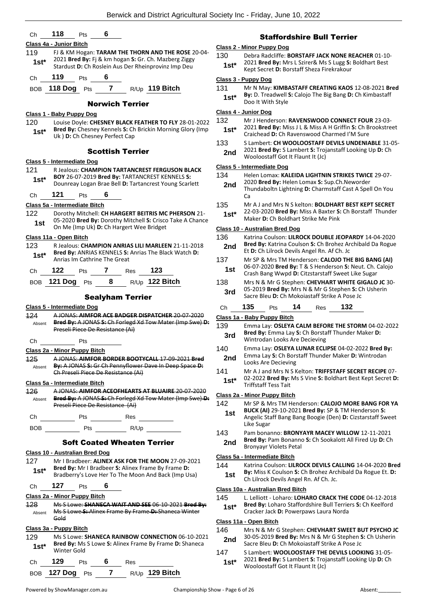|                                            |                                                                                                                                                              |                | <b>Staffordshi</b>                                                                                               |
|--------------------------------------------|--------------------------------------------------------------------------------------------------------------------------------------------------------------|----------------|------------------------------------------------------------------------------------------------------------------|
|                                            | Class 4a - Junior Bitch                                                                                                                                      |                | Class 2 - Minor Puppy Dog                                                                                        |
| 119                                        | FJ & KM Hogan: TARAM THE THORN AND THE ROSE 20-04-<br>2021 Bred By: Fj & km hogan S: Gr. Ch. Mazberg Ziggy                                                   | 130            | Debra Radcliffe: BORS                                                                                            |
| $1st*$                                     | Stardust D: Ch Roslein Aus Der Rheinprovinz Imp Deu                                                                                                          | $1st*$         | 2021 Bred By: Mrs L Sz<br>Kept Secret D: Borstaff                                                                |
| Ch                                         | 119<br>6<br>Pts                                                                                                                                              |                | Class 3 - Puppy Dog                                                                                              |
|                                            | BOB 118 Dog Pts 7<br>R/Up 119 Bitch                                                                                                                          | 131<br>$1st*$  | Mr N May: KIMBASTA<br>By: D. Treadwell S: Cal                                                                    |
|                                            | <b>Norwich Terrier</b>                                                                                                                                       |                | Doo It With Style                                                                                                |
|                                            | Class 1 - Baby Puppy Dog                                                                                                                                     |                | Class 4 - Junior Dog                                                                                             |
| 120<br>$1st*$                              | Louise Doyle: CHESNEY BLACK FEATHER TO FLY 28-01-2022<br>Bred By: Chesney Kennels S: Ch Brickin Morning Glory (Imp<br>Uk) D: Ch Chesney Perfect Cap          | 132<br>$1st^*$ | Mr J Henderson: RAVE<br>2021 Bred By: Miss J L<br>Craichead D: Ch Raven                                          |
|                                            | <b>Scottish Terrier</b>                                                                                                                                      | 133<br>2nd     | S Lambert: CH WOOLC<br>2021 Bred By: S Lambe                                                                     |
|                                            | Class 5 - Intermediate Dog                                                                                                                                   |                | Wooloostaff Got It Flar                                                                                          |
| 121                                        | <b>R Jealous: CHAMPION TARTANCREST FERGUSON BLACK</b>                                                                                                        |                | <b>Class 5 - Intermediate Dog</b>                                                                                |
| $1st*$                                     | BOY 26-07-2019 Bred By: TARTANCREST KENNELS S:<br>Dounreay Logan Brae Bell D: Tartancrest Young Scarlett                                                     | 134<br>2nd     | Helen Lomax: KALEIDA<br>2020 Bred By: Helen Lo<br>Thundaboltn Lightning                                          |
| Ch                                         | 121<br>6<br>Pts                                                                                                                                              |                | Ca                                                                                                               |
|                                            | Class 5a - Intermediate Bitch                                                                                                                                | 135            | Mr A J and Mrs N S kel<br>22-03-2020 Bred By: N                                                                  |
| 122<br>1st                                 | Dorothy Mitchell: CH HARGERT BEITRIS MC PHERSON 21-<br>05-2020 Bred By: Dorothy Mitchell S: Crisco Take A Chance<br>On Me (Imp Uk) D: Ch Hargert Wee Bridget | $1st*$         | Maker <b>D:</b> Ch Boldhart :                                                                                    |
|                                            | Class 11a - Open Bitch                                                                                                                                       | 136            | Class 10 - Australian Bred Dog<br>Katrina Coulson: LILRO                                                         |
| 123                                        | R Jealous: CHAMPION ANRIAS LILI MARLEEN 21-11-2018                                                                                                           | 2nd            | <b>Bred By: Katrina Couls</b>                                                                                    |
| $1st*$                                     | Bred By: ANRIAS KENNELS S: Anrias The Black Watch D:                                                                                                         |                | Et D: Ch Lilrock Devils                                                                                          |
| Ch                                         | Anrias Im Cathrine The Great<br>123<br>122<br>7<br>Pts<br>Res                                                                                                | 137<br>1st     | Mr SP & Mrs TM Hend<br>06-07-2020 Bred By: T<br>Crash Bang Wwpd D: O                                             |
| BOB                                        | 8<br>R/Up 122 Bitch<br>121 Dog<br>Pts                                                                                                                        | 138            | Mrs N & Mr G Stephen                                                                                             |
|                                            | <b>Sealyham Terrier</b>                                                                                                                                      | 3rd            | 05-2019 Bred By: Mrs                                                                                             |
|                                            |                                                                                                                                                              |                | Sacre Bleu D: Ch Moko                                                                                            |
|                                            | Class 5 - Intermediate Dog                                                                                                                                   | Ch             | 135<br>14<br>Pts                                                                                                 |
|                                            | A JONAS: AIMFOR ACE BADGER DISPATCHER 20-07-2020                                                                                                             |                | Class 1a - Baby Puppy Bitch                                                                                      |
| Absent                                     | Bred By: A JONAS S: Ch Forlegd Xd Tow Mater (Imp Swe) D:<br>Preseli Piece De Resistance (Ai)                                                                 | 139<br>3rd     | Emma Lay: OSLEYA CA<br>Bred By: Emma Lay S:                                                                      |
| Ch                                         | Pts                                                                                                                                                          |                | Wintrodan Looks Are D                                                                                            |
|                                            | Class 2a - Minor Puppy Bitch                                                                                                                                 | 140            |                                                                                                                  |
| Absent                                     | A JONAS: AIMFOR BORDER BOOTYCALL 17-09-2021 Bred<br>By: A JONAS S: Gr Ch Pennyflower Dave In Deep Space D:                                                   | 2nd<br>141     | Emma Lay: OSLEYA LU<br>Emma Lay S: Ch Borsta<br>Looks Are Decieving<br>Mr A J and Mrs N S Kel                    |
|                                            | Ch Preseli Piece De Resistance (Ai)                                                                                                                          | $1st^*$        | 02-2022 Bred By: Ms S                                                                                            |
|                                            | Class 5a - Intermediate Bitch<br>A JONAS: AIMFOR ACEOFHEARTS AT BLUAIRE 20-07-2020                                                                           |                | <b>Triffstaff Tess Tait</b>                                                                                      |
| Absent                                     | Bred By: A JONAS S: Ch Forlegd Xd Tow Mater (Imp Swe) D:                                                                                                     |                | Class 2a - Minor Puppy Bitch                                                                                     |
|                                            | Preseli Piece De Resistance (Ai)                                                                                                                             | 142<br>1st     | Mr SP & Mrs TM Hend<br><b>BUCK (AI) 29-10-2021</b>                                                               |
|                                            |                                                                                                                                                              |                | Angelic Staff Bang Ban                                                                                           |
|                                            |                                                                                                                                                              | 143            | Like Sugar<br>Pam bonanno: BRONY                                                                                 |
|                                            | <b>Soft Coated Wheaten Terrier</b>                                                                                                                           | 2nd            | Bred By: Pam Bonanno<br><b>Bronyayr Violets Petal</b>                                                            |
|                                            | Class 10 - Australian Bred Dog                                                                                                                               |                | Class 5a - Intermediate Bitch                                                                                    |
|                                            | Mr I Bradbeer: ALINEX ASK FOR THE MOON 27-09-2021                                                                                                            | 144            | Katrina Coulson: LILRO                                                                                           |
| $1st^*$                                    | Bred By: Mr I Bradbeer S: Alinex Frame By Frame D:<br>Bradberry's Love Her To The Moon And Back (Imp Usa)                                                    | 1st            | By: Miss K Coulson S: 0<br>Ch Lilrock Devils Angel                                                               |
| Ch                                         | 127<br>6<br>Pts                                                                                                                                              |                |                                                                                                                  |
| Absent                                     | Class 2a - Minor Puppy Bitch<br>Ms S Lowe: SHANECA WAIT AND SEE 06-10-2021 Bred By:<br>Ms S Lowe S: Alinex Frame By Frame D: Shaneca Winter                  | 145<br>$1st^*$ | Class 10a - Australian Bred Bitc<br>L. Lelliott - Loharo: LOI<br>Bred By: Loharo Staffo<br>Cracker Jack D: Power |
|                                            | Gold                                                                                                                                                         |                | Class 11a - Open Bitch                                                                                           |
| 127                                        | Class 3a - Puppy Bitch                                                                                                                                       | 146            | Mrs N & Mr G Stephen                                                                                             |
| 124<br>125<br>126<br>128<br>129<br>$1st^*$ | Ms S Lowe: SHANECA RAINBOW CONNECTION 06-10-2021<br>Bred By: Ms S Lowe S: Alinex Frame By Frame D: Shaneca                                                   | 2nd            | 30-05-2019 Bred By: N<br>Sacre Bleu D: Ch Moko                                                                   |
| Ch                                         | Winter Gold<br>129<br>6<br><b>Pts</b><br>Res                                                                                                                 | 147<br>$1st*$  | S Lambert: WOOLOOS<br>2021 Bred By: S Lambe                                                                      |

## re Bull Terrier

- TAFF JACK NONE REACHER 01-10-
- 2021 **Bred By:** Mrs L Szirer& Ms S Lugg **S:** Boldhart Best
	- Kept Secret **D:** Borstaff Sheza Firekrakour **1st\***

131 Mr N May: **KIMBASTAFF CREATING KAOS** 12-08-2021 **Bred Bylieu The Big Bang D: Ch Kimbastaff** 

- **INSWOOD CONNECT FOUR 23-03-**2021 **Bred By:** Miss J L & Miss A H Griffin **S:** Ch Brookstreet **swood Charmed I'M Sure**
- **DOSTAFF DEVILS UNDENIABLE 31-05-**2021 **Bred By:** S Lambert **S:** Trojanstaff Looking Up **D:** Ch unt It (Jc)

|               | Class 5 - Intermediate Dog                                                                                                                                                          |
|---------------|-------------------------------------------------------------------------------------------------------------------------------------------------------------------------------------|
| 134<br>2nd    | Helen Lomax: KALEIDA LIGHTNIN STRIKES TWICE 29-07-<br>2020 Bred By: Helen Lomax S: Sup.Ch.Neworder<br>Thundaboltn Lightning D: Charmstaff Cast A Spell On You<br>Ca                 |
| 135<br>$1st*$ | Mr A J and Mrs N S kelton: <b>BOLDHART BEST KEPT SECRET</b><br>22-03-2020 Bred By: Miss A Baxter S: Ch Borstaff Thunder<br>Maker D: Ch Boldhart Strike Me Pink                      |
|               | Class 10 - Australian Bred Dog                                                                                                                                                      |
| 136<br>2nd    | Katrina Coulson: LILROCK DOUBLE JEOPARDY 14-04-2020<br>Bred By: Katrina Coulson S: Ch Brohez Archibald Da Rogue<br>Et D: Ch Lilrock Devils Angel Rn. Af Ch. Jc                      |
| 137<br>1st    | Mr SP & Mrs TM Henderson: CALOJO THE BIG BANG (AI)<br>06-07-2020 Bred By: T & S Henderson S: Neut. Ch. Calojo<br>Crash Bang Wwpd D: Citzstarstaff Sweet Like Sugar                  |
| 138<br>3rd    | Mrs N & Mr G Stephen: CHEVHART WHITE GIGALO JC 30-<br>05-2019 Bred By: Mrs N & Mr G Stephen S: Ch Usherin<br>Sacre Bleu D: Ch Mokojastaff Strike A Pose Jc                          |
| Ch            | 135<br>132<br>14<br>Pts<br>Res                                                                                                                                                      |
|               | Class 1a - Baby Puppy Bitch                                                                                                                                                         |
| 139<br>3rd    | Emma Lay: OSLEYA CALM BEFORE THE STORM 04-02-2022<br>Bred By: Emma Lay S: Ch Borstaff Thunder Maker D:<br>Wintrodan Looks Are Decieving                                             |
| 140<br>2nd    | Emma Lay: OSLEYA LUNAR ECLIPSE 04-02-2022 Bred By:<br>Emma Lay S: Ch Borstaff Thunder Maker D: Wintrodan<br>Looks Are Decieving                                                     |
| 141<br>$1st*$ | Mr A J and Mrs N S Kelton: TRIFFSTAFF SECRET RECIPE 07-<br>02-2022 Bred By: Ms S Vine S: Boldhart Best Kept Secret D:<br><b>Triffstaff Tess Tait</b>                                |
|               | <b>Class 2a - Minor Puppy Bitch</b>                                                                                                                                                 |
| 142<br>1st    | Mr SP & Mrs TM Henderson: CALOJO MORE BANG FOR YA<br>BUCK (AI) 29-10-2021 Bred By: SP & TM Henderson S:<br>Angelic Staff Bang Bang Boogie (Den) D: Cizstarstaff Sweet<br>Like Sugar |
| 143<br>2nd    | Pam bonanno: BRONYAYR MACEY WILLOW 12-11-2021<br>Bred By: Pam Bonanno S: Ch Sookalott All Fired Up D: Ch<br><b>Bronyayr Violets Petal</b>                                           |
|               | Class 5a - Intermediate Bitch                                                                                                                                                       |
| 144<br>1 ct   | Katrina Coulson: LILROCK DEVILS CALLING 14-04-2020 Bred<br>By: Miss K Coulson S: Ch Brohez Archibald Da Rogue Et. D:                                                                |

Rn. Af Ch. Jc.

## **Class 10a - Australian Bred Bitch**

- **HARO CRACK THE CODE** 04-12-2018
- $b$ rdshire Bull Terriers **S**: Ch Keelford
- Cracker Jack **D:** Powerpaws Laura Norda **1st\***
- 1: CHEVHART SWEET BUT PSYCHO JC 30-05-2019 **Bred By:** Mrs N & Mr G Stephen **S:** Ch Usherin  $\overline{\text{0}}$ iastaff Strike A Pose Jc
- TAFF THE DEVILS LOOKING 31-05-2021 **Bred By:** S Lambert **S:** Trojanstaff Looking Up **D:** Ch  $unt$  It (Jc)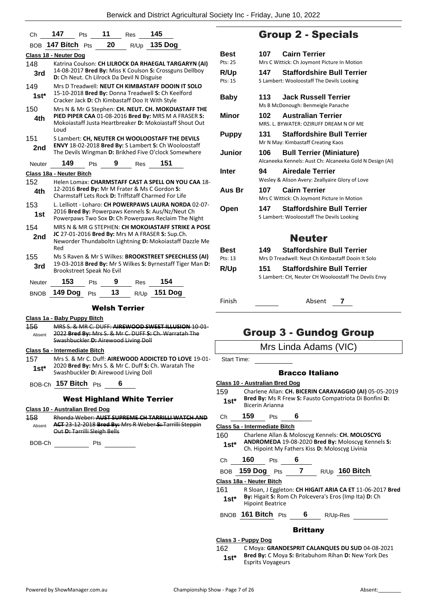| Ch          | 147<br><b>Pts</b>                                                                                     |            | 11 | <b>Res</b> | 145                                                                                                             |  |  |
|-------------|-------------------------------------------------------------------------------------------------------|------------|----|------------|-----------------------------------------------------------------------------------------------------------------|--|--|
|             | BOB 147 Bitch Pts                                                                                     |            | 20 | R/Up       | <b>135 Dog</b>                                                                                                  |  |  |
|             | Class 18 - Neuter Dog                                                                                 |            |    |            |                                                                                                                 |  |  |
| 148         |                                                                                                       |            |    |            | Katrina Coulson: CH LILROCK DA RHAEGAL TARGARYN (AI)                                                            |  |  |
| 3rd         | 14-08-2017 Bred By: Miss K Coulson S: Crossguns Dellboy<br>D: Ch Neut. Ch Lilrock Da Devil N Disguise |            |    |            |                                                                                                                 |  |  |
| 149         |                                                                                                       |            |    |            | Mrs D Treadwell: NEUT CH KIMBASTAFF DOOIN IT SOLO                                                               |  |  |
| $1st*$      | Cracker Jack D: Ch Kimbastaff Doo It With Style                                                       |            |    |            | 15-10-2018 Bred By: Donna Treadwell S: Ch Keelford                                                              |  |  |
| 150         |                                                                                                       |            |    |            | Mrs N & Mr G Stephen: CH. NEUT. CH. MOKOIASTAFF THE                                                             |  |  |
| 4th         | Loud                                                                                                  |            |    |            | PIED PIPER CAA 01-08-2016 Bred By: MRS M A FRASER S:<br>Mokojastaff Justa Heartbreaker D: Mokojastaff Shout Out |  |  |
| 151         |                                                                                                       |            |    |            | S Lambert: CH, NEUTER CH WOOLOOSTAFF THE DEVILS                                                                 |  |  |
| 2nd         |                                                                                                       |            |    |            | ENVY 18-02-2018 Bred By: S Lambert S: Ch Wooloostaff<br>The Devils Wingman D: Brikhed Five O'clock Somewhere    |  |  |
| Neuter      | 149                                                                                                   | <b>Pts</b> | 9  | Res        | 151                                                                                                             |  |  |
|             | Class 18a - Neuter Bitch                                                                              |            |    |            |                                                                                                                 |  |  |
| 152         |                                                                                                       |            |    |            | Helen Lomax: CHARMSTAFF CAST A SPELL ON YOU CAA 18-                                                             |  |  |
| 4th         |                                                                                                       |            |    |            | 12-2016 Bred By: Mr M Frater & Ms C Gordon S:<br>Charmstaff Lets Rock D: Triffstaff Charmed For Life            |  |  |
| 153         |                                                                                                       |            |    |            | L. Lelliott - Loharo: CH POWERPAWS LAURA NORDA 02-07-                                                           |  |  |
| 1st         |                                                                                                       |            |    |            | 2016 Bred By: Powerpaws Kennels S: Aus/Nz/Neut Ch<br>Powerpaws Two Sox D: Ch Powerpaws Reclaim The Night        |  |  |
| 154         |                                                                                                       |            |    |            | MRS N & MR G STEPHEN: CH MOKOIASTAFF STRIKE A POSE                                                              |  |  |
| 2nd         | Red                                                                                                   |            |    |            | JC 27-01-2016 Bred By: Mrs M A FRASER S: Sup.Ch.<br>Neworder Thundaboltn Lightning D: Mokoiastaff Dazzle Me     |  |  |
| 155         |                                                                                                       |            |    |            | Ms S Raven & Mr S Wilkes: BROOKSTREET SPEECHLESS (AI)                                                           |  |  |
| 3rd         | <b>Brookstreet Speak No Evil</b>                                                                      |            |    |            | 19-03-2018 Bred By: Mr S Wilkes S: Byrnestaff Tiger Man D:                                                      |  |  |
| Neuter      | 153                                                                                                   | Pts        | 9  | Res        | 154                                                                                                             |  |  |
| <b>BNOB</b> | <b>149 Dog</b>                                                                                        | Pts        | 13 | R/Up       | <b>151 Dog</b>                                                                                                  |  |  |
|             | <b>Welsh Terrier</b>                                                                                  |            |    |            |                                                                                                                 |  |  |

# Group 2 - Specials

| <b>Best</b><br>Pts: 25 | <b>Cairn Terrier</b><br>107<br>Mrs C Wittick: Ch Joymont Picture In Motion                         |
|------------------------|----------------------------------------------------------------------------------------------------|
| <b>R/Up</b><br>Pts: 15 | <b>Staffordshire Bull Terrier</b><br>147<br>S Lambert: Wooloostaff The Devils Looking              |
| Baby                   | <b>Jack Russell Terrier</b><br>113<br>Ms B McDonough: Benmeigle Panache                            |
| Minor                  | <b>Australian Terrier</b><br>102 —<br>MRS. L. BYWATER: OZIRLIEE DREAM N OF ME                      |
| <b>Puppy</b>           | 131<br><b>Staffordshire Bull Terrier</b><br>Mr N May: Kimbastaff Creating Kaos                     |
| Junior                 | <b>Bull Terrier (Miniature)</b><br>106<br>Alcaneeka Kennels: Aust Ch: Alcaneeka Gold N Design (AI) |
| Inter                  | <b>Airedale Terrier</b><br>94<br>Wesley & Alison Avery: Zeallyaire Glory of Love                   |
| Aus Br                 | <b>Cairn Terrier</b><br>107<br>Mrs C Wittick: Ch Joymont Picture In Motion                         |
| Open                   | <b>Staffordshire Bull Terrier</b><br>147<br>S Lambert: Wooloostaff The Devils Looking              |
|                        | <b>Neuter</b>                                                                                      |
| Best<br>Pts: 13        | <b>Staffordshire Bull Terrier</b><br>149.<br>Mrs D Treadwell: Neut Ch Kimbastaff Dooin It Solo     |
| R/Up                   | <b>Staffordshire Bull Terrier</b><br>151<br>S Lambert: CH, Neuter CH Wooloostaff The Devils Envy   |
| Finish                 | Absent<br>7                                                                                        |

# Group 3 - Gundog Group

Mrs Linda Adams (VIC)

Start Time:

## Bracco Italiano

| Class 10 - Australian Bred Dog |                                                                                                                                            |            |   |  |                                                                                                      |  |
|--------------------------------|--------------------------------------------------------------------------------------------------------------------------------------------|------------|---|--|------------------------------------------------------------------------------------------------------|--|
| 159<br>$1st^*$                 | Charlene Allan: CH. BICERIN CARAVAGGIO (AI) 05-05-2019<br><b>Bred By:</b> Ms R Frew S: Fausto Compatriota Di Bonfini D:<br>Bicerin Arianna |            |   |  |                                                                                                      |  |
| Сh                             | 159                                                                                                                                        | <b>Pts</b> | 6 |  |                                                                                                      |  |
|                                | Class 5a - Intermediate Bitch                                                                                                              |            |   |  |                                                                                                      |  |
| 160                            |                                                                                                                                            |            |   |  | Charlene Allan & Moloscyg Kennels: CH. MOLOSCYG                                                      |  |
| $1st^*$                        |                                                                                                                                            |            |   |  | ANDROMEDA 19-08-2020 Bred By: Moloscyg Kennels S:<br>Ch. Hipoint My Fathers Kiss D: Moloscyg Livinia |  |
| Ch                             | 160                                                                                                                                        | Pts        | 6 |  |                                                                                                      |  |
| BOB                            | 159 Dog $Pts$ 7                                                                                                                            |            |   |  | $R/Up$ 160 Bitch                                                                                     |  |
|                                | Class 18a - Neuter Bitch                                                                                                                   |            |   |  |                                                                                                      |  |
| 161                            |                                                                                                                                            |            |   |  | R Sloan, J Eggleton: CH HIGAIT ARIA CA ET 11-06-2017 Bred                                            |  |
| $1st*$                         | <b>Hipoint Beatrice</b>                                                                                                                    |            |   |  | By: Higait S: Rom Ch Polcevera's Eros (Imp Ita) D: Ch                                                |  |
|                                | $_{\rm BNOB}$ 161 Bitch $_{\rm Pts}$                                                                                                       |            | 6 |  | R/Up-Res                                                                                             |  |
| Brittany                       |                                                                                                                                            |            |   |  |                                                                                                      |  |
| Class 3 - Puppy Dog            |                                                                                                                                            |            |   |  |                                                                                                      |  |

## 162 C Moya: **GRANDESPRIT CALANQUES DU SUD** 04-08-2021 **Bred By:** C Moya **S:** Britabuhom Rihan **D:** New York Des **1st\*** Bred By: C Moya S<br>**Esprits Voyageurs**

**Class 1a - Baby Puppy Bitch**

| 156    | MRS S. & MR C. DUFF: AIREWOOD SWEET ILLUSION 10-01-   |
|--------|-------------------------------------------------------|
| Absent | 2022 Bred By: Mrs S. & Mr C. DUFF S: Ch. Warratah The |
|        | Swashbuckler D: Airewood Living Doll                  |

**Class 5a - Intermediate Bitch**

157 Mrs S. & Mr C. Duff: **AIREWOOD ADDICTED TO LOVE** 19-01- 2020 **Bred By:** Mrs S. & Mr C. Duff **S:** Ch. Waratah The **1st**\* 2020 Bred By: Mrs S. & Mr C. Duff S: C. Swashbuckler D: Airewood Living Doll

BOB-Ch **157 Bitch** Pts **6**

## West Highland White Terrier

**Class 10 - Australian Bred Dog**

158 Rhonda Weber: **AUST SUPREME CH TARRILLI WATCH AND ACT** 23-12-2018 **Bred By:** Mrs R Weber **S:** Tarrilli Steppin Out **D:** Tarrilli Sleigh Bells Absent

BOB-Ch Pts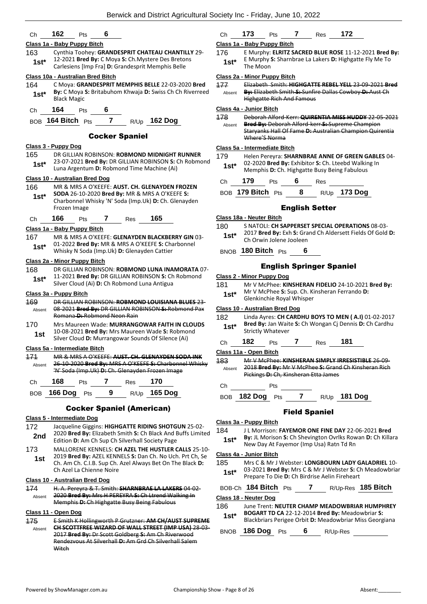## Ch **162** Pts **6**

## **Class 1a - Baby Puppy Bitch**

163 Cynthia Toohey: **GRANDESPRIT CHATEAU CHANTILLY** 29- 12-2021 **Bred By:** C Moya **S:** Ch.Mystere Des Bretons **1st** 12-2021 **Drea by:** C MOya **3:** Chilivistere Des Breton<br>Carlesiens [Imp Fra] **D:** Grandesprit Memphis Belle

## **Class 10a - Australian Bred Bitch**

- 164 C Moya: **GRANDESPRIT MEMPHIS BELLE** 22-03-2020 **Bred By:** C Moya **S:** Britabuhom Khwaja **D:** Swiss Ch Ch Riverreed **1st<sup>\*</sup> By:** C Moya
- Ch **164** Pts **6**

BOB **164 Bitch** Pts **7** R/Up **162 Dog**

## Cocker Spaniel

## **Class 3 - Puppy Dog**

- 165 DR GILLIAN ROBINSON: **ROBMOND MIDNIGHT RUNNER** 23-07-2021 **Bred By:** DR GILLIAN ROBINSON **S:** Ch Robmond
- Luna Argentum **D:** Robmond Time Machine (Ai) **1st\***

## **Class 10 - Australian Bred Dog**

- 166 MR & MRS A O'KEEFE: **AUST. CH. GLENAYDEN FROZEN SODA** 26-10-2020 **Bred By:** MR & MRS A O'KEEFE **S:** 
	- Charbonnel Whisky 'N' Soda (Imp.Uk) **D:** Ch. Glenayden Frozen Image **1st\***
- Ch **166** Pts **7** Res **165**

## **Class 1a - Baby Puppy Bitch**

- 167 MR & MRS A O'KEEFE: **GLENAYDEN BLACKBERRY GIN** 03- 01-2022 **Bred By:** MR & MRS A O'KEEFE **S:** Charbonnel
- **1st**\* UL-2022 **Bred By:** MR & MRS A O'KEEFE **5:** Change Missky N Soda (Imp.Uk) **D:** Glenayden Cattier

## **Class 2a - Minor Puppy Bitch**

168 DR GILLIAN ROBINSON: **ROBMOND LUNA INAMORATA** 07- 11-2021 **Bred By:** DR GILLIAN ROBINSON **S:** Ch Robmond **1St** 11-2021 **Bred By:** DR GILLIAN ROBINSON S: Critional Silver Cloud (Ai) **D**: Ch Robmond Luna Antigua

#### **Class 3a - Puppy Bitch**

- 169 DR GILLIAN ROBINSON: **ROBMOND LOUISIANA BLUES** 23- 08-2021 **Bred By:** DR GILLIAN ROBINSON **S:** Robmond Pax Romana **D:** Robmond Neon Rain Absent
- 170 Mrs Maureen Wade: **MURRANGOWAR FAITH IN CLOUDS** 10-08-2021 **Bred By:** Mrs Maureen Wade **S:** Robmond **1St** 10-08-2021 **Bred By:** Mrs Maureen wade S: Robmo<br>Silver Cloud D: Murrangowar Sounds Of Silence (Ai)
	-

## **Class 5a - Intermediate Bitch**

171 MR & MRS A O'KEEFE: **AUST. CH. GLENAYDEN SODA INK** 26-10-2020 **Bred By:** MRS A O'KEEFE **S:** Charbonnel Whisky 'N' Soda (Imp.Uk) **D:** Ch. Glenayden Frozen Image Absent

| Ch | 168 | <b>Pts</b> | Res | - 170                          |
|----|-----|------------|-----|--------------------------------|
|    |     |            |     | BOB 166 Dog Pts 9 R/Up 165 Dog |

## Cocker Spaniel (American)

## **Class 5 - Intermediate Dog**

- 172 Jacqueline Giggins: **HIGHGATTE RIDING SHOTGUN** 25-02- 2020 **Bred By:** Elizabeth Smith **S:** Ch Black And Buffs Limited **2nd** 2020 **Brea By:** Elizabeth Smith St Ch Black And **Properties**<br>Edition **D:** Am Ch Sup Ch Silverhall Society Page
- 173 MALLORENE KENNELS: **CH AZEL THE HUSTLER CALLS** 25-10- 2019 **Bred By:** AZEL KENNELS **S:** Dan Ch. No Uch. Prt Ch, Se Ch. Am Ch. C.I.B. Sup Ch. Azel Always Bet On The Black **D:**  Ch Azel La Chienne Noire **1st**

#### **Class 10 - Australian Bred Dog**

174 H. A. Pereyra & T. Smith: **SHARNBRAE LA LAKERS** 04-02- 2020 **Bred By:** Mrs H PEREYRA **S:** Ch Ltrend Walking In Memphis **D:** Ch Highgatte Busy Being Fabulous Absent

## **Class 11 - Open Dog**

175 E Smith K Hollingworth P Grutzner: **AM CH/AUST SUPREME CH SCOTTFREE WIZARD OF WALL STREET (IMP USA)** 28-03- 2017 **Bred By:** Dr Scott Goldberg **S:** Am Ch Riverwood Rendezvous At Silverhall **D:** Am Grd Ch Silverhall Salem **Witch** Absent

## Ch **173** Pts **7** Res **172**

## **Class 1a - Baby Puppy Bitch**

176 E Murphy: **ELRITZ SACRED BLUE ROSE** 11-12-2021 **Bred By:** E Murphy **S:** Sharnbrae La Lakers **D:** Highgatte Fly Me To **1st**\* **Elitimary**<br>The Moon

## **Class 2a - Minor Puppy Bitch**

177 Elizabeth Smith: **HIGHGATTE REBEL YELL** 23-09-2021 **Bred By:** Elizabeth Smith **S:** Sunfire Dallas Cowboy **D:** Aust Ch Highgatte Rich And Famous Absent

#### **Class 4a - Junior Bitch**

- 178 Deborah Alford-Kerr: **QUIRENTIA MISS HUDDY** 22-05-2021
- **Bred By:** Deborah Alford-kerr **S:** Supreme Champion Staryanks Hall Of Fame **D:** Australian Champion Quirentia Where'S Norma Absent

## **Class 5a - Intermediate Bitch**

- 179 Helen Pereyra: **SHARNBRAE ANNE OF GREEN GABLES** 04- 02-2020 **Bred By:** Exhibitor **S:** Ch. Lteebd Walking In 1st\* U2-2020 Bred By: Exhibitor S: Ch. Lteebd Walkir<br>Memphis D: Ch. Highgatte Busy Being Fabulous
- Ch **179** Pts **6** Res

| BOB 179 Bitch Pts |  | R/Up 173 Dog |
|-------------------|--|--------------|
|                   |  |              |

## English Setter

## **Class 18a - Neuter Bitch**

- 180 S NATOLI: **CH SAPPERSET SPECIAL OPERATIONS** 08-03-
	- 2017 **Bred By:** Exh **S:** Grand Ch Aldersett Fields Of Gold **D: 1st**\* <sup>2017</sup> Brea By: EXN S: Gra<br>Ch Orwin Jolene Jooleen
	- BNOB **180 Bitch** Pts **6**

## English Springer Spaniel

#### **Class 2 - Minor Puppy Dog**

- 181 Mr V McPhee: **KINSHERAN FIDELIO** 24-10-2021 **Bred By:**
	- Mr V McPhee **S:** Sup. Ch. Kinsheran Ferrando **D: 1st**\* Mr V McPhee S: Sup. Ch. Ki<br>Glenkinchie Royal Whisper

#### **Class 10 - Australian Bred Dog**

- 182 Linda Ayres: **CH CARDHU BOYS TO MEN ( A.I)** 01-02-2017 **Bred By:** Jan Waite **S:** Ch Wongan Cj Dennis **D:** Ch Cardhu **1st\*** Bred By: Jan Wait<br>Strictly Whatever
- Ch **182** Pts **7** Res **181**

**Class 11a - Open Bitch**

- 183 Mr V McPhee: **KINSHERAN SIMPLY IRRESISTIBLE** 26-09- 2018 **Bred By:** Mr V McPhee **S:** Grand Ch Kinsheran Rich Pickings **D:** Ch, Kinsheran Etta James Absent
- Ch Pts
	- BOB **182 Dog** Pts **7** R/Up **181 Dog**

## Field Spaniel

#### **Class 3a - Puppy Bitch**

- 184 J L Morrison: **FAYEMOR ONE FINE DAY** 22-06-2021 **Bred**
- **By:** JL Morison **S:** Ch Shevington Ovrlks Rowan **D:** Ch Killara **1st\* Dy:** JE IVIONISON **3:** Ch Shevington Ovriks Row<br>New Day At Fayemor (Imp Usa) Ratn Td Rn

#### **Class 4a - Junior Bitch**

185 Mrs C & Mr J Webster: **LONGBOURN LADY GALADRIEL** 10- 03-2021 **Bred By:** Mrs C & Mr J Webster **S:** Ch Meadowbriar Prepare To Die **D:** Ch Birdrise Aelin Fireheart **1st\***

## BOB-Ch **184 Bitch** Pts **7** R/Up-Res **185 Bitch**

## **Class 18 - Neuter Dog**

186 June Trent: **NEUTER CHAMP MEADOWBRIAR HUMPHREY BOGART TD CA** 22-12-2014 **Bred By:** Meadowbriar **S:**  Blackbriars Perigee Orbit **D:** Meadowbriar Miss Georgiana **1st\***

BNOB **186 Dog** Pts **6** R/Up-Res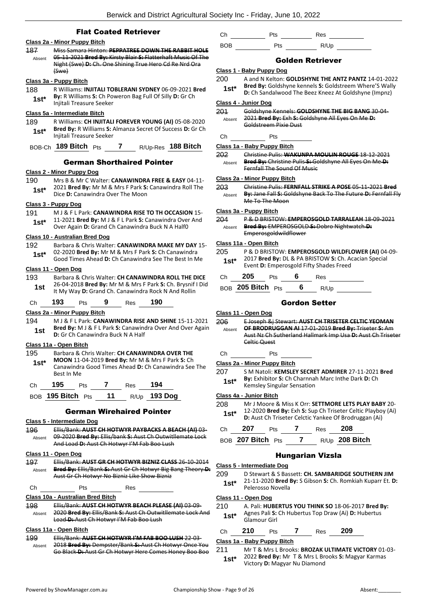## Flat Coated Retriever

## **Class 2a - Minor Puppy Bitch**

- 187 Miss Samara Hinton: **PEPPATREE DOWN THE RABBIT HOLE** 05-11-2021 **Bred By:** Kirsty Blair **S:** Flatterhaft Music Of The Night (Swe) **D:** Ch. One Shining True Hero Cd Re Nrd Ora (Swe) Absent **Class 3a - Puppy Bitch**
- 188 R Williams: **INJITALI TOBLERANI SYDNEY** 06-09-2021 **Bred By:** R Williams **S:** Ch Poweron Bag Full Of Silly **D:** Gr Ch **1st\* By:** R Williams **5:** Ch Pow<br>Injitali Treasure Seeker

#### **Class 5a - Intermediate Bitch**

189 R Williams: **CH INJITALI FOREVER YOUNG (AI)** 05-08-2020 **Bred By:** R Williams **S:** Almanza Secret Of Success **D:** Gr Ch **1st\*** Bred By: R Williams S: A<br>Injitali Treasure Seeker

|  | BOB-Ch 189 Bitch Pts |  |  |  | R/Up-Res 188 Bitch |
|--|----------------------|--|--|--|--------------------|
|--|----------------------|--|--|--|--------------------|

## German Shorthaired Pointer

#### **Class 2 - Minor Puppy Dog**

190 Mrs B & Mr C Walter: **CANAWINDRA FREE & EASY** 04-11- 2021 **Bred By:** Mr M & Mrs F Park **S:** Canawindra Roll The **1st\* 2021 Died by:** IVII IVI & IVII'S F Park **5:**<br>Dice **D**: Canawindra Over The Moon

#### **Class 3 - Puppy Dog**

- 191 M J & F L Park: **CANAWINDRA RISE TO TH OCCASION** 15- 11-2021 **Bred By:** M J & F L Park **S:** Canawindra Over And
	- **1St** 11-2021 **Brea By:** M J & F L Park **S:** Canawindra Over<br>Over Again **D:** Grand Ch Canawindra Buck N A Half0

### **Class 10 - Australian Bred Dog**

- 192 Barbara & Chris Walter: **CANAWINDRA MAKE MY DAY** 15- 02-2020 **Bred By:** Mr M & Mrs F Park **S:** Ch Canawindra **1st** UZ-2020 **Bred By:** NIT M & MITS F Park **S:** Ch Canawindra Good Times Ahead **D:** Ch Canawindra See The Best In Me
- **Class 11 - Open Dog**
- 193 Barbara & Chris Walter: **CH CANAWINDRA ROLL THE DICE** 26-04-2018 **Bred By:** Mr M & Mrs F Park **S:** Ch. Brysnif I Did **1st** 20-04-2018 **Brea by:** IVIT M & IVITS F Park **3:** Cn. Bryshill **1st** 1t My Way **D:** Grand Ch. Canawindra Rock N And Rollin

Ch **193** Pts **9** Res **190**

#### **Class 2a - Minor Puppy Bitch**

194 M J & F L Park: **CANAWINDRA RISE AND SHINE** 15-11-2021 **Bred By:** M J & F L Park **S:** Canawindra Over And Over Again **1st Brea By:** MJ & F L Park S: Canawind<br>D: Gr Ch Canawindra Buck N A Half

## **Class 11a - Open Bitch**

- 195 Barbara & Chris Walter: **CH CANAWINDRA OVER THE**
- **MOON** 11-04-2019 **Bred By:** Mr M & Mrs F Park **S:** Ch Canawindra Good Times Ahead **D:** Ch Canawindra See The Best In Me **1st\***

| Ch. | 195                  | <b>Pts</b> |    | Res | 194          |
|-----|----------------------|------------|----|-----|--------------|
|     | BOB 195 Bitch $P$ ts |            | 11 |     | R/Up 193 Dog |

German Wirehaired Pointer

#### **Class 5 - Intermediate Dog**

196 Ellis/Bank: **AUST CH HOTWYR PAYBACKS A BEACH (AI)** 03- 09-2020 **Bred By:** Ellis/bank **S:** Aust Ch Outwitllemate Lock And Load **D:** Aust Ch Hotwyr I'M Fab Boo Lush Absent

## **Class 11 - Open Dog**

197 Ellis/Bank: **AUST GR CH HOTWYR BIZNIZ CLASS** 26-10-2014 **Bred By:** Ellis/Bank **S:** Aust Gr Ch Hotwyr Big Bang Theory **D:**  Aust Gr Ch Hotwyr No Bizniz Like Show Bizniz Absent

Ch Pts Res

## **Class 10a - Australian Bred Bitch**

198 Ellis/Bank: **AUST CH HOTWYR BEACH PLEASE (AI)** 03-09- 2020 **Bred By:** Ellis/Bank **S:** Aust Ch Outwitllemate Lock And Load **D:** Aust Ch Hotwyr I'M Fab Boo Lush Absent

## **Class 11a - Open Bitch**

- 199 Ellis/Bank: **AUST CH HOTWYR I'M FAB BOO LUSH** 22-03-
- 2018 **Bred By:** Dempster/Bank **S:** Aust Ch Hotwyr Once You Go Black **D:** Aust Gr Ch Hotwyr Here Comes Honey Boo Boo Absent

Ch Pts Res BOB Pts R/Up

## Golden Retriever

#### **Class 1 - Baby Puppy Dog**

- 200 A and N Kelton: **GOLDSHYNE THE ANTZ PANTZ** 14-01-2022 **Bred By:** Goldshyne kennels **S:** Goldstreem Where'S Wally **1st**\* Brea by: Goldshyne kennels 5: Goldstreem where S wall<br>D: Ch Sandalwood The Beez Kneez At Goldshyne (Impnz)
- **Class 4 - Junior Dog**

#### 201 Goldshyne Kennels: **GOLDSHYNE THE BIG BANG** 30-04- 2021 **Bred By:** Exh **S:** Goldshyne All Eyes On Me **D:**  Absent

- Goldstreem Pixie Dust
- Ch Pts

#### **Class 1a - Baby Puppy Bitch**

202 Christine Pulis: **WAKUNPA MOULIN ROUGE** 18-12-2021 **Bred By:** Christine Pulis **S:** Goldshyne All Eyes On Me **D:**  Fernfall The Sound Of Music Absent

#### **Class 2a - Minor Puppy Bitch**

203 Christine Pulis: **FERNFALL STRIKE A POSE** 05-11-2021 **Bred By:** Jane Fall **S:** Goldshyne Back To The Future **D:** Fernfall Fly Me To The Moon Absent

## **Class 3a - Puppy Bitch**

204 P & D BRISTOW: **EMPEROSGOLD TARRALEAH** 18-09-2021 **Bred By:** EMPEROSGOLD **S:** Dobro Nightwatch **D:**  Emperosgoldwildflower Absent

#### **Class 11a - Open Bitch**

205 P & D BRISTOW: **EMPEROSGOLD WILDFLOWER (AI)** 04-09- 2017 **Bred By:** DL & PA BRISTOW **S:** Ch. Acacian Special **1st**\* 2017 **Bred By:** DL & PA BRISTOW **5:** Cn. A

| Сh | 205 |  |  | Res |  |
|----|-----|--|--|-----|--|
|----|-----|--|--|-----|--|

BOB **205 Bitch** Pts **6** R/Up

## Gordon Setter

#### **Class 11 - Open Dog**

206 E Joseph &j Stewart: **AUST CH TRISETER CELTIC YEOMAN OF BRODRUGGAN AI** 17-01-2019 **Bred By:** Triseter **S:** Am Aust Nz Ch Sutherland Hallmark Imp Usa **D:** Aust Ch Triseter Celtic Quest Absent

## Ch Pts

## **Class 2a - Minor Puppy Bitch**

207 S M Natoli: **KEMSLEY SECRET ADMIRER** 27-11-2021 **Bred By:** Exhibitor **S:** Ch Charnnah Marc Inthe Dark **D:** Ch **1st\* by:** Exmoltor **5:** Cn Charmia<br>Kemsley Singular Sensation

## **Class 4a - Junior Bitch**

208 Mr J Moore & Miss K Orr: **SETTMORE LETS PLAY BABY** 20- 12-2020 **Bred By:** Exh **S:** Sup Ch Triseter Celtic Playboy (Ai) **12. 12-2020 Bred By:** EXN **3:** Sup Ch Triseter Celtic Playbor **D:** Aust Ch Triseter Celtic Yankee Of Brodruggan (Ai)

| Ch | 207               | <b>Pts</b> | Res | -208             |
|----|-------------------|------------|-----|------------------|
|    | BOB 207 Bitch Pts |            |     | $R/Up$ 208 Bitch |

## Hungarian Vizsla

## **Class 5 - Intermediate Dog**

- 209 D Stewart & S Bassett: **CH. SAMBARIDGE SOUTHERN JIM**
	- 21-11-2020 **Bred By:** S Gibson **S:** Ch. Romkiah Kuparr Et. **D:**  Pelerosso Novella **1st\***

#### **Class 11 - Open Dog**

210 A. Pali: **HUBERTUS YOU THINK SO** 18-06-2017 **Bred By:** Agnes Pali **S:** Ch Hubertus Top Draw (Ai) **D:** Hubertus **1st**\* Agnes Pall S:<br>Glamour Girl

| Ch | 210 | Pts | <b>Res</b> | 209 |
|----|-----|-----|------------|-----|
|    |     |     |            |     |

#### **Class 1a - Baby Puppy Bitch**

211 Mr T & Mrs L Brooks: **BROZAK ULTIMATE VICTORY** 01-03- 2022 **Bred By:** Mr T & Mrs L Brooks **S:** Magyar Karmas **1st**\* 2022 **Bred By:** Mr 1 & Mrs L Bread **11** Victory **D:** Magyar Nu Diamond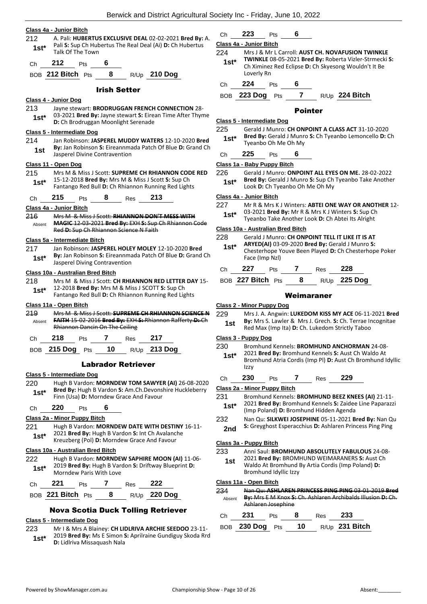#### **Class 4a - Junior Bitch**

- 212 A. Pali: **HUBERTUS EXCLUSIVE DEAL** 02-02-2021 **Bred By:** A. Pali **S:** Sup Ch Hubertus The Real Deal (Ai) **D:** Ch Hubertus **1st**\* **1st**\* **1st**\* **1st** Talk Of The Town
- Ch **212** Pts **6**
- BOB **212 Bitch** Pts **8** R/Up **210 Dog**

## Irish Setter

## **Class 4 - Junior Dog**

213 Jayne stewart: **BRODRUGGAN FRENCH CONNECTION** 28- 03-2021 **Bred By:** Jayne stewart **S:** Eirean Time After Thyme **1st**\* US-2021 **Brea By:** Jayne stewart **S:** Elfer **D:** Ch Brodruggan Moonlight Serenade

#### **Class 5 - Intermediate Dog**

214 Jan Robinson: **JASPEREL MUDDY WATERS** 12-10-2020 **Bred By:** Jan Robinson **S:** Eireannmada Patch Of Blue **D:** Grand Ch **1st by:** Jan Robinson **5:** Eliteannina<br>Jasperel Divine Contravention

#### **Class 11 - Open Dog**

- 215 Mrs M & Miss J Scott: **SUPREME CH RHIANNON CODE RED** 15-12-2018 **Bred By:** Mrs M & Miss J Scott **S:** Sup Ch Fantango Red Bull **D:** Ch Rhiannon Running Red Lights **1st\***
- Ch **215** Pts **8** Res **213**

## **Class 4a - Junior Bitch**

216 Mrs M & Miss J Scott: **RHIANNON DON'T MESS WITH MAGIC** 12-03-2021 **Bred By:** EXH **S:** Sup Ch Rhiannon Code Red **D:** Sup Ch Rhiannon Science N Faith Absent

#### **Class 5a - Intermediate Bitch**

217 Jan Robinson: **JASPEREL HOLEY MOLEY** 12-10-2020 **Bred By:** Jan Robinson **S:** Eireannmada Patch Of Blue **D:** Grand Ch **1st\* By:** Jan Robinson S: Eireannmannel By: Jasperel Diving Contravention

#### **Class 10a - Australian Bred Bitch**

- 218 Mrs M & Miss J Scott: **CH RHIANNON RED LETTER DAY** 15- 12-2018 **Bred By:** Mrs M & Miss J SCOTT **S:** Sup Ch
	- **1st** 12-2018 **Bred By:** Mrs M & Miss J SCOTT **S:** Sup Cn<br>Fantango Red Bull **D:** Ch Rhiannon Running Red Lights

## **Class 11a - Open Bitch**

219 Mrs M & Miss J Scott: **SUPREME CH RHIANNON SCIENCE N FAITH** 15-02-2016 **Bred By:** EXH **S:** Rhiannon Rafferty **D:** Ch Rhiannon Dancin On The Ceiling Absent

| 218     |     |    |      |          |
|---------|-----|----|------|----------|
| 215 Dog | D+o | 10 | D/1h | -213 Dog |

BOB **215 Dog** Pts **10** R/Up **213 Dog**

## Labrador Retriever

## **Class 5 - Intermediate Dog**

220 Hugh B Vardon: **MORNDEW TOM SAWYER (AI)** 26-08-2020 **Bred By:** Hugh B Vardon **S:** Am.Ch.Devonshire Huckleberry Finn (Usa) **D:** Morndew Grace And Favour **1st\***

## Ch **220** Pts **6**

## **Class 2a - Minor Puppy Bitch**

- 221 Hugh B Vardon: **MORNDEW DATE WITH DESTINY** 16-11- 2021 **Bred By:** Hugh B Vardon **S:** Int Ch Avalanche
- Kreuzberg (Pol) **D:** Morndew Grace And Favour **1st\***

## **Class 10a - Australian Bred Bitch**

222 Hugh B Vardon: **MORNDEW SAPHIRE MOON (AI)** 11-06- 2019 **Bred By:** Hugh B Vardon **S:** Driftway Blueprint **D: 1st**\* **1st 1st 1st 1st 1st 1st 1st 1st 1st 1st 1st 1st 1st 1st 1st 1st 1st 1st 1st 1st 1st 1st 1st 1st 1st 1st 1st 1st 1st 1st 1st 1st 1st 1st 1st 1st** 

| $DCD$ 004 Ditab | $\sum$ | <b>DU</b> | ח חרר |
|-----------------|--------|-----------|-------|

| BOB <b>ZZ1 BITCN</b> Pts |  | $R/Up$ 220 DOG |
|--------------------------|--|----------------|
|                          |  |                |

## Nova Scotia Duck Tolling Retriever

## **Class 5 - Intermediate Dog**

- 223 Mr I & Mrs A Blainey: **CH LIDLRIVA ARCHIE SEEDOO** 23-11- 2019 **Bred By:** Ms E Simon **S:** Aprilraine Gundiguy Skoda Rrd **1st**\* 2019 **Bred By:** MS E Simon Straight Mala
	-

# Ch **223** Pts **6**

## **Class 4a - Junior Bitch**

- 224 Mrs J & Mr L Carroll: **AUST CH. NOVAFUSION TWINKLE TWINKLE** 08-05-2021 **Bred By:** Roberta Vizler-Strmecki **S:**  Ch Ximinez Red Eclipse **D:** Ch Skyesong Wouldn't It Be Loverly Rn **1st\***
- Ch **224** Pts **6**

BOB **223 Dog** Pts **7** R/Up **224 Bitch**

## Pointer

## **Class 5 - Intermediate Dog**

225 Gerald J Munro: **CH ONPOINT A CLASS ACT** 31-10-2020 **Bred By:** Gerald J Munro **S:** Ch Tyeanbo Lemoncello **D:** Ch **1st\* Bred By:** Gerald J Munr<br>Tyeanbo Oh Me Oh My

## Ch **225** Pts **6**

### **Class 1a - Baby Puppy Bitch**

226 Gerald J Munro: **ONPOINT ALL EYES ON ME.** 28-02-2022 **Bred By:** Gerald J Munro **S:** Sup Ch Tyeanbo Take Another **1st**\* **Died by: Detail of Memory of Strategies** Look **D**: Ch Tyeanbo Oh Me Oh My

#### **Class 4a - Junior Bitch**

- 227 Mr R & Mrs K J Winters: **ABTEI ONE WAY OR ANOTHER** 12-
- 03-2021 **Bred By:** Mr R & Mrs K J Winters **S:** Sup Ch
- Tyeanbo Take Another Look **D:** Ch Abtei Its Alright **1st\***

## **Class 10a - Australian Bred Bitch**

- 228 Gerald J Munro: **CH ONPOINT TELL IT LIKE IT IS AT ARYED(AI)** 03-09-2020 **Bred By:** Gerald J Munro **S:**  Chesterhope Youve Been Played **D:** Ch Chesterhope Poker Face (Imp Nzl) **1st\***
- Ch **227** Pts **7** Res **228**
- BOB **227 Bitch** Pts **8** R/Up **225 Dog**

## Weimaraner

#### **Class 2 - Minor Puppy Dog**

229 Mrs J. A. Angwin: **LUKEDOM KISS MY ACE** 06-11-2021 **Bred By:** Mrs S. Lawler & Mrs J. Grech. **S:** Ch. Terrae Incognitae **1st By:** IVITS 5. Lawler & IVITS J. Green. **3.** Ch. Terrac in Red Max (Imp Ita) **D**: Ch. Lukedom Strictly Taboo

#### **Class 3 - Puppy Dog**

- 230 Bromhund Kennels: **BROMHUND ANCHORMAN** 24-08-
- 2021 **Bred By:** Bromhund Kennels **S:** Aust Ch Waldo At Bromhund Atria Cordis (Imp Pl) **D:** Aust Ch Bromhund Idyllic  $Izzy$ **1st\***

| 230 | тс | ′es ∶ | 229 |  |
|-----|----|-------|-----|--|
|     |    |       |     |  |

## **Class 2a - Minor Puppy Bitch**

- 231 Bromhund Kennels: **BROMHUND BEEZ KNEES (AI)** 21-11-
	- 2021 **Bred By:** Bromhund Kennels **S:** Zaidee Line Paparazzi (Imp Poland) **D:** Bromhund Hidden Agenda **1st\***
- 232 Nan Qu: **SILKWEI JOSEPHINE** 05-11-2021 **Bred By:** Nan Qu 2nd S: Greyghost Esperacchius D: Ashlaren Princess Ping Ping

## **Class 3a - Puppy Bitch**

233 Anni Saul: **BROMHUND ABSOLUTELY FABULOUS** 24-08- 2021 **Bred By:** BROMHUND WEIMARANERS **S:** Aust Ch Waldo At Bromhund By Artia Cordis (Imp Poland) **D:**  Bromhund Idyllic Izzy **1st**

## **Class 11a - Open Bitch**

| 234    | Nan Qu: ASHLAREN PRINCESS PING PING 03-01-2019 Bred         |
|--------|-------------------------------------------------------------|
| Absent | By: Mrs E M Knox S: Ch. Ashlaren Archibalds Illusion D: Ch. |
|        | Ashlaren Josephine                                          |

| Ch 231 | <b>Pts</b> | - 8 | Res 233                           |
|--------|------------|-----|-----------------------------------|
|        |            |     | BOB 230 Dog Pts 10 R/Up 231 Bitch |

- 
- 
-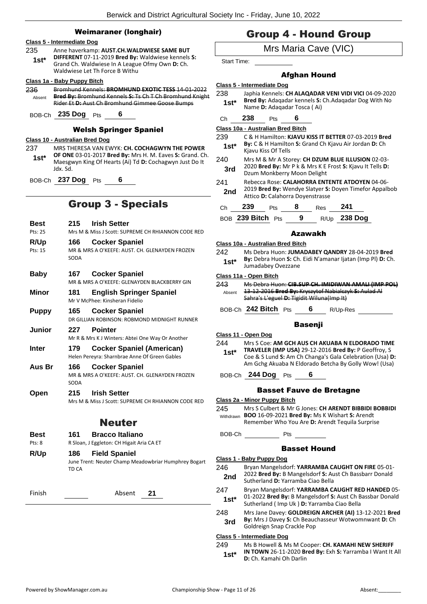## Weimaraner (longhair)

|                | Weimaraner (Ionghair)                                                                                                                                                                                               |
|----------------|---------------------------------------------------------------------------------------------------------------------------------------------------------------------------------------------------------------------|
| 235<br>$1st*$  | Class 5 - Intermediate Dog<br>Anne haverkamp: AUST.CH.WALDWIESE SAME BUT<br>DIFFERENT 07-11-2019 Bred By: Waldwiese kennels S:<br>Grand Ch. Waldwiese In A League Ofmy Own D: Ch.<br>Waldwiese Let Th Force B Withu |
| 236<br>Absent  | Class 1a - Baby Puppy Bitch<br>Bromhund Kennels: BROMHUND EXOTIC TESS 14-01-2022<br>Bred By: Bromhund Kennels S: Ts Ch T Ch Bromhund Knight<br>Rider Et D: Aust Ch Bromhund Gimmee Goose Bumps                      |
|                | BOB-Ch 235 Dog Pts<br>- 6                                                                                                                                                                                           |
|                | <b>Welsh Springer Spaniel</b>                                                                                                                                                                                       |
| 237<br>1st*    | Class 10 - Australian Bred Dog<br>MRS THERESA VAN EWYK: CH. COCHAGWYN THE POWER<br>OF ONE 03-01-2017 Bred By: Mrs H. M. Eaves S: Grand. Ch.<br>Maesgwyn King Of Hearts (Ai) Td D: Cochagwyn Just Do It<br>Jdx. Sd.  |
|                | BOB-Ch 237 Dog Pts<br>6                                                                                                                                                                                             |
|                | <b>Group 3 - Specials</b>                                                                                                                                                                                           |
| Best           | <b>Irish Setter</b><br>215                                                                                                                                                                                          |
| Pts: 25        | Mrs M & Miss J Scott: SUPREME CH RHIANNON CODE RED                                                                                                                                                                  |
| <b>R/Up</b>    | <b>Cocker Spaniel</b><br>166                                                                                                                                                                                        |
| Pts: 15        | MR & MRS A O'KEEFE: AUST. CH. GLENAYDEN FROZEN<br>SODA                                                                                                                                                              |
| <b>Baby</b>    | <b>Cocker Spaniel</b><br>167<br>MR & MRS A O'KEEFE: GLENAYDEN BLACKBERRY GIN                                                                                                                                        |
| Minor          | 181<br><b>English Springer Spaniel</b><br>Mr V McPhee: Kinsheran Fidelio                                                                                                                                            |
| <b>Puppy</b>   | 165<br><b>Cocker Spaniel</b><br>DR GILLIAN ROBINSON: ROBMOND MIDNIGHT RUNNER                                                                                                                                        |
| Junior         | 227<br><b>Pointer</b><br>Mr R & Mrs K J Winters: Abtei One Way Or Another                                                                                                                                           |
| Inter          | <b>Cocker Spaniel (American)</b><br>179<br>Helen Pereyra: Sharnbrae Anne Of Green Gables                                                                                                                            |
| Aus Br         | <b>Cocker Spaniel</b><br>166<br>MR & MRS A O'KEEFE: AUST. CH. GLENAYDEN FROZEN<br>SODA                                                                                                                              |
| Open           | 215<br><b>Irish Setter</b><br>Mrs M & Miss J Scott: SUPREME CH RHIANNON CODE RED                                                                                                                                    |
|                | <b>Neuter</b>                                                                                                                                                                                                       |
| Best<br>Pts: 8 | 161<br><b>Bracco Italiano</b><br>R Sloan, J Eggleton: CH Higait Aria CA ET                                                                                                                                          |
| R/Up           | <b>Field Spaniel</b><br>186<br>June Trent: Neuter Champ Meadowbriar Humphrey Bogart<br>TD CA                                                                                                                        |
| Finish         | Absent<br>21                                                                                                                                                                                                        |

# Group 4 - Hound Group

Mrs Maria Cave (VIC)

Start Time:

## Afghan Hound

**Class 5 - Intermediate Dog**

- 238 Japhia Kennels: **CH ALAQADAR VENI VIDI VICI** 04-09-2020 **Bred By:** Adaqadar kennels **S:** Ch.Adaqadar Dog With No **1st\* Bred By:** Adaqadar Kennels S:<br>Name D: Adaqadar Tosca ( Ai)
- Ch **238** Pts **6**

**Class 10a - Australian Bred Bitch**

- 239 C & H Hamilton: **KJAVU KISS IT BETTER** 07-03-2019 **Bred By:** C & H Hamilton **S:** Grand Ch Kjavu Air Jordan **D:** Ch **1st\* by:** C & H Hamilto<br>**Kjavu Kiss Of Tells**
- 240 Mrs M & Mr A Storey: **CH DZUM BLUE ILLUSION** 02-03- 2020 **Bred By:** Mr P k & Mrs K E Frost **S:** Kjavu It Tells **D: 3rd** 2020 **Bred By:** Mr P k & Mrs K E<br>Dzum Monkberry Moon Delight
- 241 Rebecca Rose: **CALAHORRA ENTENTE ATDOYEN** 04-06- 2019 **Bred By:** Wendye Slatyer **S:** Doyen Timefor Appalbob **2nd** <sup>2019</sup> Bred By: Wendye Slatyer S:<br>Attico D: Calahorra Doyenstrasse

| Ch | 239               | <b>Pts</b> | 8 | Res | - 241        |
|----|-------------------|------------|---|-----|--------------|
|    | BOB 239 Bitch Pts |            | 9 |     | R/Up 238 Dog |

## Azawakh

| Class 10a - Australian Bred Bitch |                                                                                  |  |  |  |  |
|-----------------------------------|----------------------------------------------------------------------------------|--|--|--|--|
| 242                               | Ms Debra Huon: JUMADABEY QANDRY 28-04-2019 Bred                                  |  |  |  |  |
| $1st*$                            | By: Debra Huon S: Ch. Eidi N'amanar Ijatan (Imp PI) D: Ch.<br>Jumadabey Ovezzane |  |  |  |  |

**Class 11a - Open Bitch**

| 243    | Ms Debra Huon: CIB.SUP CH. IMIDIWAN AMALI (IMP POL)  |
|--------|------------------------------------------------------|
| Absent | 13-12-2016 Bred By: Kryszytof Nabialczyk S: Aulad Al |
|        | Sahra's L'eguel D: Tigidit Wiluna(Imp It)            |
|        | ------                                               |

BOB-Ch **242 Bitch** Pts **6** R/Up-Res

## Basenji

**Class 11 - Open Dog**

244 Mrs S Coe: **AM GCH AUS CH AKUABA N ELDORADO TIME TRAVELER (IMP USA)** 29-12-2016 **Bred By:** P Geoffroy, S Coe & S Lund **S:** Am Ch Changa's Gala Celebration (Usa) **D:**  Am Gchg Akuaba N Eldorado Betcha By Golly Wow! (Usa) **1st\***

BOB-Ch **244 Dog** Pts **6**

## Basset Fauve de Bretagne

#### **Class 2a - Minor Puppy Bitch**

245 Mrs S Culbert & Mr G Jones: **CH ARENDT BIBBIDI BOBBIDI BOO** 16-09-2021 **Bred By:** Ms K Wishart **S:** Arendt Remember Who You Are **D:** Arendt Tequila Surprise Withdrawn

BOB-Ch Pts

## Basset Hound

- **Class 1 - Baby Puppy Dog** 246 Bryan Mangelsdorf: **YARRAMBA CAUGHT ON FIRE** 05-01- 2022 **Bred By:** B Mangelsdorf **S:** Aust Ch Bassbarr Donald **2nd** <sup>2022</sup> **Brea By:** B Mangelsdort **3:** At Sutherland **D:** Yarramba Ciao Bella 247 Bryan Mangelsdorf: **YARRAMBA CAUGHT RED HANDED** 05-
- 01-2022 **Bred By:** B Mangelsdorf **S:** Aust Ch Bassbar Donald **1st**\* 01-2022 **Bred By:** B Mangelsdort **S:** Aust Ch B<br>Sutherland ( Imp Uk ) **D:** Yarramba Ciao Bella
- 248 Mrs Jane Davey: **GOLDREIGN ARCHER (AI)** 13-12-2021 **Bred By:** Mrs J Davey **S:** Ch Beauchasseur Wotwomnwant **D:** Ch **3rd** By: Mrs J Davey S: Ch Beaud<br>Goldreign Snap Crackle Pop

## **Class 5 - Intermediate Dog**

249 Ms B Howell & Ms M Cooper: **CH. KAMAHI NEW SHERIFF IN TOWN** 26-11-2020 **Bred By:** Exh **S:** Yarramba I Want It All **1st\*** IN TOWN 26-11-2020 Br<br>D: Ch. Kamahi Oh Darlin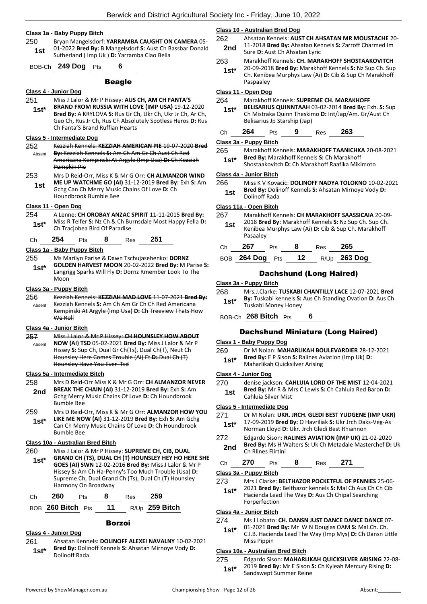#### **Class 1a - Baby Puppy Bitch**

250 Bryan Mangelsdorf: **YARRAMBA CAUGHT ON CAMERA** 05- 01-2022 **Bred By:** B Mangelsdorf **S:** Aust Ch Bassbar Donald **1st** 01-2022 **Bred By:** B Mangelsdort **S:** Aust Ch B<br>Sutherland ( Imp Uk ) **D:** Yarramba Ciao Bella

BOB-Ch **249 Dog** Pts **6**

#### Beagle

#### **Class 4 - Junior Dog**

251 Miss J Lalor & Mr P Hissey: **AUS CH, AM CH FANTA'S BRAND FROM RUSSIA WITH LOVE (IMP USA)** 19-12-2020 **Bred By:** A KRYLOVA **S:** Rus Gr Ch, Ukr Ch, Ukr Jr Ch, Ar Ch, Geo Ch, Rus Jr Ch, Rus Ch Absolutely Spotless Heros **D:** Rus Ch Fanta'S Brand Ruffian Hearts **1st\***

## **Class 5 - Intermediate Dog**

- 252 Kezziah Kennels: **KEZZIAH AMERICAN PIE** 19-07-2020 **Bred By:** Kezziah Kennels **S:** Am Ch Am Gr Ch Aust Ch Red Absent
- Americana Kempinski At Argyle (Imp Usa) **D:** Ch Kezziah Pumpkin Pie 253 Mrs D Reid-Orr, Miss K & Mr G Orr: **CH ALMANZOR WIND**
- **ME UP WATCHME GO (AI)** 31-12-2019 **Bred By:** Exh **S:** Am Gchg Can Ch Merry Music Chains Of Love **D:** Ch Houndbrook Bumble Bee **1st**

## **Class 11 - Open Dog**

254 A Lenne: **CH OROBAY ANZAC SPIRIT** 11-11-2015 **Bred By:** Miss R Telfer **S:** Nz Ch & Ch Burnsdale Most Happy Fella **D: 1st\*** IVIISS K Telfer **5:** Nz Ch & Ch Bu Ch Tracjobea Bird Of Paradise

Ch **254** Pts **8** Res **251**

## **Class 1a - Baby Puppy Bitch**

- 255 Ms Marilyn Parise & Dawn Tschujasehenko: **DORNZ**
- **GOLDEN HARVEST MOON** 20-02-2022 **Bred By:** M Parise **S:**  Langrigg Sparks Will Fly **D:** Dornz Rmember Look To The Moon **1st\***

#### **Class 3a - Puppy Bitch**

- 256 Kezziah Kennels: **KEZZIAH MAD LOVE** 11-07-2021 **Bred By:**
- Kezziah Kennels **S:** Am Ch Am Gr Ch Ch Red Americana Kempinski At Argyle (Imp Usa) **D:** Ch Treeview Thats How We Roll Absent

#### **Class 4a - Junior Bitch**

- 257 Miss J Lalor & Mr P Hissey: **CH HOUNSLEY HOW ABOUT**
- **NOW (AI) TSD** 05-02-2021 **Bred By:** Miss J Lalor & Mr P Hissey **S:** Sup Ch, Dual Gr Ch(Ts), Dual Ch(T), Neut Ch Hounsley Here Comes Trouble (Ai) Et **D:** Dual Ch (T) Hounsley Have You Ever Tsd Absent

#### **Class 5a - Intermediate Bitch**

- 258 Mrs D Reid-Orr Miss K & Mr G Orr: **CH ALMANZOR NEVER BREAK THE CHAIN (AI)** 31-12-2019 **Bred By:** Exh **S:** Am Gchg Merry Music Chains Of Love **D:** Ch Houndbrook Bumble Bee **2nd**
- 259 Mrs D Reid-Orr, Miss K & Mr G Orr: **ALMANZOR HOW YOU LIKE ME NOW (AI)** 31-12-2019 **Bred By:** Exh **S:** Am Gchg **1st\***
- Can Ch Merry Music Chains Of Love **D:** Ch Houndbrook Bumble Bee

## **Class 10a - Australian Bred Bitch**

260 Miss J Lalor & Mr P Hissey: **SUPREME CH, CIB, DUAL GRAND CH (TS), DUAL CH (T) HOUNSLEY HEY HO HERE SHE GOES (AI) SWN** 12-02-2016 **Bred By:** Miss J Lalor & Mr P Hissey **S:** Am Ch Ha-Penny's Too Much Trouble (Usa) **D:**  Supreme Ch, Dual Grand Ch (Ts), Dual Ch (T) Hounsley Harmony On Broadway **1st\***

| ∴h | 60? | ীts | ο | Res | 259 |
|----|-----|-----|---|-----|-----|
|    |     |     |   |     |     |

BOB **260 Bitch** Pts **11** R/Up **259 Bitch**

## Borzoi

## **Class 4 - Junior Dog**

- 261 Ahsatan Kennels: **DOLINOFF ALEXEI NAVALNY** 10-02-2021 **Bred By:** Dolinoff Kennels **S:** Ahsatan Mirnoye Vody **D:**
- **1st\* Brea By:** Dolin<br>Dolinoff Rada

#### **Class 10 - Australian Bred Dog**

- 262 Ahsatan Kennels: **AUST CH AHSATAN MR MOUSTACHE** 20- 11-2018 **Bred By:** Ahsatan Kennels **S:** Zarroff Charmed Im **2nd Diagram By Ansatan Res**<br>**Sure D:** Aust Ch Ahsatan Lyric
- 263 Marakhoff Kennels: **CH. MARAKHOFF SHOSTAAKOVITCH** 20-09-2018 **Bred By:** Marakhoff Kennels **S:** Nz Sup Ch. Sup **1st\***
	- Ch. Kenibea Murphys Law (Ai) **D:** Cib & Sup Ch Marakhoff Paspaaley

## **Class 11 - Open Dog**

- 264 Marakhoff Kennels: **SUPREME CH. MARAKHOFF**
- **BELISARIUS QUINNTAAH** 03-02-2014 **Bred By:** Exh. **S:** Sup Ch Mistraka Quinn Theskimo **D:** Int/Jap/Am. Gr/Aust Ch Belisarius Jp Starship (Jap) **1st\***

|  | Ch | 264 | Pts | 9 | <b>Res</b> | 263 |
|--|----|-----|-----|---|------------|-----|
|--|----|-----|-----|---|------------|-----|

#### **Class 3a - Puppy Bitch**

265 Marakhoff Kennels: **MARAKHOFF TAANICHKA** 20-08-2021 **Bred By:** Marakhoff Kennels **S:** Ch Marakhoff **1st\* Bired By:** Marakhoff Kennels **5:** Ch Marakhoff Raafika Mikimoto **1standary** Shostaakovitch **D**: Ch Marakhoff Raafika Mikimoto

#### **Class 4a - Junior Bitch**

266 Miss K V Kovacic: **DOLINOFF NADYA TOLOKNO** 10-02-2021 **Bred By:** Dolinoff Kennels **S:** Ahsatan Mirnoye Vody **D: 1st Brea By:** DOII

## **Class 11a - Open Bitch**

267 Marakhoff Kennels: **CH MARAKHOFF SAASSICAIA** 20-09- 2018 **Bred By:** Marakhoff Kennels **S:** Nz Sup Ch. Sup Ch. Kenibea Murphys Law (Ai) **D:** Cib & Sup Ch. Marakhoff Pasaaley **1st**

| €Ch | 67 | w | אם י | 65 |
|-----|----|---|------|----|
|     |    |   |      |    |

| BOB 264 Dog Pts | 12 | R/Up 263 Dog |
|-----------------|----|--------------|
|                 |    |              |

## Dachshund (Long Haired)

#### **Class 3a - Puppy Bitch**

268 Mrs.J.Clarke: **TUSKABI CHANTILLY LACE** 12-07-2021 **Bred By:** Tuskabi kennels **S:** Aus Ch Standing Ovation **D:** Aus Ch **1st\* By:** Tuskabi Kennels S:<br>Tuskabi Money Honey

BOB-Ch **268 Bitch** Pts **6**

## Dachshund Miniature (Long Haired)

#### **Class 1 - Baby Puppy Dog**

269 Dr M Nolan: **MAHARLIKAH BOULEVARDIER** 28-12-2021 **Bred By:** E P Sison **S:** Ralines Aviation (Imp Uk) **D:**  1st\* Bred By: E P Sison S: Ralines Av<br>Maharlikah Quicksilver Arising

#### **Class 4 - Junior Dog**

- 270 denise jackson: **CAHLUIA LORD OF THE MIST** 12-04-2021
- **Bred By:** Mr R & Mrs C Lewis **S:** Ch Cahluia Red Baron **D:**
- **1st Example 1 St Example 1 St Cahluia Silver Mist**

## **Class 5 - Intermediate Dog**

- 271 Dr M Nolan: **UKR. JRCH. GLEDI BEST YUDGENE (IMP UKR)** 17-09-2019 **Bred By:** O Havriliak **S:** Ukr Jrch Daks-Veg-As Norman Lloyd **D:** Ukr. Jrch Gledi Best Rhiannon **1st\***
- 272 Edgardo Sison: **RALINES AVIATION (IMP UK)** 21-02-2020 **Bred By:** Ms H Walters **S:** Uk Ch Metadale Masterchef **D:** Uk **2nd** Brea By: MS H V
- Ch **270** Pts **8** Res **271**

#### **Class 3a - Puppy Bitch**

273 Mrs J Clarke: **BELTHAZOR POCKETFUL OF PENNIES** 25-06- 2021 **Bred By:** Belthazor kennels **S:** Mal Ch Aus Ch Ch Cib Hacienda Lead The Way **D:** Aus Ch Chipal Searching Forperfection **1st\***

#### **Class 4a - Junior Bitch**

- 274 Ms J Lobato: **CH. DANSN JUST DANCE DANCE DANCE** 07-
	- 01-2021 **Bred By:** Mr W N Douglas OAM **S:** Mal.Ch. Ch.
	- C.I.B. Hacienda Lead The Way (Imp Mys) **D:** Ch Dansn Little Miss Pippin **1st\***

#### **Class 10a - Australian Bred Bitch**

275 Edgardo Sison: **MAHARLIKAH QUICKSILVER ARISING** 22-08- 2019 **Bred By:** Mr E Sison **S:** Ch Kyleah Mercury Rising **D: 1st\*** <u>LOIS Brea By:</u> Mr E Sison Sandswept Summer Reine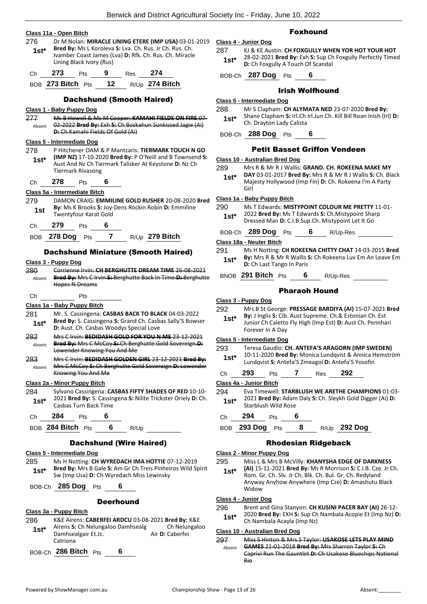|  | Class 11a - Open Bitch |  |
|--|------------------------|--|
|  |                        |  |

276 Dr M Nolan: **MIRACLE LINING ETERE (IMP USA)** 03-01-2019 **Bred By:** Ms L Koroleva **S:** Lva. Ch. Rus. Jr Ch. Rus. Ch. Ivamber Coast James (Lva) **D:** Rfk. Ch. Rus. Ch. Miracle Lining Black Ivory (Rus) **1st\*** Ch **273** Pts **9** Res **274**

BOB **273 Bitch** Pts **12** R/Up **274 Bitch**

## Dachshund (Smooth Haired)

#### **Class 1 - Baby Puppy Dog**

277 Ms B Howell & Ms M Cooper: **KAMAHI FIELDS ON FIRE** 07- 02-2022 **Bred By:** Exh **S:** Ch Boskahun Sunkissed Jagie (Ai) **D:** Ch Kamahi Fields Of Gold (Ai) Absent

#### **Class 5 - Intermediate Dog**

278 P Hitchener OAM & P Mantzaris: **TIERMARK TOUCH N GO (IMP NZ)** 17-10-2020 **Bred By:** P O'Neill and B Townsend **S:**  Aust And Nz Ch Tiermark Talisker At Keystone **D:** Nz Ch Tiermark Rivasong **1st\***

Ch **278** Pts **6**

## **Class 5a - Intermediate Bitch**

- 279 DAMON CRAIG: **EMMILINE GOLD RUSHER** 20-08-2020 **Bred By:** Ms K Brooks **S:** Joy-Dens Rockin Robin **D:** Emmiline **1st by:** IVIS **K** BLOOKS **3:** JOY-
- Ch **279** Pts **6**

| BOB 278 Dog Pts |  | R/Up 279 Bitch |
|-----------------|--|----------------|
|                 |  |                |

## Dachshund Miniature (Smooth Haired)

## **Class 3 - Puppy Dog**

280 Corrienne Irvin: **CH BERGHUTTE DREAM TIME** 26-08-2021 **Bred By:** Mrs C Irvin **S:** Berghutte Back In Time **D:** Berghutte Hopes N Dreams Absent Ch Pts **Class 1a - Baby Puppy Bitch**

#### 281 Mr. S. Cassingena: **CASBAS BACK TO BLACK** 04-03-2022 **Bred By:** S. Cassingena **S:** Grand Ch. Casbas Sally'S Bowser **1st\* Died by:** S. Cassingena S. Grand Cn. Casb<br>**1st\* D:** Aust. Ch. Casbas Woodys Special Love

- 282 Mrs C Irvin: **BEDIDASH GOLD FOR YOU N ME** 23-12-2021 **Bred By:** Mrs C McCoy **S:** Ch Berghutte Gold Sovereign **D:**  Lowender Knowing You And Me Absent
- 283 Mrs C Irvin: **BEDIDASH GOLDEN GIRL** 23-12-2021 **Bred By:** Mrs C McCoy **S:** Ch Berghutte Gold Sovereign **D:** Lowender Knowing You And Me Absent

## **Class 2a - Minor Puppy Bitch**

284 Sylvano Cassingena: **CASBAS FIFTY SHADES OF RED** 10-10- 2021 **Bred By:** S. Cassingena **S:** Nilite Trickster Oriely **D:** Ch. 1st<sup>\*</sup> 2021 Bred By: S. Cassir<br>Casbas Turn Back Time

Ch **284** Pts **6**

| BOB 284 Bitch Pts |  |  | R/U <sub>p</sub> |  |
|-------------------|--|--|------------------|--|
|-------------------|--|--|------------------|--|

## Dachshund (Wire Haired)

#### **Class 5 - Intermediate Dog**

285 Ms H Notting: **CH WYREDACH IMA HOTTIE** 07-12-2019 **Bred By:** Mrs B Gale **S:** Am Gr Ch Treis Pinheiros Wild Spirit **Subset Brea By:** Mrs B Gale **S:** Am Gr Ch Treis Pinner<br>Sw (Imp Usa) **D:** Ch Wyredach Miss Lewinsky

## BOB-Ch **285 Dog** Pts **6**

## **Deerhound**

#### **Class 3a - Puppy Bitch**

286 K&E Airens: **CABERFEI ARDCU** 03-08-2021 **Bred By:** K&E Airens S: Ch Nelungaloo Damhsealg Ch Nelungaloo Damhsealgair Et.Jc. **Air D: Caberfei** Catriona **1st\***

## BOB-Ch **286 Bitch** Pts **6**

## Foxhound

- **Class 4 - Junior Dog**
	- 287 KJ & KE Austin: **CH FOXGULLY WHEN YOR HOT YOUR HOT** 28-02-2021 **Bred By:** Exh **S:** Sup Ch Foxgully Perfectly Timed **1st**\* 28-02-2021 **Bred By:** Exh **5:** Sup Ch Foxgully A Touch Of Scandal

BOB-Ch **287 Dog** Pts **6**

## Irish Wolfhound

## **Class 5 - Intermediate Dog**

- 288 Mr S Clapham: **CH ALYMATA NED** 23-07-2020 **Bred By:**
	- Shane Clapham **S:** Irl.Ch Irl.Jun Ch. Kill Bill Roan Inish (Irl) **D: 1st** <sup>5nane</sup> Chapnam **5:** iri.Ch<br>**1st** Ch. Drayton Lady Calista

## BOB-Ch **288 Dog** Pts **6**

## Petit Basset Griffon Vendeen

## **Class 10 - Australian Bred Dog**

- 289 Mrs R & Mr R J Wallis: **GRAND. CH. ROKEENA MAKE MY**
- **DAY** 03-01-2017 **Bred By:** Mrs R & Mr R J Wallis **S:** Ch. Black Majesty Hollywood (Imp Fin) **D:** Ch. Rokeena I'm A Party Girl **1st\***

#### **Class 1a - Baby Puppy Bitch**

- 290 Ms T Edwards: **MISTYPOINT COLOUR ME PRETTY** 11-01- 2022 **Bred By:** Ms T Edwards **S:** Ch.Mistypoint Sharp
	- **1st** 2022 **Brea By:** IVIS TE awards **3:** Ch.IVIIstypoint Share Dressed Man **D**: C.I.B.Sup.Ch. Mistypoint Let It Go

BOB-Ch **289 Dog** Pts **6** R/Up-Res

## **Class 18a - Neuter Bitch**

- 291 Ms H Notting: **CH ROKEENA CHITTY CHAT** 14-03-2015 **Bred By:** Mrs R & Mr R Wallis **S:** Ch Rokeena Luv Em An Leave Em **1st<sup>\*</sup> by:** INITS K & IVIT K Wallis **1st**<br>**D:** Ch Last Tango In Paris
- BNOB **291 Bitch** Pts **6** R/Up-Res

## Pharaoh Hound

## **Class 3 - Puppy Dog**

- 292 Mrs B St George: **PRESSAGE BARDIYA (AI)** 15-07-2021 **Bred By:** J Inglis **S:** Cib. Aust Supreme. Ch.& Estonian Ch. Est **1st\***
	- Junior Ch Caletto Fly High (Imp Est) **D:** Aust Ch. Pennhari Forever In A Day

## **Class 5 - Intermediate Dog**

- 293 Teresa Gaudio: **CH. ANTEFA'S ARAGORN (IMP SWEDEN)** 10-11-2020 **Bred By:** Monica Lundqvist & Annica Hemström Lundqvist **S:** Antefa'S Zmeagol **D:** Antefa'S Yosofin **1st\***
- Ch **293** Pts **7** Res **292**

#### **Class 4a - Junior Bitch**

294 Eva Timewell: **STARBLUSH WE ARETHE CHAMPIONS** 01-03- 2021 **Bred By:** Adam Daly **S:** Ch. Sleykh Gold Digger (Ai) **D:** 

Ch **294** Pts **6**

## BOB **293 Dog** Pts **8** R/Up **292 Dog**

## Rhodesian Ridgeback

## **Class 2 - Minor Puppy Dog**

- 295 Miss L & Mrs B McVilly: **KHANYSHA EDGE OF DARKNESS** 
	- **(AI)** 15-11-2021 **Bred By:** Ms R Morrison **S:** C.I.B. Cze. Jr Ch. Rom. Gr. Ch. Slv. Jr Ch. Blk. Ch. Bul. Gr. Ch. Redyland Anyway Anyhow Anywhere (Imp Cze) **D:** Amashutu Black **Widow 1st\***

#### **Class 4 - Junior Dog**

#### 296 Brent and Gina Stanyon: **CH KUSINI PACER BAY (AI)** 26-12- 2020 **Bred By:** EXH **S:** Sup Ch Nambala Acopie Et (Imp Nz) **D:**

1st<sup>\*</sup> 2020 Brea By: EXH 5: Sup Ch<br>Ch Nambala Acayla (Imp Nz)

## **Class 10 - Australian Bred Dog**

297 Miss S Hinton & Mrs S Taylor: **USAKOSE LETS PLAY MIND GAMES** 21-01-2018 **Bred By:** Mrs Sharron Taylor **S:** Ch Caprivi Run The Gauntlet **D:** Ch Usakose Bluechips National Rio Absent

1st\* <sup>2021</sup> Brea By: Adam<br>Starblush Wild Rose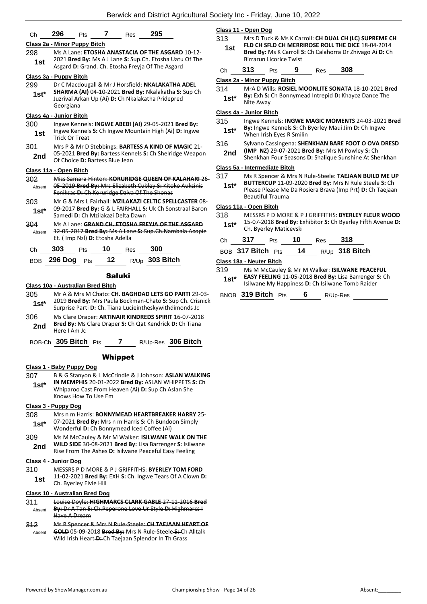## Ch **296** Pts **7** Res **295 Class 2a - Minor Puppy Bitch** 298 Ms A Lane: **ETOSHA ANASTACIA OF THE ASGARD** 10-12- 2021 **Bred By:** Ms A J Lane **S:** Sup.Ch. Etosha Uatu Of The **1st** *LOZI* **Brea by:** IVIS A J Lane **3:** Sup.Cn. Etosha Datu<br>Asgard **D:** Grand. Ch. Etosha Freyja Of The Asgard **Class 3a - Puppy Bitch** 299 Dr C Macdougall & Mr J Horsfield: **NKALAKATHA ADEL SHARMA (AI)** 04-10-2021 **Bred By:** Nkalakatha **S:** Sup Ch Juzrival Arkan Up (Ai) **D:** Ch Nkalakatha Pridepred Georgiana **1st\* Class 4a - Junior Bitch** 300 Ingwe Kennels: **INGWE ABEBI (AI)** 29-05-2021 **Bred By:** Ingwe Kennels **S:** Ch Ingwe Mountain High (Ai) **D:** Ingwe **1st Ingwe Nermers**<br>Trick Or Treat 301 Mrs P & Mr D Stebbings: **BARTESS A KIND OF MAGIC** 21- 05-2021 **Bred By:** Bartess Kennels **S:** Ch Shelridge Weapon **2nd** US-2021 **Drea by.** Bartess Nue Jean **2nd** Of Choice **D:** Bartess Blue Jean **Class 11a - Open Bitch** 302 Miss Samara Hinton: **KORURIDGE QUEEN OF KALAHARI** 26- 05-2019 **Bred By:** Mrs Elizabeth Cubley **S:** Kitoko Auksinis Feniksas **D:** Ch Koruridge Dziva Of The Shonas Absent 303 Mr G & Mrs L Fairhall: **MZILAKAZI CELTIC SPELLCASTER** 08- 09-2017 **Bred By:** G & L FAIRHALL **S:** Uk Ch Sonstraal Baron Samedi **D:** Ch Mzilakazi Delta Dawn **1st\*** 304 Ms A Lane: **GRAND CH. ETOSHA FREYJA OF THE ASGARD** 12-05-2017 **Bred By:** Ms A Lane **S:** Sup.Ch.Nambala Acopie Et. ( Imp Nzl) **D:** Etosha Adella Absent Ch **303** Pts **10** Res **300**

| BOB 296 Dog Pts 12 |  | R/Up <b>303 Bitch</b> |
|--------------------|--|-----------------------|
|                    |  |                       |

#### Saluki

## **Class 10a - Australian Bred Bitch**

- 305 Mr A & Mrs M Chato: **CH. BAGHDAD LETS GO PARTI** 29-03- 2019 **Bred By:** Mrs Paula Bockman-Chato **S:** Sup Ch. Crisnick Surprise Parti **D:** Ch. Tiana Lucieintheskywithdimonds Jc **1st\***
- 306 Ms Clare Draper: **ARTINAIR KINDREDS SPIRIT** 16-07-2018 **Bred By:** Ms Clare Draper **S:** Ch Qat Kendrick **D:** Ch Tiana **2nd Brea By:** IVIS<br>Here I Am Jc
- BOB-Ch **305 Bitch** Pts **7** R/Up-Res **306 Bitch**

## Whippet

#### **Class 1 - Baby Puppy Dog**

307 B & G Stanyon & L McCrindle & J Johnson: **ASLAN WALKING IN MEMPHIS** 20-01-2022 **Bred By:** ASLAN WHIPPETS **S:** Ch Whiparoo Cast From Heaven (Ai) **D:** Sup Ch Aslan She Knows How To Use Em **1st\***

#### **Class 3 - Puppy Dog**

- 308 Mrs n m Harris: **BONNYMEAD HEARTBREAKER HARRY** 25- 07-2021 **Bred By:** Mrs n m Harris **S:** Ch Bundoon Simply Wonderful **D:** Ch Bonnymead Iced Coffee (Ai) **1st\***
- 309 Ms M McCauley & Mr M Walker: **ISILWANE WALK ON THE WILD SIDE** 30-08-2021 **Bred By:** Lisa Barrenger **S:** Isilwane Rise From The Ashes **D:** Isilwane Peaceful Easy Feeling **2nd**

#### **Class 4 - Junior Dog**

310 MESSRS P D MORE & P J GRIFFITHS: **BYERLEY TOM FORD** 11-02-2021 **Bred By:** EXH **S:** Ch. Ingwe Tears Of A Clown **D: 1st** LI-02-2021 **Drea by:**<br>Ch. Byerley Elvie Hill

## **Class 10 - Australian Bred Dog**

- 311 Louise Doyle: **HIGHMARCS CLARK GABLE** 27-11-2016 **Bred By:** Dr A Tan **S:** Ch.Peperone Love Ur Style **D:** Highmarcs I Have A Dream Absent
- 312 Ms R Spencer & Mrs N Rule-Steele: **CH TAEJAAN HEART OF GOLD** 05-09-2018 **Bred By:** Mrs N Rule-Steele **S:** Ch Alltalk Wild Irish Heart **D:** Ch Taejaan Splendor In Th Grass Absent

## **Class 11 - Open Dog**

- 313 Mrs D Tuck & Ms K Carroll: **CH DUAL CH (LC) SUPREME CH FLD CH SFLD CH MERRIROSE ROLL THE DICE** 18-04-2014
	- **Bred By:** Ms K Carroll **S:** Ch Calahorra Dr Zhivago Ai **D:** Ch Birrarun Licorice Twist **1st**
- Ch **313** Pts **9** Res **308**

## **Class 2a - Minor Puppy Bitch**

314 MrA D Wills: **ROSIEL MOONLITE SONATA** 18-10-2021 **Bred By:** Exh **S:** Ch Bonnymead Intrepid **D:** Khayoz Dance The **1st<sup>\*</sup>** By: Exn S:<br>Nite Away

## **Class 4a - Junior Bitch**

- 315 Ingwe Kennels: **INGWE MAGIC MOMENTS** 24-03-2021 **Bred By:** Ingwe Kennels **S:** Ch Byerley Maui Jim **D:** Ch Ingwe **1st\* By:** Ingwe Kennels **S:** Ch
- 316 Sylvano Cassingena: **SHENKHAN BARE FOOT O OVA DRESD (IMP NZ)** 29-07-2021 **Bred By:** Mrs M Powley **S:** Ch
- 2nd (IMP NZ) 29-07-2021 Brea By: Mrs M Powiey S: Ch<br>Shenkhan Four Seasons D: Shalique Sunshine At Shenkhan

## **Class 5a - Intermediate Bitch**

- 317 Ms R Spencer & Mrs N Rule-Steele: **TAEJAAN BUILD ME UP** 
	- **BUTTERCUP** 11-09-2020 **Bred By:** Mrs N Rule Steele **S:** Ch Please Please Me Da Rosiera Brava (Imp Prt) **D:** Ch Taejaan Beautiful Trauma **1st\***

## **Class 11a - Open Bitch**

318 MESSRS P D MORE & P J GRIFFITHS: **BYERLEY FLEUR WOOD** 15-07-2018 **Bred By:** Exhibitor **S:** Ch Byerley Fifth Avenue **D:**  1st\* 15-07-2018 Brea By: E.<br>Ch. Byerley Maticevski

| Ch 317 Pts 10 Res 318 |  |                                       |
|-----------------------|--|---------------------------------------|
|                       |  | BOB 317 Bitch Pts $14$ R/Up 318 Bitch |

## **Class 18a - Neuter Bitch**

- 319 Ms M McCauley & Mr M Walker: **ISILWANE PEACEFUL EASY FEELING** 11-05-2018 **Bred By:** Lisa Barrenger **S:** Ch **1st\* EASY FEELING** 11-05-2018 **Bred By:** Lisa Barrenger **1state** Isilwane My Happiness **D:** Ch Isilwane Tomb Raider
- BNOB **319 Bitch** Pts **6** R/Up-Res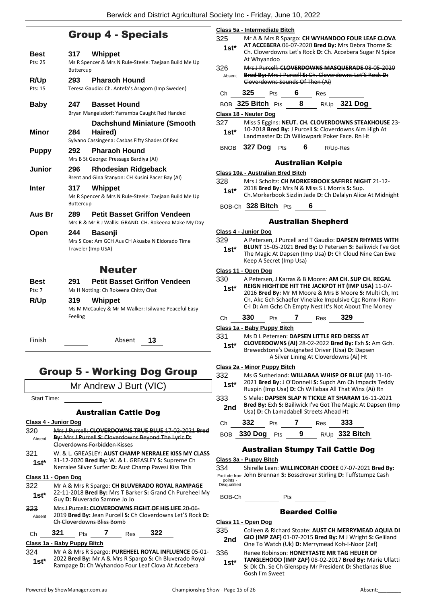## Group 4 - Specials

| Best<br>Pts: 25       | 317<br><b>Buttercup</b> | Whippet<br>Ms R Spencer & Mrs N Rule-Steele: Taejaan Build Me Up                             |
|-----------------------|-------------------------|----------------------------------------------------------------------------------------------|
| R/Up<br>Pts: 15       | 293                     | <b>Pharaoh Hound</b><br>Teresa Gaudio: Ch. Antefa's Aragorn (Imp Sweden)                     |
| Baby                  | 247                     | <b>Basset Hound</b><br>Bryan Mangelsdorf: Yarramba Caught Red Handed                         |
| <b>Minor</b>          | 284                     | Dachshund Miniature (Smooth<br>Haired)<br>Sylvano Cassingena: Casbas Fifty Shades Of Red     |
| <b>Puppy</b>          | 292                     | <b>Pharaoh Hound</b><br>Mrs B St George: Pressage Bardiya (AI)                               |
| Junior                | 296                     | Rhodesian Ridgeback<br>Brent and Gina Stanyon: CH Kusini Pacer Bay (AI)                      |
| <b>Inter</b>          | 317<br>Buttercup        | Whippet<br>Ms R Spencer & Mrs N Rule-Steele: Taejaan Build Me Up                             |
| Aus Br                | 289                     | <b>Petit Basset Griffon Vendeen</b><br>Mrs R & Mr R J Wallis: GRAND. CH. Rokeena Make My Day |
| Open                  | 244                     | <b>Basenji</b><br>Mrs S Coe: Am GCH Aus CH Akuaba N Eldorado Time<br>Traveler (Imp USA)      |
|                       |                         | Neuter                                                                                       |
| <b>Best</b><br>Pts: 7 | 291                     | <b>Petit Basset Griffon Vendeen</b><br>Ms H Notting: Ch Rokeena Chitty Chat                  |
| R/Up                  | 319<br>Feeling          | Whippet<br>Ms M McCauley & Mr M Walker: Isilwane Peaceful Easy                               |

Ms M McCauley & Mr M Walker: Isilwane Peaceful Easy Feeling

# Group 5 - Working Dog Group

Finish Absent **13**

Mr Andrew J Burt (VIC)

Start Time:

## Australian Cattle Dog

#### **Class 4 - Junior Dog**

- 320 Mrs J Purcell: **CLOVERDOWNS TRUE BLUE** 17-02-2021 **Bred By:** Mrs J Purcell **S:** Cloverdowns Beyond The Lyric **D:**  Cloverdowns Forbidden Kisses Absent
- 321 W. & L. GREASLEY: **AUST CHAMP NERRALEE KISS MY CLASS** 31-12-2020 **Bred By:** W. & L. GREASLEY **S:** Supreme Ch Nerralee Silver Surfer **D:** Aust Champ Pavesi Kiss This **1st\***

## **Class 11 - Open Dog**

- 322 Mr A & Mrs R Spargo: **CH BLUVERADO ROYAL RAMPAGE** 22-11-2018 **Bred By:** Mrs T Barker **S:** Grand Ch Pureheel My **1st**\* **Guy D: Bluverado Samme Jo Jo 1941**
- 323 Mrs J Purcell: **CLOVERDOWNS FIGHT OF HIS LIFE** 20-06- 2019 **Bred By:** Jean Purcell **S:** Ch Cloverdowns Let'S Rock **D:**  Ch Cloverdowns Bliss Bomb Absent

## Ch **321** Pts **7** Res **322**

#### **Class 1a - Baby Puppy Bitch**

324 Mr A & Mrs R Spargo: **PUREHEEL ROYAL INFLUENCE** 05-01- 2022 **Bred By:** Mr A & Mrs R Spargo **S:** Ch Bluverado Royal 1st\* 2022 Brea By: Mr A & Mrs R Spargo S: Ch Bluverado Roy<br>Rampage D: Ch Wyhandoo Four Leaf Clova At Accebera

| Class 5a - Intermediate Bitch     |             |     |                                               |   |                |          |                                                                                                                                                                                                                                                                                           |
|-----------------------------------|-------------|-----|-----------------------------------------------|---|----------------|----------|-------------------------------------------------------------------------------------------------------------------------------------------------------------------------------------------------------------------------------------------------------------------------------------------|
| 325<br>$1st*$                     | At Whyandoo |     |                                               |   |                |          | Mr A & Mrs R Spargo: CH WYHANDOO FOUR LEAF CLOVA<br>AT ACCEBERA 06-07-2020 Bred By: Mrs Debra Thorne S:<br>Ch. Cloverdowns Let's Rock D: Ch. Accebera Sugar N Spice                                                                                                                       |
| 326<br>Absent                     |             |     | Cloverdowns Sounds Of Then (Ai)               |   |                |          | Mrs J Purcell: CLOVERDOWNS MASQUERADE 08-05-2020<br>Bred By: Mrs J Purcell S: Ch. Cloverdowns Let'S Rock D:                                                                                                                                                                               |
| Сh                                | 325         | Pts | 6                                             |   | Res            |          |                                                                                                                                                                                                                                                                                           |
| BOB 325 Bitch Pts                 |             |     | 8                                             |   | $R/Up$ 321 Dog |          |                                                                                                                                                                                                                                                                                           |
| Class 18 - Neuter Dog             |             |     |                                               |   |                |          |                                                                                                                                                                                                                                                                                           |
| 327<br>$1st*$                     |             |     | Landmaster D: Ch Willowpark Poker Face. Rn Ht |   |                |          | Miss S Eggins: NEUT. CH. CLOVERDOWNS STEAKHOUSE 23-<br>10-2018 Bred By: J Purcell S: Cloverdowns Aim High At                                                                                                                                                                              |
| BNOB 327 Dog Pts                  |             |     |                                               | 6 |                | R/Up-Res |                                                                                                                                                                                                                                                                                           |
|                                   |             |     | <b>Australian Kelpie</b>                      |   |                |          |                                                                                                                                                                                                                                                                                           |
| Class 10a - Australian Bred Bitch |             |     |                                               |   |                |          |                                                                                                                                                                                                                                                                                           |
| 328<br>$1st*$                     |             |     | 2018 Bred By: Mrs N & Miss S L Morris S: Sup. |   |                |          | Mrs J Scholtz: CH MORKERBOOK SAFFIRE NIGHT 21-12-<br>Ch. Morkerbook Sizzlin Jade D: Ch Dalalyn Alice At Midnight                                                                                                                                                                          |
| BOB-Ch 328 Bitch Pts              |             |     |                                               | 6 |                |          |                                                                                                                                                                                                                                                                                           |
|                                   |             |     | <b>Australian Shepherd</b>                    |   |                |          |                                                                                                                                                                                                                                                                                           |
| <u>Class 4 - Junior Dog</u>       |             |     |                                               |   |                |          |                                                                                                                                                                                                                                                                                           |
| 329<br>$1st*$                     |             |     | Keep A Secret (Imp Usa)                       |   |                |          | A Petersen, J Purcell and T Gaudio: DAPSEN RHYMES WITH<br>BLUNT 15-05-2021 Bred By: D Petersen S: Bailiwick I've Got<br>The Magic At Dapsen (Imp Usa) D: Ch Cloud Nine Can Ewe                                                                                                            |
| Class 11 - Open Dog               |             |     |                                               |   |                |          |                                                                                                                                                                                                                                                                                           |
| 330<br>1st*                       |             |     |                                               |   |                |          | A Petersen, J Karras & B Moore: AM CH. SUP CH. REGAL<br>REIGN HIGHTIDE HIT THE JACKPOT HT (IMP USA) 11-07-<br>2016 Bred By: Mr M Moore & Mrs B Moore S: Multi Ch, Int<br>Ch, Akc Gch Schaefer Vinelake Impulsive Cgc Romx-I Rom-<br>C-I D: Am Gchs Ch Empty Nest It's Not About The Money |
| Ch                                | 330         | Pts | 7                                             |   | Res            | 329      |                                                                                                                                                                                                                                                                                           |
| Class 1a - Baby Puppy Bitch       |             |     |                                               |   |                |          |                                                                                                                                                                                                                                                                                           |
| 331<br>$1e+$                      |             |     | Ms D L Petersen: DAPSEN LITTLE RED DRESS AT   |   |                |          | CLOVERDOWNS (AI) 28-02-2022 Bred By: Exh S: Am Gch.                                                                                                                                                                                                                                       |

Brewedstone's Designated Driver (Usa) **D:** Dapsen A Silver Lining At Cloverdowns (Ai) Ht **1st\***

#### **Class 2a - Minor Puppy Bitch**

332 Ms G Sutherland: **WILLABAA WHISP OF BLUE (AI)** 11-10- 2021 **Bred By:** J O'Donnell **S:** Supch Am Ch Impacts Teddy **1st** <sup>2021</sup> **Bred By:** J O'Donnell **S:** Supch Am Ch Impacts Te Ruxpin (Imp Usa) **D:** Ch Willabaa All That Winx (Ai) Rn

333 S Male: **DAPSEN SLAP N TICKLE AT SHARAM** 16-11-2021 **Bred By:** Exh **S:** Bailiwick I've Got The Magic At Dapsen (Imp **2nd** Brea By: EXN S: Balliwick I've Got The Manush Usa) **D**: Ch Lamadabell Streets Ahead Ht

| Ch | 332             | <b>Pts</b> | Res | -333             |
|----|-----------------|------------|-----|------------------|
|    | BOB 330 Dog Pts |            |     | $R/Up$ 332 Bitch |

## Australian Stumpy Tail Cattle Dog

#### **Class 3a - Puppy Bitch**

334 Shirelle Lean: **WILLINCORAH COOEE** 07-07-2021 **Bred By:** Exclude from John Brennan **S:** Bossdrover Stirling **D:** Tuffstumpz Cash points - Disqualified

BOB-Ch Pts

## Bearded Collie

## **Class 11 - Open Dog**

- 335 Colleen & Richard Stoate: **AUST CH MERRYMEAD AQUIA DI GIO (IMP ZAF)** 01-07-2015 **Bred By:** M J Wright **S:** Geliland **2nd** GIO (IMP ZAF) 01-07-2015 Brea By: M J Wright S: G<br>One To Watch (Uk) **D**: Merrymead Koh-I-Noor (Zaf)
- 336 Renee Robinson: **HONEYTASTE MR TAG HEUER OF TANGLEHOOD (IMP ZAF)** 08-02-2017 **Bred By:** Marie Ullatti
- **S:** Dk Ch. Se Ch Glenspey Mr President **D:** Shetlanas Blue Gosh I'm Sweet **1st\***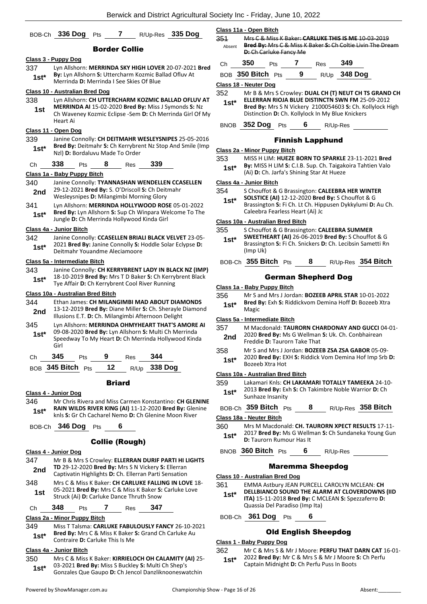|        | BOB-Ch 336 Dog                                                                                               | Pts | 7                     |               | R/Up-Res 335 Dog                                                                                                  |
|--------|--------------------------------------------------------------------------------------------------------------|-----|-----------------------|---------------|-------------------------------------------------------------------------------------------------------------------|
|        |                                                                                                              |     | <b>Border Collie</b>  |               |                                                                                                                   |
|        | <u> Class 3 - Puppy Dog</u>                                                                                  |     |                       |               |                                                                                                                   |
| 337    |                                                                                                              |     |                       |               | Lyn Allshorn: MERRINDA SKY HIGH LOVER 20-07-2021 Bred                                                             |
| 1st*   | By: Lyn Allshorn S: Uttercharm Kozmic Ballad Ofluv At<br>Merrinda D: Merrinda I See Skies Of Blue            |     |                       |               |                                                                                                                   |
|        | Class 10 - Australian Bred Dog                                                                               |     |                       |               |                                                                                                                   |
| 338    |                                                                                                              |     |                       |               | Lyn Allshorn: CH UTTERCHARM KOZMIC BALLAD OFLUV AT                                                                |
| 1st    | Heart Ai                                                                                                     |     |                       |               | MERRINDA AI 15-02-2020 Bred By: Miss J Symonds S: Nz<br>Ch Waveney Kozmic Eclipse - Sem D: Ch Merrinda Girl Of My |
|        | Class 11 - Open Dog                                                                                          |     |                       |               |                                                                                                                   |
| 339    |                                                                                                              |     |                       |               | Janine Connolly: CH DEITMAHR WESLEYSNIPES 25-05-2016                                                              |
| $1st*$ | Nzl) D: Bordaluvu Made To Order                                                                              |     |                       |               | Bred By: Deitmahr S: Ch Kerrybrent Nz Stop And Smile (Imp                                                         |
| Ch     | 338<br>Pts                                                                                                   | 8   | Res                   | 339           |                                                                                                                   |
|        | Class 1a - Baby Puppy Bitch                                                                                  |     |                       |               |                                                                                                                   |
| 340    | Janine Connolly: TYANNASHAN WENDELLEN CCASELLEN                                                              |     |                       |               |                                                                                                                   |
| 2nd    | 29-12-2021 Bred By: S. O'Driscoll S: Ch Deitmahr<br>Wesleysnipes D: Milangimbi Morning Glory                 |     |                       |               |                                                                                                                   |
| 341    |                                                                                                              |     |                       |               | Lyn Allshorn: MERRINDA HOLLYWOOD ROSE 05-01-2022                                                                  |
| $1st*$ | Jungle D: Ch Merrinda Hollywood Kinda Girl                                                                   |     |                       |               | Bred By: Lyn Allshorn S: Sup Ch Winpara Welcome To The                                                            |
|        | Class 4a - Junior Bitch                                                                                      |     |                       |               |                                                                                                                   |
| 342    |                                                                                                              |     |                       |               | Janine Connolly: CCASELLEN BRIALI BLACK VELVET 23-05-                                                             |
| 1st*   |                                                                                                              |     |                       |               | 2021 Bred By: Janine Connolly S: Hoddle Solar Eclypse D:                                                          |
|        | Deitmahr Youandme Aleciamoore                                                                                |     |                       |               |                                                                                                                   |
|        | Class 5a - Intermediate Bitch                                                                                |     |                       |               |                                                                                                                   |
| 343    |                                                                                                              |     |                       |               | Janine Connolly: CH KERRYBRENT LADY IN BLACK NZ (IMP)<br>18-10-2019 Bred By: Mrs T D Baker S: Ch Kerrybrent Black |
| $1st*$ | Tye Affair D: Ch Kerrybrent Cool River Running                                                               |     |                       |               |                                                                                                                   |
|        | Class 10a - Australian Bred Bitch                                                                            |     |                       |               |                                                                                                                   |
| 344    | Ethan James: CH MILANGIMBI MAD ABOUT DIAMONDS                                                                |     |                       |               |                                                                                                                   |
| 2nd    | Illusions E.T. D: Ch. Milangimbi Afternoon Delight                                                           |     |                       |               | 13-12-2019 Bred By: Diane Miller S: Ch. Sherayle Diamond                                                          |
| 345    |                                                                                                              |     |                       |               | Lyn Allshorn: MERRINDA OHMYHEART THAT'S AMORE AI                                                                  |
| $1st*$ | 09-08-2020 Bred By: Lyn Allshorn S: Multi Ch Merrinda<br>Speedway To My Heart D: Ch Merrinda Hollywood Kinda |     |                       |               |                                                                                                                   |
|        | Girl                                                                                                         |     |                       |               |                                                                                                                   |
| Ch     | 345                                                                                                          |     |                       | Pts 9 Res 344 |                                                                                                                   |
|        | BOB 345 Bitch Pts 12 R/Up 338 Dog                                                                            |     |                       |               |                                                                                                                   |
|        |                                                                                                              |     | <b>Briard</b>         |               |                                                                                                                   |
|        | Class 4 - Junior Dog                                                                                         |     |                       |               |                                                                                                                   |
| 346    |                                                                                                              |     |                       |               | Mr Chris Rivera and Miss Carmen Konstantino: CH GLENINE                                                           |
| 1st*   | knls S: Gr Ch Cacharel Nemo D: Ch Glenine Moon River                                                         |     |                       |               | RAIN WILDS RIVER KING (AI) 11-12-2020 Bred By: Glenine                                                            |
|        | BOB-Ch 346 Dog Pts                                                                                           |     | 6                     |               |                                                                                                                   |
|        |                                                                                                              |     | <b>Collie (Rough)</b> |               |                                                                                                                   |
|        | Class 4 - Junior Dog                                                                                         |     |                       |               |                                                                                                                   |
| 347    |                                                                                                              |     |                       |               | Mr B & Mrs S Crowley: ELLERRAN DURIF PARTI HI LIGHTS                                                              |
| 2nd    | TD 29-12-2020 Bred By: Mrs S N Vickery S: Ellerran<br>Captivatin Highlights D: Ch. Ellerran Parti Sensation  |     |                       |               |                                                                                                                   |
| 348    |                                                                                                              |     |                       |               | Mrs C & Miss K Baker: CH CARLUKE FALLING IN LOVE 18-                                                              |
| 1st    | 05-2021 Bred By: Mrs C & Miss K Baker S: Carluke Love<br>Struck (Ai) D: Carluke Dance Thruth Snow            |     |                       |               |                                                                                                                   |
| Ch     | 348<br>Pts                                                                                                   | 7   | Res                   | 347           |                                                                                                                   |

## **Class 2a - Minor Puppy Bitch**

349 Miss T Talsma: **CARLUKE FABULOUSLY FANCY** 26-10-2021 **Bred By:** Mrs C & Miss K Baker **S:** Grand Ch Carluke Au **1st\*** Bred By: Mrs C & Miss K Baker 18th Contraire **D**: Carluke This Is Me

#### **Class 4a - Junior Bitch**

350 Mrs C & Miss K Baker: **KIRRIELOCH OH CALAMITY (AI)** 25- 03-2021 **Bred By:** Miss S Buckley **S:** Multi Ch Shep's Gonzales Que Gaupo **D:** Ch Jencol Danzliknooneswatchin **1st\***

**Class 11a - Open Bitch**

351 Mrs C & Miss K Baker: **CARLUKE THIS IS ME** 10-03-2019 **Bred By:** Mrs C & Miss K Baker **S:** Ch Coltie Livin The Dream **D:** Ch Carluke Fancy Me Absent

| Ch. | - 350                 | <b>Pts</b> |   | Res | 349            |
|-----|-----------------------|------------|---|-----|----------------|
|     | BOB $350$ Bitch $Pts$ |            | 9 |     | $R/Up$ 348 Dog |

**Class 18 - Neuter Dog**

352 Mr B & Mrs S Crowley: **DUAL CH (T) NEUT CH TS GRAND CH** 

| $1st*$ | ELLERRAN RIOJA BLUE DISTINCTN SWN FM 25-09-2012                  |
|--------|------------------------------------------------------------------|
|        | <b>Bred By:</b> Mrs S N Vickery 2100054603 S: Ch. Kollylock High |
|        | Distinction D: Ch. Kollylock In My Blue Knickers                 |

## BNOB **352 Dog** Pts **6** R/Up-Res

## Finnish Lapphund

**Class 2a - Minor Puppy Bitch**

- 353 MISS H LIM: **HUEZE BORN TO SPARKLE** 23-11-2021 **Bred By:** MISS H LIM **S:** C.I.B. Sup. Ch. Taigakoira Tahtien Valo
	- **1st\* by:** MISS H LIM **S:** C.I.B. Sup. Ch. Taigak<br>(Ai) **D:** Ch. Jarfa's Shining Star At Hueze

## **Class 4a - Junior Bitch**

354 S Chouffot & G Brassington: **CALEEBRA HER WINTER** 

**SOLSTICE (AI)** 12-12-2020 **Bred By:** S Chouffot & G Brassington **S:** Fi Ch. Lt Ch. Hippusen Dykkylumi **D:** Au Ch. Caleebra Fearless Heart (Ai) Jc **1st\***

#### **Class 10a - Australian Bred Bitch**

355 S Chouffot & G Brassington: **CALEEBRA SUMMER** 

- **SWEETHEART (AI)** 26-06-2019 **Bred By:** S Chouffot & G Brassington **S:** Fi Ch. Snickers **D:** Ch. Lecibsin Sametti Rn (Imp Uk) **1st\***
- BOB-Ch **355 Bitch** Pts **8** R/Up-Res **354 Bitch**

## German Shepherd Dog

## **Class 1a - Baby Puppy Bitch**

- 356 Mr S and Mrs J Jordan: **BOZEEB APRIL STAR** 10-01-2022
	- **Bred By:** Exh **S:** Riddickvom Demina Hoff **D:** Bozeeb Xtra 1st<sup>\*</sup> Bred B<br>Magic

## **Class 5a - Intermediate Bitch**

- 357 M Macdonald: **TAURORN CHARDONAY AND GUCCI** 04-01- 2020 **Bred By:** Ms G Wellman **S:** Uk. Ch. Conbhairean **2nd Example 2020 Brea By: IVIS G** Wellingh
- 358 Mr S and Mrs J Jordan: **BOZEEB ZSA ZSA GABOR** 05-09- 2020 **Bred By:** EXH **S:** Riddick Vom Demina Hof Imp Srb **D: 1st**\* <sup>2020</sup> **Brea By:** E

## **Class 10a - Australian Bred Bitch**

- 359 Lakamari Knls: **CH LAKAMARI TOTALLY TAMEEKA** 24-10- 2013 **Bred By:** Exh **S:** Ch Takimbre Noble Warrior **D:** Ch **1st**\* <sup>2013</sup> Brea by: Ex<br>Sunhaze Insanity
- BOB-Ch **359 Bitch** Pts **8** R/Up-Res **358 Bitch**

## **Class 18a - Neuter Bitch**

- 360 Mrs M Macdonald: **CH. TAURORN XPECT RESULTS** 17-11- 2017 **Bred By:** Ms G Wellman **S:** Ch Sundaneka Young Gun **1st**\* **D:** Taurorn Rumour Has It
- BNOB **360 Bitch** Pts **6** R/Up-Res

## Maremma Sheepdog

#### **Class 10 - Australian Bred Dog**

- 361 EMMA Astbury JEAN PURCELL CAROLYN MCLEAN: **CH DELLBIANCO SOUND THE ALARM AT CLOVERDOWNS (IID** 
	- **ITA)** 15-11-2018 **Bred By:** C MCLEAN **S:** Spezzaferro **D:**  Quassia Del Paradiso (Imp Ita) **1st\***
- BOB-Ch **361 Dog** Pts **6**

## Old English Sheepdog

## **Class 1 - Baby Puppy Dog**

362 Mr C & Mrs S & Mr J Moore: **PERFU THAT DARN CAT** 16-01- 2022 **Bred By:** Mr C & Mrs S & Mr J Moore **S:** Ch Perfu **1st**\* 2022 **Bred By:** Mr C & Mrs S & Mr J Moore Captain Midnight **D:** Ch Perfu Puss In Boots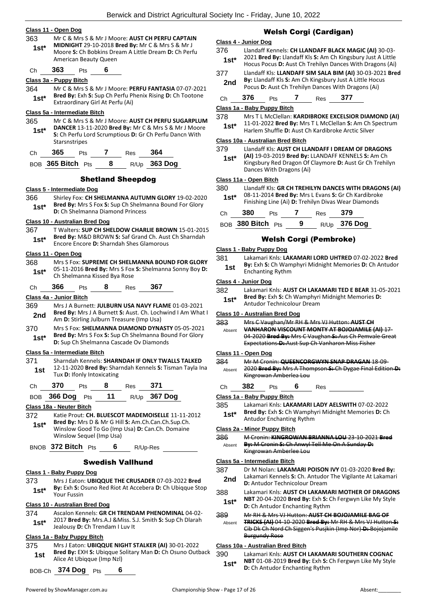## **Class 11 - Open Dog**

- 363 Mr C & Mrs S & Mr J Moore: **AUST CH PERFU CAPTAIN**
- **MIDNIGHT** 29-10-2018 **Bred By:** Mr C & Mrs S & Mr J Moore **S:** Ch Bobkins Dream A Little Dream **D:** Ch Perfu American Beauty Queen **1st\***

Ch **363** Pts **6**

## **Class 3a - Puppy Bitch**

364 Mr C & Mrs S & Mr J Moore: **PERFU FANTASIA** 07-07-2021 **Bred By:** Exh **S:** Sup Ch Perfu Phenix Rising **D:** Ch Tootone **1st\*** Bred By: Exn S: Sup Ch Perfu Pi<br>Extraordinary Girl At Perfu (Ai)

## **Class 5a - Intermediate Bitch**

365 Mr C & Mrs S & Mr J Moore: **AUST CH PERFU SUGARPLUM DANCER** 13-11-2020 **Bred By:** Mr C & Mrs S & Mr J Moore **S:** Ch Perfu Lord Scrumptious **D:** Gr Ch Perfu Dancn With **Starsnstripes 1st\***

|  | - ت | __ | ñ۵ |
|--|-----|----|----|
|  |     |    |    |

BOB **365 Bitch** Pts **8** R/Up **363 Dog**

## Shetland Sheepdog

## **Class 5 - Intermediate Dog**

- 366 Shirley Fox: **CH SHELMANNA AUTUMN GLORY** 19-02-2020
	- **Bred By:** Mrs S Fox **S:** Sup Ch Shelmanna Bound For Glory **1st\* Brea By:** Mrs S Fox S: Sup Ch Shelmanna Diamond Princess

## **Class 10 - Australian Bred Dog**

- 367 T Walters: **SUP CH SHELDOW CHARLIE BROWN** 15-01-2015 **Bred By:** M&D BROWN **S:** Saf Grand Ch. Aust Ch Sharndah
- Encore Encore **D:** Sharndah Shes Glamorous **1st\***

## **Class 11 - Open Dog**

- 368 Mrs S Fox: **SUPREME CH SHELMANNA BOUND FOR GLORY** 05-11-2016 **Bred By:** Mrs S Fox **S:** Shelmanna Sonny Boy **D: 1st\*** US-11-2016 Bred By: Mrs S Fox<br>Ch Shelmanna Kissed Bya Rose
- Ch **366** Pts **8** Res **367**

## **Class 4a - Junior Bitch**

- 369 Mrs J A Burnett: **JULBURN USA NAVY FLAME** 01-03-2021 **Bred By:** Mrs J A Burnett **S:** Aust. Ch. Lochwind I Am What I **2nd Died by:** MISJ A Burnett **3**: Aust. Cn. Lock<br>Am **D:** Stirling Julburn Treasure (Imp Usa)
- 370 Mrs S Fox: **SHELMANNA DIAMOND DYNASTY** 05-05-2021 **Bred By:** Mrs S Fox **S:** Sup Ch Shelmanna Bound For Glory **1st\*** Brea by: Mrs S Fox S: Sup Ch Shelmanna Bot<br>D: Sup Ch Shelmanna Cascade Ov Diamonds

#### **Class 5a - Intermediate Bitch**

371 Sharndah Kennels: **SHARNDAH IF ONLY TWALLS TALKED** 12-11-2020 **Bred By:** Sharndah Kennels **S:** Tisman Tayla Ina **1st 12-11-2020 Brea By:** Snal<br>Tux **D:** Ifonly Intoxicating

| Ch | 370 | Pts | Res | 371 |
|----|-----|-----|-----|-----|
|    |     |     |     |     |

| BOB 366 Dog Pts | 11 | R/Up 367 Dog |
|-----------------|----|--------------|
|                 |    |              |

## **Class 18a - Neuter Bitch**

372 Katie Prout: **CH. BLUESCOT MADEMOISELLE** 11-11-2012 **Bred By:** Mrs D & Mr G Hill **S:** Am.Ch.Can.Ch.Sup.Ch. Winslow Good To Go (Imp Usa) **D:** Can.Ch. Domaine Winslow Sequel (Imp Usa) **1st\***

BNOB **372 Bitch** Pts **6** R/Up-Res

## Swedish Vallhund

#### **Class 1 - Baby Puppy Dog**

373 Mrs J Eaton: **UBIQQUE THE CRUSADER** 07-03-2022 **Bred By:** Exh **S:** Osuno Red Riot At Accebera **D:** Ch Ubiqque Stop 1st<sup>\*</sup> Py: Exn S: C<br>Your Fussin

## **Class 10 - Australian Bred Dog**

374 Ascalon Kennels: **GR CH TRENDAM PHENOMINAL** 04-02- 2017 **Bred By:** Mrs.A.J &Miss. S.J. Smith **S:** Sup Ch Dlarah **1st**\* 2017 **Bred By:** Mrs.A.J &Miss. S.<br>Jealousy **D:** Ch Trendam I Luv It

## **Class 1a - Baby Puppy Bitch**

375 Mrs J Eaton: **UBIQQUE NIGHT STALKER (AI)** 30-01-2022 **Bred By:** EXH **S:** Ubiqque Solitary Man **D:** Ch Osuno Outback **1st** Brea by: EXH **5:** Upiqque Single Single Single At Upiqque (Imp Nzl)

| BOB-Ch 374 Dog Pts |  |
|--------------------|--|
|--------------------|--|

## Welsh Corgi (Cardigan)

## **Class 4 - Junior Dog**

- 376 Llandaff Kennels: **CH LLANDAFF BLACK MAGIC (AI)** 30-03- 2021 **Bred By:** Llandaff Kls **S:** Am Ch Kingsbury Just A Little **1st** <sup>2021</sup> **Bred By:** Liandaff Kis **S:** Am Ch Kingsbury Just A Little Hocus Pocus **D:** Aust Ch Trehilyn Dances With Dragons (Ai)
- 377 Llandaff Kls: **LLANDAFF SIM SALA BIM (AI)** 30-03-2021 **Bred By:** Llandaff Kls **S:** Am Ch Kingsbury Just A Little Hocus **2nd** By: Liandaff Kis S: Am Ch Kingsbury Just A Little Hoce Pocus D: Aust Ch Trehilyn Dances With Dragons (Ai)
- Ch **376** Pts **7** Res **377**

# **Class 1a - Baby Puppy Bitch**

378 Mrs T L McClellan: **KARDIBROKE EXCELSIOR DIAMOND (AI)**

11-01-2022 **Bred By:** Mrs T L McClellan **S:** Am Ch Spectrum Harlem Shuffle **D:** Aust Ch Kardibroke Arctic Silver **1st\***

### **Class 10a - Australian Bred Bitch**

#### 379 Llandaff Kls: **AUST CH LLANDAFF I DREAM OF DRAGONS**

**(AI)** 19-03-2019 **Bred By:** LLANDAFF KENNELS **S:** Am Ch Kingsbury Red Dragon Of Claymore **D:** Aust Gr Ch Trehilyn Dances With Dragons (Ai) **1st\***

## **Class 11a - Open Bitch**

| 380   | Llandaff Kls: GR CH TREHILYN DANCES WITH DRAGONS (AI) |
|-------|-------------------------------------------------------|
| $1e+$ | 08-11-2014 Bred By: Mrs L Evans S: Gr Ch Kardibroke   |

Finishing Line (Ai) **D:** Trehilyn Divas Wear Diamonds **1st\***

| Ch | 380               | <b>Pts</b> |   | Res | - 379          |
|----|-------------------|------------|---|-----|----------------|
|    | BOB 380 Bitch Pts |            | 9 |     | $R/Up$ 376 Dog |

## Welsh Corgi (Pembroke)

## **Class 1 - Baby Puppy Dog**

381 Lakamari Knls: **LAKAMARI LORD UHTRED** 07-02-2022 **Bred By:** Exh **S:** Ch Wamphyri Midnight Memories **D:** Ch Antudor **1st by:** Exrits: CIT Wall

## **Class 4 - Junior Dog**

| 382    | Lakamari Knls: AUST CH LAKAMARI TED E BEAR 31-05-2021   |
|--------|---------------------------------------------------------|
| $1st*$ | <b>Bred By: Exh S: Ch Wamphyri Midnight Memories D:</b> |

## Antudor Technicolour Dream

## **Class 10 - Australian Bred Dog**

383 Mrs C Vaughan/Mr RH & Mrs VJ Hutton: **AUST CH VANHARON VISCOUNT MONTY AT BOJOJAMILE (AI)** 17- 04-2020 **Bred By:** Mrs C Vaughan **S:** Aus Ch Pemvale Great Expectations **D:** Aust Sup Ch Vanharon Miss Fisher Absent

#### **Class 11 - Open Dog**

- 384 Mr M Cronin: **QUEENCORGWYN SNAP DRAGAN** 18-09- 2020 **Bred By:** Mrs A Thompson **S:** Ch Dygae Final Edition **D:**  Kingrowan Amberlea Lou Absent
- Ch **382** Pts **6** Res

## **Class 1a - Baby Puppy Bitch**

385 Lakamari Knls: **LAKAMARI LADY AELSWITH** 07-02-2022 **Bred By:** Exh **S:** Ch Wamphyri Midnight Memories **D:** Ch **1st\*** Bred By: Exh S: Ch Wamphy<br>Antudor Enchanting Rythm

## **Class 2a - Minor Puppy Bitch**

386 M Cronin: **KINGROWAN BRIANNA LOU** 23-10-2021 **Bred By:** M Cronin **S:** Ch Anwyl Tell Me On A Sunday **D:**  Kingrowan Amberlee Lou Absent

## **Class 5a - Intermediate Bitch**

| 387 | Dr M Nolan: LAKAMARI POISON IVY 01-03-2020 Bred By:          |
|-----|--------------------------------------------------------------|
|     | talensari Kanaala C. Ch., Antudan Tha Visilante, Attalensari |

- Lakamari Kennels **S:** Ch. Antudor The Vigilante At Lakamari **2nd** Lakamari Kenneis S: Cn. Antudor<br>**D:** Antudor Technicolour Dream
- 388 Lakamari Knls: **AUST CH LAKAMARI MOTHER OF DRAGONS NBT** 20-04-2020 **Bred By:** Exh **S:** Ch Fergwyn Like My Style
- **1st\* Diamage 1981** 20-04-2020 **Brea By:** Exn **S: C**<br>**D:** Ch Antudor Enchanting Rythm

#### 389 Mr RH & Mrs VJ Hutton: **AUST CH BOJOJAMILE BAG OF TRICKS (AI)** 04-10-2020 **Bred By:** Mr RH & Mrs VJ Hutton **S:**  Cib Dk Ch Nord Ch Siggen's Pusjkin (Imp Nor) **D:** Bojojamile Burgundy Rose Absent

## **Class 10a - Australian Bred Bitch**

390 Lakamari Knls: **AUST CH LAKAMARI SOUTHERN COGNAC NBT** 01-08-2019 **Bred By:** Exh **S:** Ch Fergwyn Like My Style **1st\* NBT** 01-08-2019 **Brea By:** Exn **S:** C **D:** Ch Antudor Enchanting Rythm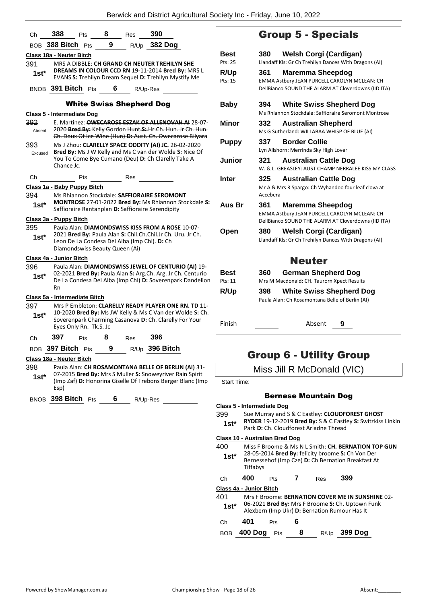| Ch                       | 388                              | Pts                                | $\overline{\mathbf{8}}$ | Res | - 390                                                                                                                                                                           |                           |
|--------------------------|----------------------------------|------------------------------------|-------------------------|-----|---------------------------------------------------------------------------------------------------------------------------------------------------------------------------------|---------------------------|
|                          | BOB 388 Bitch Pts                |                                    | 9                       |     | R/Up 382 Dog                                                                                                                                                                    |                           |
|                          | <u> Class 18a - Neuter Bitch</u> |                                    |                         |     |                                                                                                                                                                                 | Bes                       |
| 391<br>1st*              |                                  |                                    |                         |     | MRS A DIBBLE: CH GRAND CH NEUTER TREHILYN SHE<br>DREAMS IN COLOUR CCD RN 19-11-2014 Bred By: MRS L<br>EVANS S: Trehilyn Dream Sequel D: Trehilyn Mystify Me                     | Pts: 2<br>R/U<br>Pts: 1   |
|                          |                                  | BNOB 391 Bitch Pts                 | 6                       |     | R/Up-Res                                                                                                                                                                        |                           |
|                          |                                  |                                    |                         |     | <b>White Swiss Shepherd Dog</b>                                                                                                                                                 | Bat                       |
| 392<br>Absent            |                                  | <u> Class 5 - Intermediate Doq</u> |                         |     | E. Martinez: OWECAROSE ESZAK OF ALLENOVAH AL28-07-<br>2020 Bred By: Kelly Gordon Hunt S: Hr.Ch. Hun. Jr Ch. Hun.<br>Ch. Doux Of Ice Wine (Hun) D: Aust. Ch. Owecarose Bilyara   | Min                       |
| 393<br>Excused           | Chance Jc.                       |                                    |                         |     | Ms J Zhou: CLARELLY SPACE ODDITY (AI) JC. 26-02-2020<br>Bred By: Ms J W Kelly and Ms C van der Wolde S: Nice Of<br>You To Come Bye Cumano (Deu) D: Ch Clarelly Take A           | Pur<br>Jun                |
| Сh                       |                                  | Pts                                |                         | Res |                                                                                                                                                                                 | Inte                      |
|                          |                                  | Class 1a - Baby Puppy Bitch        |                         |     |                                                                                                                                                                                 |                           |
| 394<br>$1st*$            |                                  |                                    |                         |     | Ms Rhiannon Stockdale: SAFFIORAIRE SEROMONT<br>MONTROSE 27-01-2022 Bred By: Ms Rhiannon Stockdale S:<br>Saffioraire Rantanplan D: Saffioraire Serendipity                       | Aus                       |
|                          | Class 3a - Puppy Bitch           |                                    |                         |     |                                                                                                                                                                                 |                           |
| 395<br>$1st*$            |                                  | Diamondswiss Beauty Queen (Ai)     |                         |     | Paula Alan: DIAMONDSWISS KISS FROM A ROSE 10-07-<br>2021 Bred By: Paula Alan S: Chil.Ch.Chil.Jr Ch. Uru. Jr Ch.<br>Leon De La Condesa Del Alba (Imp Chl). D: Ch                 | Opo                       |
|                          | <u> Class 4a - Junior Bitch</u>  |                                    |                         |     |                                                                                                                                                                                 |                           |
| 396<br>$1st^*$           | Rn                               |                                    |                         |     | Paula Alan: DIAMONDSWISS JEWEL OF CENTURIO (AI) 19-<br>02-2021 Bred By: Paula Alan S: Arg.Ch. Arg. Jr Ch. Centurio<br>De La Condesa Del Alba (Imp Chl) D: Soverenpark Dandelion | Bes<br>Pts: 1             |
|                          |                                  | Class 5a - Intermediate Bitch      |                         |     |                                                                                                                                                                                 | R/U                       |
| 397<br>$1st^*$           |                                  | Eyes Only Rn. Tk.S. Jc             |                         |     | Mrs P Embleton: CLARELLY READY PLAYER ONE RN. TD 11-<br>10-2020 Bred By: Ms JW Kelly & Ms C Van der Wolde S: Ch.<br>Soverenpark Charming Casanova D: Ch. Clarelly For Your      | <b>Finis</b>              |
| Ch                       | 397                              | Pts                                | 8                       | Res | 396                                                                                                                                                                             |                           |
|                          |                                  |                                    |                         |     | BOB 397 Bitch Pts 9 R/Up 396 Bitch                                                                                                                                              |                           |
| Class 18a - Neuter Bitch |                                  |                                    |                         |     |                                                                                                                                                                                 |                           |
| 398<br>$1st^*$           | Esp)                             |                                    |                         |     | Paula Alan: CH ROSAMONTANA BELLE OF BERLIN (AI) 31-<br>07-2015 Bred By: Mrs S Muller S: Snoweyriver Rain Spirit<br>(Imp Zaf) D: Honorina Giselle Of Trebons Berger Blanc (Imp   | Star                      |
|                          |                                  | BNOB 398 Bitch Pts 6 R/Up-Res      |                         |     |                                                                                                                                                                                 | <b>Class</b><br>399<br>1s |
|                          |                                  |                                    |                         |     |                                                                                                                                                                                 | <b>Class</b>              |

# Group 5 - Specials

| <b>Best</b><br>Pts: 25 | <b>Welsh Corgi (Cardigan)</b><br>380<br>Llandaff Kls: Gr Ch Trehilyn Dances With Dragons (AI)                                  |
|------------------------|--------------------------------------------------------------------------------------------------------------------------------|
| <b>R/Up</b><br>Pts: 15 | 361<br>Maremma Sheepdog<br>EMMA Astbury JEAN PURCELL CAROLYN MCLEAN: CH<br>DellBianco SOUND THE ALARM AT Cloverdowns (IID ITA) |
| Baby                   | <b>White Swiss Shepherd Dog</b><br>394<br>Ms Rhiannon Stockdale: Saffioraire Seromont Montrose                                 |
| Minor                  | 332<br><b>Australian Shepherd</b><br>Ms G Sutherland: WILLABAA WHISP OF BLUE (AI)                                              |
| <b>Puppy</b>           | 337<br><b>Border Collie</b><br>Lyn Allshorn: Merrinda Sky High Lover                                                           |
| Junior                 | 321<br><b>Australian Cattle Dog</b><br>W. & L. GREASLEY: AUST CHAMP NERRALEE KISS MY CLASS                                     |
| Inter                  | 325.<br><b>Australian Cattle Dog</b><br>Mr A & Mrs R Spargo: Ch Wyhandoo four leaf clova at<br>Accebera                        |
| Aus Br                 | 361<br>Maremma Sheepdog<br>EMMA Astbury JEAN PURCELL CAROLYN MCLEAN: CH<br>DellBianco SOUND THE ALARM AT Cloverdowns (IID ITA) |
| Open                   | Welsh Corgi (Cardigan)<br>380<br>Llandaff Kls: Gr Ch Trehilyn Dances With Dragons (AI)                                         |
|                        | <b>Neuter</b>                                                                                                                  |
| <b>Best</b><br>Pts: 11 | German Shepherd Dog<br>360<br>Mrs M Macdonald: CH. Taurorn Xpect Results                                                       |
| R/Up                   | <b>White Swiss Shepherd Dog</b><br>398<br>Paula Alan: Ch Rosamontana Belle of Berlin (AI)                                      |

- 
- Finish Absent **9**

# Group 6 - Utility Group

|  | Miss Jill R McDonald (VIC) |  |
|--|----------------------------|--|
|  |                            |  |

Int Time:

## Bernese Mountain Dog

|                | Class 5 - Intermediate Dog     |     |   |                                        |                                                                                                                |  |
|----------------|--------------------------------|-----|---|----------------------------------------|----------------------------------------------------------------------------------------------------------------|--|
| 399<br>$1st^*$ |                                |     |   | Park D: Ch. Cloudforest Ariadne Thread | Sue Murray and S & C Eastley: CLOUDFOREST GHOST<br>RYDER 19-12-2019 Bred By: S & C Eastley S: Switzkiss Linkin |  |
|                | Class 10 - Australian Bred Dog |     |   |                                        |                                                                                                                |  |
| 400            |                                |     |   |                                        | Miss F Broome & Ms N L Smith: CH. BERNATION TOP GUN                                                            |  |
| $1st^*$        | Tiffabys                       |     |   |                                        | 28-05-2014 Bred By: felicity broome S: Ch Von Der<br>Bernessehof (Imp Cze) D: Ch Bernation Breakfast At        |  |
| Сh             | 400                            | Pts | 7 | Res                                    | 399                                                                                                            |  |
|                | Class 4a - Junior Bitch        |     |   |                                        |                                                                                                                |  |
| 401            |                                |     |   |                                        | Mrs F Broome: BERNATION COVER ME IN SUNSHINE 02-                                                               |  |
| $1st*$         |                                |     |   |                                        | 06-2021 Bred By: Mrs F Broome S: Ch. Uptown Funk<br>Alexbern (Imp Ukr) D: Bernation Rumour Has It              |  |
| Ch             | 401                            | Pts | 6 |                                        |                                                                                                                |  |
| BOB            | 400 Dog                        | Pts | 8 |                                        | <b>399 Dog</b>                                                                                                 |  |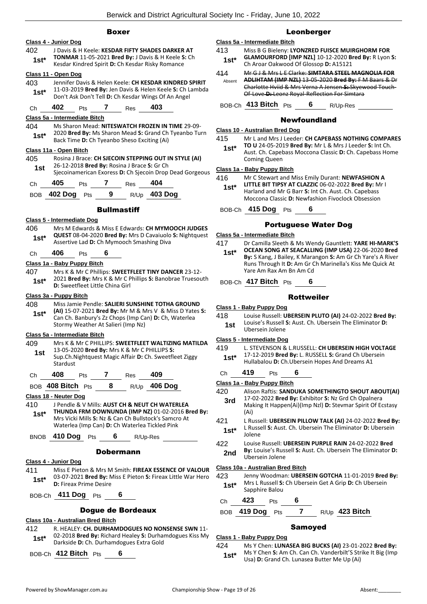## Boxer

## **Class 4 - Junior Dog** 402 J Davis & H Keele: **KESDAR FIFTY SHADES DARKER AT TONMAR** 11-05-2021 **Bred By:** J Davis & H Keele **S:** Ch **1 St\* 1 IONIVIAR 11-05-2021 Brea By:** J Davis & H Keele S<br>**1 Kesdar Kindred Spirit D:** Ch Kesdar Risky Romance **Class 11 - Open Dog** 403 Jennifer Davis & Helen Keele: **CH KESDAR KINDRED SPIRIT** 11-03-2019 **Bred By:** Jen Davis & Helen Keele **S:** Ch Lambda **1St\*** 11-03-2019 **Bred By:** Jen Davis & Helen Keele S: Ch L<br>Don't Ask Don't Tell D: Ch Kesdar Wings Of An Angel Ch **402** Pts **7** Res **403 Class 5a - Intermediate Bitch** 404 Ms Sharon Mead: **NITESWATCH FROZEN IN TIME** 29-09- 2020 **Bred By:** Ms Sharon Mead **S:** Grand Ch Tyeanbo Turn **1st**\* 2020 **Bred By:** Ms Sharon Mead S: Grand Ch<br>Back Time **D:** Ch Tyeanbo Sheso Exciting (Ai) **Class 11a - Open Bitch** 405 Rosina J Brace: **CH SJECOIN STEPPING OUT IN STYLE (AI)** 26-12-2018 **Bred By:** Rosina J Brace **S:** Gr Ch **1st** 26-12-2018 **Bred By:** Rosina J Brace S: Gr Ch<br>Siecoinamerican Exoress D: Ch Siecoin Drop Dead Gorgeous Ch **405** Pts **7** Res **404** BOB **402 Dog** Pts **9** R/Up **403 Dog Bullmastiff Class 5 - Intermediate Dog** 406 Mrs M Edwards & Miss E Edwards: **CH MYMOOCH JUDGES QUEST** 08-04-2020 **Bred By:** Mrs D Cavaiuolo **S:** Nightquest Assertive Lad **D:** Ch Mymooch Smashing Diva **1st\*** Ch **406** Pts **6 Class 1a - Baby Puppy Bitch** 407 Mrs K & Mr C Phillips: **SWEETFLEET TINY DANCER** 23-12- 2021 **Bred By:** Mrs K & Mr C Phillips **S:** Banobrae Truesouth **1st**\* 2021 **Bred By:** NITS K & NITC F **Class 3a - Puppy Bitch** 408 Miss Jamie Pendle: **SALIERI SUNSHINE TOTHA GROUND (AI)** 15-07-2021 **Bred By:** Mr M & Mrs V & Miss D Yates **S:**  Can Ch. Banbury's Zz Chops (Imp Can) **D:** Ch, Waterlea Stormy Weather At Salieri (Imp Nz) **1st\* Class 5a - Intermediate Bitch** 409 Mrs K & Mr C PHILLIPS: **SWEETFLEET WALTIZING MATILDA** 13-05-2020 **Bred By:** Mrs K & Mr C PHILLIPS **S:**  Sup.Ch.Nightquest Magic Affair **D:** Ch. Sweetfleet Ziggy Stardust **1st** Ch **408** Pts **7** Res **409** BOB **408 Bitch** Pts **8** R/Up **406 Dog Class 18 - Neuter Dog** 410 J Pendle & V Mills: **AUST CH & NEUT CH WATERLEA THUNDA FRM DOWNUNDA (IMP NZ)** 01-02-2016 **Bred By:** Mrs Vicki Mills **S:** Nz & Can Ch Bullstock's Samcro At Waterlea (Imp Can) **D:** Ch Waterlea Tickled Pink **1st\*** BNOB **410 Dog** Pts **6** R/Up-Res Dobermann **Class 4 - Junior Dog** 411 Miss E Pieton & Mrs M Smith: **FIREAX ESSENCE OF VALOUR** 03-07-2021 **Bred By:** Miss E Pieton **S:** Fireax Little War Hero **1st\*** U<sub>2</sub>-U<sub>2</sub>-ZUZ</sub> Brea By: N<br>**D:** Fireax Prime Desire BOB-Ch **411 Dog** Pts **6** Dogue de Bordeaux **Class 10a - Australian Bred Bitch** 412 R. HEALEY: **CH. DURHAMDOGUES NO NONSENSE SWN** 11-

02-2018 **Bred By:** Richard Healey **S:** Durhamdogues Kiss My 1st\* UZ-2018 Brea By: Richard Healey S: Durhar<br>Darkside D: Ch. Durhamdogues Extra Gold

BOB-Ch **412 Bitch** Pts **6**

## Leonberger

## **Class 5a - Intermediate Bitch**

- 413 Miss B G Bieleny: **LYONZRED FUISCE MUIRGHORM FOR GLAMOURFORD [IMP NZL]** 10-12-2020 **Bred By:** R Lyon **S:**  Ch Aroar Oakwood Of Glossop **D:** A15121 **1st\***
- 414 Mr G J & Mrs L E Clarke: **SIMTARA STEEL MAGNOLIA FOR ADLIHTAM (IMP NZL)** 13-05-2020 **Bred By:** F M Baars & Dr Charlotte Hviid & Mrs Verna A Jensen **S:** Skyewood Touch-Of-Love **D:** Leonz Royal-Reflection For Simtara Absent

BOB-Ch **413 Bitch** Pts **6** R/Up-Res

## Newfoundland

## **Class 10 - Australian Bred Dog**

415 Mr L and Mrs J Leeder: **CH CAPEBASS NOTHING COMPARES** 

**TO U** 24-05-2019 **Bred By:** Mr L & Mrs J Leeder **S:** Int Ch. Aust. Ch. Capebass Moccona Classic **D:** Ch. Capebass Home Coming Queen **1st\***

## **Class 1a - Baby Puppy Bitch**

- 416 Mr C Stewart and Miss Emily Durant: **NEWFASHION A** 
	- **LITTLE BIT TIPSY AT CLAZZIC** 06-02-2022 **Bred By:** Mr I Harland and Mr G Barr **S:** Int Ch. Aust. Ch. Capebass Moccona Classic **D:** Newfashion Fivoclock Obsession **1st\***

BOB-Ch **415 Dog** Pts **6**

## Portuguese Water Dog

- **Class 5a - Intermediate Bitch**
- 417 Dr Camilla Sleeth & Ms Wendy Gauntlett: **YARE HI-MARK'S**
- **OCEAN SONG AT SEACALLING (IMP USA)** 22-06-2020 **Bred By:** S Kang, J Bailey, K Marangon **S:** Am Gr Ch Yare's A River Runs Through It **D:** Am Gr Ch Marinella's Kiss Me Quick At Yare Am Rax Am Bn Am Cd **1st\***

BOB-Ch **417 Bitch** Pts **6**

## Rottweiler

**Class 1 - Baby Puppy Dog**

418 Louise Russell: **UBERSEIN PLUTO (AI)** 24-02-2022 **Bred By:** Louise's Russell **S:** Aust. Ch. Ubersein The Eliminator **D: 1st** Louise's Russell<br>Ubersein Jolene

## **Class 5 - Intermediate Dog**

419 L. STEVENSON & L.RUSSELL: **CH UBERSEIN HIGH VOLTAGE** 17-12-2019 **Bred By:** L. RUSSELL **S:** Grand Ch Ubersein Hullabalou **D:** Ch.Ubersein Hopes And Dreams A1 **1st\***

## Ch **419** Pts **6**

## **Class 1a - Baby Puppy Bitch**

- 420 Alison Raftis: **SANDUKA SOMETHINGTO SHOUT ABOUT(AI)** 17-02-2022 **Bred By:** Exhibitor **S:** Nz Grd Ch Opalnera **3rd**
- Making It Happen(Ai)(Imp Nzl) **D:** Stevmar Spirit Of Ecstasy (Ai)
- 421 L Russell: **UBERSEIN PILLOW TALK (AI)** 24-02-2022 **Bred By:** L Russell **S:** Aust. Ch. Ubersein The Eliminator **D:** Ubersein
- Jolene **1st\***
- 422 Louise Russell: **UBERSEIN PURPLE RAIN** 24-02-2022 **Bred By:** Louise's Russell **S:** Aust. Ch. Ubersein The Eliminator **D: 2nd By:** Louise's Russ<br>Ubersein Jolene

## **Class 10a - Australian Bred Bitch**

- 423 Jenny Woodman: **UBERSEIN GOTCHA** 11-01-2019 **Bred By:** Mrs L Russell **S:** Ch Ubersein Get A Grip **D:** Ch Ubersein **1st**\* Mrs L Russell S:<br>Sapphire Balou
- Ch **423** Pts **6**
- BOB **419 Dog** Pts **7** R/Up **423 Bitch**

## Samoyed

## **Class 1 - Baby Puppy Dog**

424 Ms Y Chen: **LUNASEA BIG BUCKS (AI)** 23-01-2022 **Bred By:** Ms Y Chen **S:** Am Ch. Can Ch. Vanderbilt'S Strike It Big (Imp **1st**\* MS Y Chen **S:** Am Ch. Can Ch. Vanderbilt's Strand Ch. Lunasea Butter Me Up (Ai)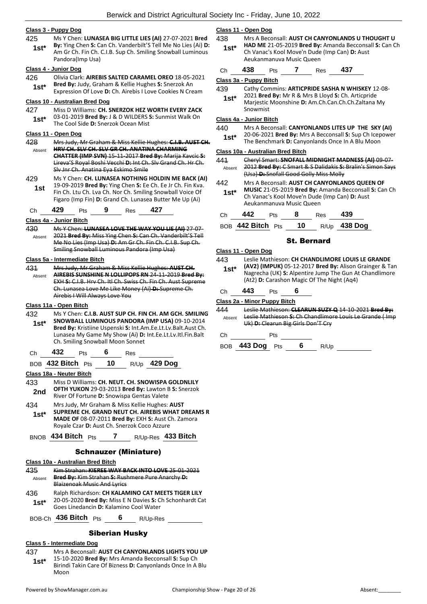## **Class 3 - Puppy Dog**

425 Ms Y Chen: **LUNASEA BIG LITTLE LIES (AI)** 27-07-2021 **Bred By:** Ying Chen **S:** Can Ch. Vanderbilt'S Tell Me No Lies (Ai) **D:**  Am Gr Ch. Fin Ch. C.I.B. Sup Ch. Smiling Snowball Luminous Pandora(Imp Usa) **1st\***

#### **Class 4 - Junior Dog**

426 Olivia Clark: **AIREBIS SALTED CARAMEL OREO** 18-05-2021 **Bred By:** Judy, Graham & Kellie Hughes **S:** Snerzok An **1st\* Dieu by:** Judy, Graham & Kellie Hughes **S:** Sherzok An **Expression Of Love D:** Ch. Airebis I Love Cookies N Cream

## **Class 10 - Australian Bred Dog**

427 Miss D Williams: **CH. SNERZOK HEZ WORTH EVERY ZACK** 03-01-2019 **Bred By:** J & D WILDERS **S:** Sunmist Walk On **1st**\* US-UI-2019 **Brea By:** J & D WILDERS 3<br>The Cool Side **D:** Snerzok Ocean Mist

#### **Class 11 - Open Dog**

- 428 Mrs Judy, Mr Graham & Miss Kellie Hughes: **C.I.B. AUST CH. HRV CH. SLV CH. SLV GR CH. ANATINA CHARMING CHATTER (IMP SVN)** 15-11-2017 **Bred By:** Marija Kavcic **S:**  Lireva'S Royal Boshi Vecchi **D:** Int Ch. Slv Grand Ch. Hr Ch. Slv Jnr Ch. Anatina Eya Eskimo Smile Absent
- 429 Ms Y Chen: **CH. LUNASEA NOTHING HOLDIN ME BACK (AI)** 19-09-2019 **Bred By:** Ying Chen **S:** Ee Ch. Ee Jr Ch. Fin Kva. Fin Ch. Ltu Ch. Lva Ch. Nor Ch. Smiling Snowball Voice Of Figaro (Imp Fin) **D:** Grand Ch. Lunasea Butter Me Up (Ai) **1st**
- Ch **429** Pts **9** Res **427**

## **Class 4a - Junior Bitch**

430 Ms Y Chen: **LUNASEA LOVE THE WAY YOU LIE (AI)** 27-07- 2021 **Bred By:** Miss Ying Chen **S:** Can Ch. Vanderbilt'S Tell Me No Lies (Imp Usa) **D:** Am Gr Ch. Fin Ch. C.I.B. Sup Ch. Smiling Snowball Luminous Pandora (Imp Usa) Absent

#### **Class 5a - Intermediate Bitch**

431 Mrs Judy, Mr Graham & Miss Kellie Hughes: **AUST CH. AIREBIS SUNSHINE N LOLLIPOPS RN** 24-11-2019 **Bred By:** EXH **S:** C.I.B. Hrv Ch. Itl Ch. Swiss Ch. Fin Ch. Aust Supreme Ch. Lunasea Love Me Like Money (Ai) **D:** Supreme Ch. Airebis I Will Always Love You Absent

#### **Class 11a - Open Bitch**

432 Ms Y Chen: **C.I.B. AUST SUP CH. FIN CH. AM GCH. SMILING SNOWBALL LUMINOUS PANDORA (IMP USA)** 09-10-2014 **Bred By:** Kristiine Uspenski **S:** Int.Am.Ee.Lt.Lv.Balt.Aust Ch. Lunasea My Game My Show (Ai) **D:** Int.Ee.Lt.Lv.Itl.Fin.Balt Ch. Smiling Snowball Moon Sonnet **1st\***

| `h | مو<br>л<br>--- | τs |  | kes<br>__ |  |
|----|----------------|----|--|-----------|--|
|----|----------------|----|--|-----------|--|

BOB **432 Bitch** Pts **10** R/Up **429 Dog**

#### **Class 18a - Neuter Bitch**

- 433 Miss D Williams: **CH. NEUT. CH. SNOWISPA GOLDNLILY OFTH YUKON** 29-03-2013 **Bred By:** Lawton B **S:** Snerzok **2nd DETH YUKUN** 29-03-2013 **Brea By:** Lawton **1** River Of Fortune **D:** Snowispa Gentas Valete
- 434 Mrs Judy, Mr Graham & Miss Kellie Hughes: **AUST SUPREME CH. GRAND NEUT CH. AIREBIS WHAT DREAMS R MADE OF** 08-07-2011 **Bred By:** EXH **S:** Aust Ch. Zamora Royale Czar **D:** Aust Ch. Snerzok Coco Azzure **1st\***
- BNOB **434 Bitch** Pts **7** R/Up-Res **433 Bitch**

## Schnauzer (Miniature)

#### **Class 10a - Australian Bred Bitch**

- 435 Kim Strahan: **KIEREE WAY BACK INTO LOVE** 25-01-2021 **Bred By:** Kim Strahan **S:** Rushmere Pure Anarchy **D:**  Blaizenoak Music And Lyrics Absent 436 Ralph Richardson: **CH KALAMINO CAT MEETS TIGER LILY** 20-05-2020 **Bred By:** Miss E N Davies **S:** Ch Schonhardt Cat Goes Linedancin **D:** Kalamino Cool Water **1st\***
- BOB-Ch **436 Bitch** Pts **6** R/Up-Res

## Siberian Husky

#### **Class 5 - Intermediate Dog**

437 Mrs A Beconsall: **AUST CH CANYONLANDS LIGHTS YOU UP** 15-10-2020 **Bred By:** Mrs Amanda Becconsall **S:** Sup Ch Birindi Takin Care Of Bizness **D:** Canyonlands Once In A Blu Moon **1st\***

## **Class 11 - Open Dog**

- 438 Mrs A Beconsall: **AUST CH CANYONLANDS U THOUGHT U HAD ME** 21-05-2019 **Bred By:** Amanda Becconsall **S:** Can Ch
- Ch Vanac's Kool Move'n Dude (Imp Can) **D:** Aust Aeukanmanuva Music Queen **1st\***
- Ch **438** Pts **7** Res **437**

### **Class 3a - Puppy Bitch**

- 439 Cathy Commins: **ARTICPRIDE SASHA N WHISKEY** 12-08-
- 2021 **Bred By:** Mr R & Mrs B Lloyd **S:** Ch. Articpride Marjestic Moonshine **D:** Am.Ch.Can.Ch.Ch.Zaltana My Snowmist **1st\***

## **Class 4a - Junior Bitch**

- 440 Mrs A Beconsall: **CANYONLANDS LITES UP THE SKY (AI)**
- 20-06-2021 **Bred By:** Mrs A Becconsall **S:** Sup Ch Icepower
- **1st** 20-06-2021 **Bred By:** Mrs A Becconsall **S:** Sup Ch Icep<br>The Benchmark **D:** Canyonlands Once In A Blu Moon

## **Class 10a - Australian Bred Bitch**

- 441 Cheryl Smart: **SNOFALL MIDNIGHT MADNESS (AI)** 09-07- 2012 **Bred By:** C Smart & S Dalidakis **S:** Bralin's Simon Says (Usa) **D:** Snofall Good Golly Miss Molly Absent
- 442 Mrs A Beconsall: **AUST CH CANYONLANDS QUEEN OF MUSIC** 21-05-2019 **Bred By:** Amanda Becconsall **S:** Can Ch Ch Vanac's Kool Move'n Dude (Imp Can) **D:** Aust Aeukanmanuva Music Queen **1st\***

| Ch | 442 Pts 8            |  | Res | 439          |
|----|----------------------|--|-----|--------------|
|    | BOB 442 Bitch Pts 10 |  |     | R/Up 438 Dog |

## St. Bernard

**Class 11 - Open Dog** 443 Leslie Mathieson: **CH CHANDLIMORE LOUIS LE GRANDE (AV2) (IMPUK)** 05-12-2017 **Bred By:** Alison Grainger & Tan Nagrecha (UK) **S:** Alpentire Jump The Gun At Chandlimore (At2) **D:** Carashon Magic Of The Night (Aq4) **1st\*** Ch **443** Pts **6 Class 2a - Minor Puppy Bitch** 444 Leslie Mathieson: **CLEARUN SUZY Q** 14-10-2021 **Bred By:** Leslie Mathieson **S:** Ch Chandlimore Louis Le Grande ( Imp Uk) **D:** Clearun Big Girls Don'T Cry Absent

## Ch Pts

BOB **443 Dog** Pts **6** R/Up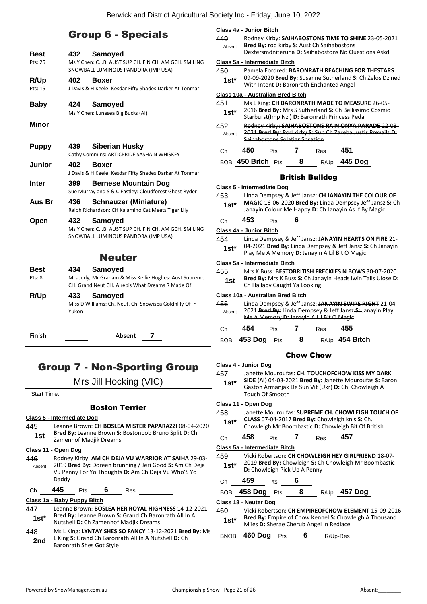## Group 6 - Specials

| <b>Best</b><br>Pts: 25 | 432          | <b>Samoyed</b><br>Ms Y Chen: C.I.B. AUST SUP CH. FIN CH. AM GCH. SMILING<br>SNOWBALL LUMINOUS PANDORA (IMP USA)       |
|------------------------|--------------|-----------------------------------------------------------------------------------------------------------------------|
| R/Up<br>Pts: 15        | 402          | <b>Boxer</b><br>J Davis & H Keele: Kesdar Fifty Shades Darker At Tonmar                                               |
| <b>Baby</b>            | 424          | Samoyed<br>Ms Y Chen: Lunasea Big Bucks (AI)                                                                          |
| <b>Minor</b>           |              |                                                                                                                       |
| <b>Puppy</b>           | 439          | <b>Siberian Husky</b><br>Cathy Commins: ARTICPRIDE SASHA N WHISKEY                                                    |
| Junior                 | 402          | <b>Boxer</b><br>J Davis & H Keele: Kesdar Fifty Shades Darker At Tonmar                                               |
| <b>Inter</b>           | 399          | <b>Bernese Mountain Dog</b><br>Sue Murray and S & C Eastley: Cloudforest Ghost Ryder                                  |
| Aus Br                 | 436          | <b>Schnauzer (Miniature)</b><br>Ralph Richardson: CH Kalamino Cat Meets Tiger Lily                                    |
| Open                   | 432          | Samoyed<br>Ms Y Chen: C.I.B. AUST SUP CH. FIN CH. AM GCH. SMILING<br>SNOWBALL LUMINOUS PANDORA (IMP USA)              |
|                        |              | <b>Neuter</b>                                                                                                         |
| Best<br>Pts: 8         | 434          | Samoyed<br>Mrs Judy, Mr Graham & Miss Kellie Hughes: Aust Supreme<br>CH. Grand Neut CH. Airebis What Dreams R Made Of |
| R/Up                   | 433<br>Yukon | Samoyed<br>Miss D Williams: Ch. Neut. Ch. Snowispa Goldnlily OfTh                                                     |
| Finish                 |              | Absent<br>7                                                                                                           |

# Group 7 - Non-Sporting Group

Mrs Jill Hocking (VIC)

Start Time:

## Boston Terrier

## **Class 5 - Intermediate Dog**

445 Leanne Brown: **CH BOSLEA MISTER PAPARAZZI** 08-04-2020 **Bred By:** Leanne Brown **S:** Bostonbob Bruno Split **D:** Ch **1st Brea By:** Leanne Brown S:<br>**2** Zamenhof Madjik Dreams

#### **Class 11 - Open Dog**

- 446 Rodney Kirby: **AM CH DEJA VU WARRIOR AT SAIHA** 29-03- 2019 **Bred By:** Doreen brunning / Jeri Good **S:** Am Ch Deja Vu Penny For Yo Thoughts **D:** Am Ch Deja Vu Who'S Yo Daddy Absent
- Ch **445** Pts **6** Res

## **Class 1a - Baby Puppy Bitch**

- 447 Leanne Brown: **BOSLEA HER ROYAL HIGHNESS** 14-12-2021 **Bred By:** Leanne Brown **S:** Grand Ch Baronrath All In A Nutshell **D:** Ch Zamenhof Madjik Dreams **1st\***
- 448 Ms L King: **LYNTAY SHES SO FANCY** 13-12-2021 **Bred By:** Ms L King **S:** Grand Ch Baronrath All In A Nutshell **D:** Ch **2nd** Liking Strand Cn Baronia<br>Baronrath Shes Got Style

## **Class 4a - Junior Bitch**

| 449<br>Absent | Rodney Kirby: SAIHABOSTONS TIME TO SHINE 23 05 2021<br>Bred By: rod kirby S: Aust Ch Saihabostons     |
|---------------|-------------------------------------------------------------------------------------------------------|
|               | Dextersmdniteruna D: Saihabostons No Questions Askd                                                   |
|               | Class 5a - Intermediate Bitch                                                                         |
| 450           | Pamela Fordred: BARONRATH REACHING FOR THESTARS                                                       |
| $1st*$        | 09-09-2020 Bred By: Susanne Sutherland S: Ch Zelos Dzined<br>With Intent D: Baronrath Enchanted Angel |

#### **Class 10a - Australian Bred Bitch**

| 451    | Ms L King: CH BARONRATH MADE TO MEASURE 26-05-              |
|--------|-------------------------------------------------------------|
| $1st*$ | 2016 Bred By: Mrs S Sutherland S: Ch Bellissimo Cosmic      |
|        | Starburst(Imp Nzl) D: Baronrath Princess Pedal              |
| 452    | Rodney Kirby: SAIHABOSTONS RAIN ONYA PARADE 22-03-          |
| Absent | 2021 Bred By: Rod kirby S: Sup Ch Zareba Justis Prevails D: |
|        | <b>Saibabostons Solatiar Spsation</b>                       |

| €Ch | 50. |  | l T |
|-----|-----|--|-----|
|     |     |  |     |

BOB **450 Bitch** Pts **8** R/Up **445 Dog**

## British Bulldog

#### **Class 5 - Intermediate Dog**

- 453 Linda Dempsey & Jeff Jansz: **CH JANAYIN THE COLOUR OF** 
	- **MAGIC** 16-06-2020 **Bred By:** Linda Dempsey Jeff Jansz **S:** Ch **1st\*** MAGIC 16-06-2020 Bred By: Linda Dempsey Jeff Jansz<br>Janayin Colour Me Happy D: Ch Janayin As If By Magic

Ch **453** Pts **6**

## **Class 4a - Junior Bitch**

454 Linda Dempsey & Jeff Jansz: **JANAYIN HEARTS ON FIRE** 21- 04-2021 **Bred By:** Linda Dempsey & Jeff Jansz **S:** Ch Janayin Play Me A Memory **D:** Janayin A Lil Bit O Magic **1st\***

#### **Class 5a - Intermediate Bitch**

455 Mrs K Buss: **BESTOBRITISH FRECKLES N BOWS** 30-07-2020 **Bred By:** Mrs K Buss **S:** Ch Janayin Heads Iwin Tails Ulose **D: 1st Drea by:** INTS K Buss **5:** Ch Jan

## **Class 10a - Australian Bred Bitch**

| 456    | Linda Dempsey & Jeff Jansz: JANAYIN SWIPE RIGHT 21-04-   |
|--------|----------------------------------------------------------|
| Absent | 2021 Bred By: Linda Dempsey & Jeff Jansz-S: Janayin Play |
|        | Me A Memory D: Janayin A Lil Bit O Magic                 |
|        |                                                          |

| Ch. | 454             | <b>Pts</b> | Res | 455              |
|-----|-----------------|------------|-----|------------------|
|     | BOB 453 Dog Pts |            |     | $R/Up$ 454 Bitch |

## Chow Chow

## **Class 4 - Junior Dog**

457 Janette Mouroufas: **CH. TOUCHOFCHOW KISS MY DARK SIDE (AI)** 04-03-2021 **Bred By:** Janette Mouroufas **S:** Baron Gaston Armanjak De Sun Vit (Ukr) **D:** Ch. Chowleigh A Touch Of Smooth **1st\***

## **Class 11 - Open Dog**

- 458 Janette Mouroufas: **SUPREME CH. CHOWLEIGH TOUCH OF CLASS** 07-04-2017 **Bred By:** Chowleigh knls **S:** Ch. Chowleigh Mr Boombastic **D:** Chowleigh Bit Of British **1st\***
- Ch **458** Pts **7** Res **457**

## **Class 5a - Intermediate Bitch**

- 459 Vicki Robertson: **CH CHOWLEIGH HEY GIRLFRIEND** 18-07- 2019 **Bred By:** Chowleigh **S:** Ch Chowleigh Mr Boombastic **1st**\* **19 Brea By:** Chowleigh S: Chowleigh Pick Up A Penny
- Ch **459** Pts **6**

| BOB 458 Dog Pts |  | R/Up <b>457 Dog</b> |
|-----------------|--|---------------------|
|                 |  |                     |

#### **Class 18 - Neuter Dog**

460 Vicki Robertson: **CH EMPIREOFCHOW ELEMENT** 15-09-2016 **Bred By:** Empire of Chow Kennel **S:** Chowleigh A Thousand **1st\* Divides by:** Empire of Chow Kenner **1st** Chow<br>Miles **D:** Sherae Cherub Angel In Redlace

BNOB **460 Dog** Pts **6** R/Up-Res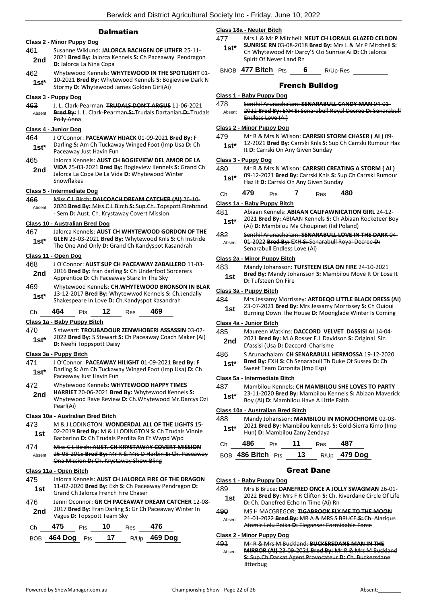## **Dalmatian**

|               | <b>Class 2 - Minor Puppy Dog</b>                                                                                                                                            |
|---------------|-----------------------------------------------------------------------------------------------------------------------------------------------------------------------------|
| 461<br>2nd    | Susanne Wiklund: JALORCA BACHGEN OF UTHER 25-11-<br>2021 Bred By: Jalorca Kennels S: Ch Paceaway Pendragon<br>D: Jalorca La Nina Copa                                       |
| 462<br>1st*   | Whytewood Kennels: WHYTEWOOD IN THE SPOTLIGHT 01-<br>10-2021 Bred By: Whytewood Kennels S: Bogieview Dark N<br>Stormy D: Whytewood James Golden Girl(Ai)                    |
|               |                                                                                                                                                                             |
| 463           | <u> Class 3 - Puppy Dog</u><br>J. L. Clark-Pearman: TRUDALS DON'T ARGUE 11-06-2021                                                                                          |
| Absent        | Bred By: J. L. Clark Pearman S: Trudals Dartanian D: Trudals<br>Polly Anna                                                                                                  |
|               | <u>Class 4 - Junior Dog</u>                                                                                                                                                 |
| 464<br>$1st*$ | J O'Connor: PACEAWAY HIJACK 01-09-2021 Bred By: F<br>Darling S: Am Ch Tuckaway Winged Foot (Imp Usa D: Ch<br>Paceaway Just Havin Fun                                        |
| 465<br>2nd    | Jalorca Kennels: AUST CH BOGIEVIEW DEL AMOR DE LA<br>VIDA 25-03-2021 Bred By: Bogieview Kennels S: Grand Ch<br>Jalorca La Copa De La Vida D: Whytewood Winter<br>Snowflakes |
|               | Class 5 - Intermediate Dog                                                                                                                                                  |
| 466<br>Absent | Miss C L Birch: DALCOACH DREAM CATCHER (AI) 26-10-<br>2020 Bred By: Miss C L Birch S: Sup.Ch. Topspott Firebrand<br>-Sem D: Aust. Ch. Krystaway Covert Mission              |
|               | <b>Class 10 - Australian Bred Dog</b>                                                                                                                                       |
| 467           | Jalorca Kennels: AUST CH WHYTEWOOD GORDON OF THE                                                                                                                            |
| $1st^*$       | GLEN 23-03-2021 Bred By: Whytewood Knls S: Ch Instride<br>The One And Only D: Grand Ch Kandyspot Kasandrah                                                                  |
|               | Class 11 - Open Dog                                                                                                                                                         |
| 468           | J O'Connor: AUST SUP CH PACEAWAY ZABALLERO 11-03-<br>2016 Bred By: fran darling S: Ch Underfoot Sorcerers                                                                   |
| 2nd           | Apprentice D: Ch Paceaway Starz In The Sky                                                                                                                                  |
| 469<br>1st*   | Whytewood Kennels: CH.WHYTEWOOD BRONSON IN BLAK<br>13-12-2017 Bred By: Whytewwod Kennels S: Ch.Jendally<br>Shakespeare In Love D: Ch.Kandyspot Kasandrah                    |
| Сh            | 464<br>12<br>469<br>Pts<br>Res                                                                                                                                              |
|               | Class 1a - Baby Puppy Bitch                                                                                                                                                 |
| 470<br>1st*   | S stweart: TROUBADOUR ZENWHOBERI ASSASSIN 03-02-<br>2022 Bred By: S Stewart S: Ch Paceaway Coach Maker (Ai)<br>D: Neehi Toppspott Daisy                                     |
|               | <u> Class 3a - Puppy Bitch</u>                                                                                                                                              |
| 471           | J O'Connor: PACEAWAY HILIGHT 01-09-2021 Bred By: F                                                                                                                          |
| 1st*          | Darling S: Am Ch Tuckaway Winged Foot (Imp Usa) D: Ch<br>Paceaway Just Havin Fun                                                                                            |
| 472           | Whytewood Kennels: WHYTEWOOD HAPPY TIMES<br>HARRIET 20-06-2021 Bred By: Whytewood Kennels S:                                                                                |
| 2nd           | Whytewood Rave Review D: Ch. Whytewood Mr. Darcys Ozi<br>Pearl(Ai)                                                                                                          |
|               | Class 10a - Australian Bred Bitch                                                                                                                                           |
| 473           | M & J LODINGTON: WONDERDAL ALL OF THE LIGHTS 15-                                                                                                                            |
| 1st           | 02-2019 Bred By: M & J LODINGTON S: Ch Trudals Vinnie<br>Barbarino D: Ch Trudals Perdita Rn Et Wwpd Wpd                                                                     |
| 474<br>Absent | Miss C L Birch: AUST. CH KRYSTAWAY COVERT MISSION<br>26 08 2015 Bred By: Mr R & Mrs D Harbin S: Ch. Paceaway<br>Ona Mission D: Ch. Krystaway Show Bling                     |
|               | Class 11a - Open Bitch                                                                                                                                                      |
| 475<br>1st    | Jalorca Kennels: AUST CH JALORCA FIRE OF THE DRAGON<br>11-02-2020 Bred By: Exh S: Ch Paceaway Pendragon D:<br>Grand Ch Jalorca French Fire Chaser                           |
| 476           | Jenni Oconnor: GR CH PACEAWAY DREAM CATCHER 12-08-                                                                                                                          |
| 2nd           | 2017 Bred By: Fran Darling S: Gr Ch Paceaway Winter In<br>Vagus D: Topspott Team Sky                                                                                        |
| Сh            | 475<br>10<br>476<br><b>Res</b><br>Pts                                                                                                                                       |
| <b>BOB</b>    | 17<br>R/Up 469 Dog<br>464 Dog<br>Pts                                                                                                                                        |

## **Class 18a - Neuter Bitch**

477 Mrs L & Mr P Mitchell: **NEUT CH LORAUL GLAZED CELDON** 

- **SUNRISE RN** 03-08-2018 **Bred By:** Mrs L & Mr P Mitchell **S:**  Ch Whytewood Mr Darcy'S Ozi Sunrise Ai **D:** Ch Jalorca Spirit Of Never Land Rn **1st\***
- BNOB **477 Bitch** Pts **6** R/Up-Res

## French Bulldog

## **Class 1 - Baby Puppy Dog**

- 478 Senthil Arunachalam: **SENARABULL CANDY MAN** 04-01-
- 2022 **Bred By:** EXH **S:** Senarabull Royal Decree **D:** Senarabull Endless Love (Ai) Absent

## **Class 2 - Minor Puppy Dog**

479 Mr R & Mrs N Wilson: **CARRSKI STORM CHASER ( AI )** 09- 12-2021 **Bred By:** Carrski Knls **S:** Sup Ch Carrski Rumour Haz **1st**\* Let 2021 **Drea by:** Carriski Knis **5:** Step 1: 0: Carriski On Any Given Sunday

#### **Class 3 - Puppy Dog**

- 480 Mr R & Mrs N Wilson: **CARRSKI CREATING A STORM ( AI )**
	- 09-12-2021 **Bred By:** Carrski Knls **S:** Sup Ch Carrski Rumour 1st\* U<sub>2</sub>-12-2021 **Brea By:** Carrski Knis S: Sulpher Star Haz It **D:** Carrski On Any Given Sunday

| .79 |  | ĸes | 480 |
|-----|--|-----|-----|
|     |  |     |     |

## **Class 1a - Baby Puppy Bitch**

481 Abiaan Kennels: **ABIAAN CALIFAWNICATION GIRL** 24-12- 2021 **Bred By:** ABIAAN Kennels **S:** Ch Abiaan Rocketeer Boy (Ai) **D:** Mambilou Ma Choupinet (Iid Poland) **1st\***

482 Senthil Arunachalam: **SENARABULL LOVE IN THE DARK** 04- 01-2022 **Bred By:** EXH **S:** Senarabull Royal Decree **D:**  Senarabull Endless Love (Ai) Absent

#### **Class 2a - Minor Puppy Bitch**

| 483 | Mandy Johansson: TUFSTEEN ISLA ON FIRE 24-10-2021       |
|-----|---------------------------------------------------------|
| 1st | Bred By: Mandy Johansson S: Mambilou Move It Or Lose It |
|     | <b>D:</b> Tufsteen On Fire                              |

#### **Class 3a - Puppy Bitch**

#### 484 Mrs Jessamy Morrissey: **ARTDEQO LITTLE BLACK DRESS (AI)**

| 1st | 23-07-2021 Bred By: Mrs Jessamy Morrissey S: Ch Ouioui |
|-----|--------------------------------------------------------|
|     | Burning Down The House D: Moonglade Winter Is Coming   |

#### **Class 4a - Junior Bitch**

- 485 Maureen Watkins: **DACCORD VELVET DASSISI AI** 14-04-
- 2021 **Bred By:** M.A Rosser E.L Davidson **S:** Original Sin **2nd D'assisi (Usa <b>D:** Daccord Charisme
- 486 S Arunachalam: **CH SENARABULL HERMOSSA** 19-12-2020 **Bred By:** EXH **S:** Ch Senarabull Th Duke Of Sussex **D:** Ch **1st\*** Brea By: EXH S: Ch Senarabull I<br>Sweet Team Coronita (Imp Esp)

#### **Class 5a - Intermediate Bitch**

- 487 Mambilou Kennels: **CH MAMBILOU SHE LOVES TO PARTY**
	- 23-11-2020 **Bred By:** Mambilou Kennels **S:** Abiaan Maverick **1st** 23-11-2020 **Bred By:** Mambilou Kenneis<br>Boy (Ai) **D:** Mambilou Have A Little Faith

#### **Class 10a - Australian Bred Bitch**

| 488<br>$1st*$ |     | Mandy Johansson: MAMBILOU IN MONOCHROME 02-03-<br>2021 Bred By: Mambilou kennels S: Gold-Sierra Kimo (Imp<br>Hun) D: Mambilou Zany Zendaya |    |            |     |  |  |  |
|---------------|-----|--------------------------------------------------------------------------------------------------------------------------------------------|----|------------|-----|--|--|--|
| Ch            | 486 | <b>Pts</b>                                                                                                                                 | 11 | <b>Res</b> | 487 |  |  |  |

| BOB 486 Bitch Pts | 13 | R/Up 479 Dog |
|-------------------|----|--------------|
|                   |    |              |

## Great Dane

**Class 1 - Baby Puppy Dog**

489 Mrs B Bruce: **DANEFRED ONCE A JOLLY SWAGMAN** 26-01- 2022 **Bred By:** Mrs F R Clifton **S:** Ch. Riverdane Circle Of Life **1st** 2022 **Brea By:** IVITS F R CITTON **3:** Cn. **1**<br>**1st D:** Ch. Danefred Echo In Time (Ai) Rn

#### 490 MS H MACGREGOR: **TIGABROOK FLY ME TO THE MOON**

21-01-2022 **Bred By:** MR A & MRS S BRUCE **S:** Ch. Alariqus Atomic Lelu Poika **D:** Eleganser Formidable Force Absent

#### **Class 2 - Minor Puppy Dog**

491 Mr R & Mrs M Buckland: **BUCKERSDANE MAN IN THE MIRROR (AI)** 23-09-2021 **Bred By:** Mr R & Mrs M Buckland **S:** Sup.Ch.Darkat Agent Provocateur **D:** Ch. Buckersdane **Jitterbug** Absent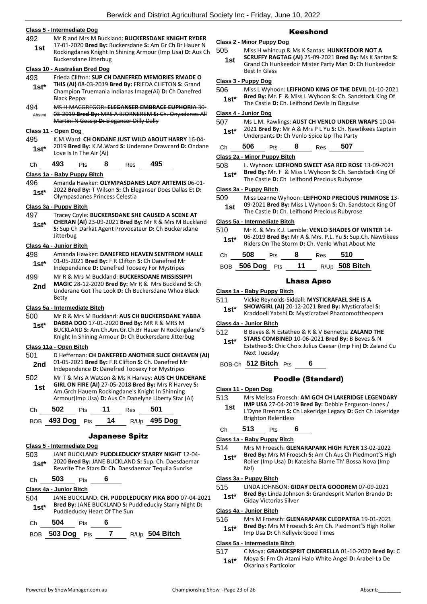## **Class 5 - Intermediate Dog**

- 492 Mr R and Mrs M Buckland: **BUCKERSDANE KNIGHT RYDER**
	- 17-01-2020 **Bred By:** Buckersdane **S:** Am Gr Ch Br Hauer N Rockingdanes Knight In Shining Armour (Imp Usa) **D:** Aus Ch Buckersdane Jitterbug **1st**

## **Class 10 - Australian Bred Dog**

- 493 Frieda Clifton: **SUP CH DANEFRED MEMORIES RMADE O THIS (AI)** 08-03-2019 **Bred By:** FRIEDA CLIFTON **S:** Grand **1st\***
- Champion Truemania Indianas Image(Ai) **D:** Ch Danefred Black Peppa 494 MS H MACGREGOR: **ELEGANSER EMBRACE EUPHORIA** 30-
- 03-2019 **Bred By:** MRS A BJORNEREM **S:** Ch. Onyxdanes All Martini N Gossip **D:** Eleganser Dilly Dally Absent

## **Class 11 - Open Dog**

- 495 K.M.Ward: **CH ONDANE JUST WILD ABOUT HARRY** 16-04- 2019 **Bred By:** K.M.Ward **S:** Underane Drawcard **D:** Ondane **1st**\*  $2019$  **Brea By:** K.M.W.<br>Love Is In The Air (Ai)
- Ch **493** Pts **8** Res **495**

#### **Class 1a - Baby Puppy Bitch**

496 Amanda Hawker: **OLYMPASDANES LADY ARTEMIS** 06-01- 2022 **Bred By:** T Wilson **S:** Ch Eleganser Does Dallas Et **D:**  1st\* <sup>2022</sup> Brea By: I Wilson S: Ch Ele<br>Olympasdanes Princess Celestia

## **Class 3a - Puppy Bitch**

- 497 Tracey Coyle: **BUCKERSDANE SHE CAUSED A SCENE AT**
- **CHERAN (AI)** 23-09-2021 **Bred By:** Mr R & Mrs M Buckland **S:** Sup Ch Darkat Agent Provocateur **D:** Ch Buckersdane **Jitterbug 1st\***

#### **Class 4a - Junior Bitch**

- 498 Amanda Hawker: **DANEFRED HEAVEN SENTFROM HALLE** 01-05-2021 **Bred By:** F R Clifton **S:** Ch Danefred Mr **1st**\* UL-05-2021 Bred By: F R Clifton S: Ch Danefred Mr<br>Independence D: Danefred Toosexy For Mystripes
- 499 Mr R & Mrs M Buckland: **BUCKERSDANE MISSISSIPPI MAGIC** 28-12-2020 **Bred By:** Mr R & Mrs Buckland **S:** Ch Underane Got The Look **D:** Ch Buckersdane Whoa Black Betty **2nd**

#### **Class 5a - Intermediate Bitch**

- 500 Mr R & Mrs M Buckland: **AUS CH BUCKERSDANE YABBA**
- **DABBA DOO** 17-01-2020 **Bred By:** MR R & MRS M BUCKLAND **S:** Am.Ch.Am.Gr.Ch.Br Hauer N Rockingdane'S Knight In Shining Armour **D:** Ch Buckersdane Jitterbug **1st\***

## **Class 11a - Open Bitch**

- 501 D Heffernan: **CH DANEFRED ANOTHER SLICE OHEAVEN (AI)** 01-05-2021 **Bred By:** F.R.Clifton **S:** Ch. Danefred Mr 2nd UI-U<sub>2</sub>-2021 Brea By: F.R.Clifton S: Cn. Danefred M<br>Independence D: Danefred Toosexy For Mystripes
- 502 Mr T & Mrs A Watson & Ms R Harvey: **AUS CH UNDERANE GIRL ON FIRE (AI)** 27-05-2018 **Bred By:** Mrs R Harvey **S:**  Am.Grch Hauern Rockingdane's Knight In Shinning Armour(Imp Usa) **D:** Aus Ch Danelyne Liberty Star (Ai) **1st**

| Ch $502$ Pts       | $-11$ | Res <b>501</b> |                     |
|--------------------|-------|----------------|---------------------|
| BOB 493 Dog Pts 14 |       |                | R/Up <b>495 Dog</b> |

#### Japanese Spitz

#### **Class 5 - Intermediate Dog**

- 503 JANE BUCKLAND: **PUDDLEDUCKY STARRY NIGHT** 12-04- 2020 **Bred By:** JANE BUCKLAND **S:** Sup. Ch. Daesdaemar 1st\* 2020 Brea By: JANE BUCKLAND S: Sup. Ch. Daesdaem<br>Rewrite The Stars D: Ch. Daesdaemar Tequila Sunrise
- Ch **503** Pts **6**

## **Class 4a - Junior Bitch**

- 504 JANE BUCKLAND: **CH. PUDDLEDUCKY PIKA BOO** 07-04-2021 **Bred By:** JANE BUCKLAND **S:** Puddleducky Starry Night **D: 1st\*** Bred By: JANE BUCKLAND S: Puddleducky Heart Of The Sun
- Ch **504** Pts **6**
- BOB **503 Dog** Pts **7** R/Up **504 Bitch**

## Keeshond

## **Class 2 - Minor Puppy Dog**

- 505 Miss H whincup & Ms K Santas: **HUNKEEDOIR NOT A SCRUFFY RAGTAG (AI)** 25-09-2021 **Bred By:** Ms K Santas **S: 1st**
	- Grand Ch Hunkeedoir Mister Party Man **D:** Ch Hunkeedoir Best In Glass

## **Class 3 - Puppy Dog**

- 506 Miss L Wyhoon: **LEIFHOND KING OF THE DEVIL** 01-10-2021 **Bred By:** Mr. F & Miss L Wyhoon **S:** Ch. Sandstock King Of
	- **1st\*** Bred By: Mr. F & Miss L Wynoon S: Ch. Sand<br>The Castle D: Ch. Leifhond Devils In Disguise

## **Class 4 - Junior Dog**

507 Ms L.M. Rawlings: **AUST CH VENLO UNDER WRAPS** 10-04- 2021 **Bred By:** Mr A & Mrs P L Yu **S:** Ch. Nawtikees Captain **1st**\* 2021 **Bred By:** Mr A & Mrs P L Yu **S:** Ch. Naw<br>Underpants **D:** Ch Venlo Spice Up The Party

| Ch | 506 | Pts | Res | 507 |
|----|-----|-----|-----|-----|
|    |     |     |     |     |

#### **Class 2a - Minor Puppy Bitch**

- 508 L. Wyhoon: **LEIFHOND SWEET ASA RED ROSE** 13-09-2021
- **Bred By:** Mr. F & Miss L Wyhoon **S:** Ch. Sandstock King Of
	- **1st**\* Brea By: Mr. F & Miss L wynoon S: Ch. Sands<br>The Castle D: Ch Leifhond Precious Rubyrose

#### **Class 3a - Puppy Bitch**

- 509 Miss Leanne Wyhoon: **LEIFHOND PRECIOUS PRIMROSE** 13-
	- 09-2021 **Bred By:** Miss L Wyhoon **S:** Ch. Sandstock King Of **1st** U9-2021 **Bred By:** MISS L Wynoon S: Ch. Sands<br>The Castle **D:** Ch. Leifhond Precious Rubyrose

#### **Class 5a - Intermediate Bitch**

- 510 Mr K. & Mrs K.J. Lamble: **VENLO SHADES OF WINTER** 14- 06-2019 **Bred By:** Mr A & Mrs. P.L. Yu **S:** Sup.Ch. Nawtikees
- **1st**\* Ub-2019 **Bred By:** Mr A & Mrs. P.L. Yu S: Sup.Cn. Ni<br>Riders On The Storm **D:** Ch. Venlo What About Me

| Ch $508$ Pts       | 8 | Res 510          |
|--------------------|---|------------------|
| BOB 506 Dog Pts 11 |   | $R/Up$ 508 Bitch |

## Lhasa Apso

#### **Class 1a - Baby Puppy Bitch**

- 511 Vickie Reynolds-Siddall: **MYSTICRAFAEL SHE IS A**
- **SHOWGIRL (AI)** 20-12-2021 **Bred By:** Mysticrafael **S: 1st\*** SHOWGIKL (AI) 20-12-2021 Brea By: Mysticrafael S:<br>**1st\*** Kraddoell Yabshi D: Mysticrafael Phantomoftheopera

## **Class 4a - Junior Bitch**

- 512 B Beves & N Estatheo & R & V Bennetts: **ZALAND THE STARS COMBINED** 10-06-2021 **Bred By:** B Beves & N Estatheo **S:** Chic Choix Julius Caesar (Imp Fin) **D:** Zaland Cu Next Tuesday **1st\***
- BOB-Ch **512 Bitch** Pts **6**

## Poodle (Standard)

- **Class 11 - Open Dog**
- 513 Mrs Melissa Froesch: **AM GCH CH LAKERIDGE LEGENDARY** 
	- **IMP USA** 27-04-2019 **Bred By:** Debbie Ferguson-Jones / L'Dyne Brennan **S:** Ch Lakeridge Legacy **D:** Gch Ch Lakeridge Brighton Relentless **1st**

## Ch **513** Pts **6**

#### **Class 1a - Baby Puppy Bitch**

514 Mrs M Froesch: **GLENARAPARK HIGH FLYER** 13-02-2022 **Bred By:** Mrs M Froesch **S:** Am Ch Aus Ch Piedmont'S High Roller (Imp Usa) **D:** Kateisha Blame Th' Bossa Nova (Imp Nzl) **1st\***

#### **Class 3a - Puppy Bitch**

- 515 LINDA JOHNSON: **GIDAY DELTA GOODREM** 07-09-2021
	- **Bred By:** Linda Johnson **S:** Grandesprit Marlon Brando **D: 1st\* Bred By:** Linda Johnse<br>Giday Victorias Silver

#### **Class 4a - Junior Bitch**

- 516 Mrs M Froesch: **GLENARAPARK CLEOPATRA** 19-01-2021
	- **Bred By:** Mrs M Froesch **S:** Am Ch. Piedmont'S High Roller
	- **1st\* Brea By:** Mrs M Froesch S: Am Ch.<br>Imp Usa **D:** Ch Kellyvix Good Times

## **Class 5a - Intermediate Bitch**

517 C Moya: **GRANDESPRIT CINDERELLA** 01-10-2020 **Bred By:** C Moya **S:** Frn Ch Atami Halo White Angel **D:** Arabel-La De **1st**\* Moya S: Frn Ch Atar<br>Okarina's Particolor

- -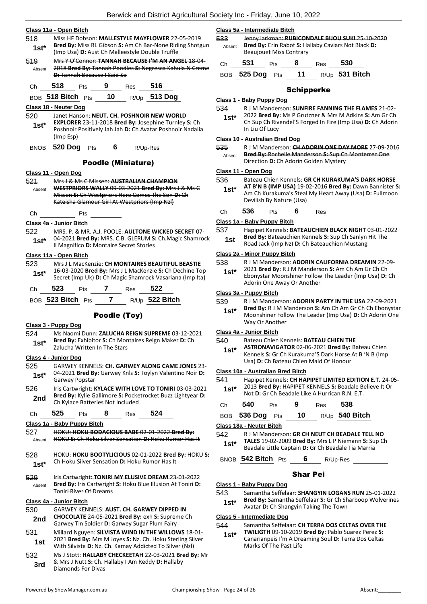- **Class 11a - Open Bitch** 518 Miss HF Dobson: **MALLESTYLE MAYFLOWER** 22-05-2019 **Bred By:** Miss RL Gibson **S:** Am Ch Bar-None Riding Shotgun **1st\*** Brea By: MISS RL GIDSON S: Am Ch Bar-None Rid<br>(Imp Usa) D: Aust Ch Malleestyle Double Truffle 519 Mrs Y O'Connor: **TANNAH BECAUSE I'M AN ANGEL** 18-04- 2018 **Bred By:** Tannah Poodles **S:** Negresca Kahula N Creme **D:** Tannah Because I Said So Absent Ch **518** Pts **9** Res **516** BOB **518 Bitch** Pts **10** R/Up **513 Dog Class 18 - Neuter Dog** 520 Janet Hanson: **NEUT. CH. POSHNOIR NEW WORLD EXPLORER** 23-11-2018 **Bred By:** Josephine Turnley **S:** Ch Poshnoir Positively Jah Jah **D:** Ch Avatar Poshnoir Nadalia (Imp Esp) **1st\*** BNOB **520 Dog** Pts **6** R/Up-Res Poodle (Miniature) **Class 11 - Open Dog** 521 Mrs J & Ms C Missen: **AUSTRALIAN CHAMPION WESTPRIORS WALLY** 09-03-2021 **Bred By:** Mrs J & Ms C Missen **S:** Ch Westpriors Here Comes The Son **D:** Ch Kateisha Glamour Girl At Westpriors (Imp Nzl) Absent Ch Pts **Class 4a - Junior Bitch** 522 MRS. P. & MR. A.J. POOLE: **AULTONE WICKED SECRET** 07- 04-2021 **Bred By:** MRS. C.B. GLERUM **S:** Ch.Magic Shamrock Il Magnifico **D:** Montaire Secret Stories **1st\* Class 11a - Open Bitch** 523 Mrs J L MacKenzie: **CH MONTAIRES BEAUTIFUL BEASTIE** 16-03-2020 **Bred By:** Mrs J L MacKenzie **S:** Ch Dechine Top Secret (Imp Uk) **D:** Ch Magic Shamrock Vasariana (Imp Ita) **1st\*** Ch **523** Pts **7** Res **522** BOB **523 Bitch** Pts **7** R/Up **522 Bitch** Poodle (Toy) **Class 3 - Puppy Dog** 524 Ms Naomi Dunn: **ZALUCHA REIGN SUPREME** 03-12-2021 **Bred By:** Exhibitor **S:** Ch Montaires Reign Maker **D:** Ch **1st\* died by:** Exhibitor **5:** Ch More **1st\* 1st\* 1st\* 1st\* 1st\* 1st\* 1st\* 1st\* 1st\* 1st\* 1st\* 1st\* 1st\* 1st\* 1st\* 1st\* 1st\* 1st\* 1st\* 1st\* 1st\* 1st\* 1st\* 1st\* 1st\* 1st\* Class 4 - Junior Dog** 525 GARWEY KENNELS: **CH. GARWEY ALONG CAME JONES** 23- 04-2021 **Bred By:** Garwey Knls **S:** Toylyn Valentino Noir **D:**  Garwey Popstar **1st\*** 526 Iris Cartwright: **KYLACE WITH LOVE TO TONIRI** 03-03-2021 **Bred By:** Kylie Gallimore **S:** Pocketrocket Buzz Lightyear **D: 2nd** Brea By: Kylle Gallimore S: Pocke<br>Ch Kylace Batteries Not Included Ch **525** Pts **8** Res **524 Class 1a - Baby Puppy Bitch** 527 HOKU: **HOKU BODACIOUS BABE** 02-01-2022 **Bred By:** Absent HOKU **S:** Ch Hoku Silver Sensation **D:** Hoku Rumor Has It 528 HOKU: **HOKU BOOTYLICIOUS** 02-01-2022 **Bred By:** HOKU **S:**  Ch Hoku Silver Sensation **D:** Hoku Rumor Has It **1st\*** 529 Iris Cartwright: **TONIRI MY ELUSIVE DREAM** 23-01-2022 **Bred By:** Iris Cartwright **S:** Hoku Blue Illusion At Toniri **D:**  Toniri River Of Dreams Absent **Class 4a - Junior Bitch** 530 GARWEY KENNELS: **AUST. CH. GARWEY DIPPED IN CHOCOLATE** 24-05-2021 **Bred By:** exh **S:** Supreme Ch 2nd CHOCOLATE 24-05-2021 Brea By: exn S: Suprer<br>Garwey Tin Soldier D: Garwey Sugar Plum Fairy
- 531 Millard Nguyen: **SILVISTA WIND IN THE WILLOWS** 18-01- 2021 **Bred By:** Mrs M Joyes **S:** Nz. Ch. Hoku Sterling Silver **1st** 2021 **Bred By:** Mrs M Joyes S: Nz. Ch. Hoku Sterling Sil With Silvista **D:** Nz. Ch. Kamay Addicted To Silver (Nzl)
- 532 Ms J Stott: **HALLABY CHECKEETAH** 22-03-2021 **Bred By:** Mr & Mrs J Nutt **S:** Ch. Hallaby I Am Reddy **D:** Hallaby **3rd** & MITS J NUTT S: Ch. For Divas

|               | Class 5a - Intermediate Bitch                                                                                                                    |            |    |     |                  |  |  |
|---------------|--------------------------------------------------------------------------------------------------------------------------------------------------|------------|----|-----|------------------|--|--|
| 533<br>Absent | Jenny larkman: RUBICONDALE BIJOU SUKI 25 10 2020<br><b>Bred By:</b> Erin Rabot S: Hallaby Caviars Not Black D:<br><b>Beaujouet Miss Contrary</b> |            |    |     |                  |  |  |
| Сh            | 531                                                                                                                                              | Pts        |    | Res | 530              |  |  |
| ROB           | 525 Dog                                                                                                                                          | <b>Pts</b> | 11 |     | $R/Up$ 531 Bitch |  |  |

## Schipperke

#### **Class 1 - Baby Puppy Dog**

534 R J M Manderson: **SUNFIRE FANNING THE FLAMES** 21-02-

2022 **Bred By:** Ms P Grutzner & Mrs M Adkins **S:** Am Gr Ch Ch Sup Ch Rivendel'S Forged In Fire (Imp Usa) **D:** Ch Adorin In Liu Of Lucy **1st\***

#### **Class 10 - Australian Bred Dog**

535 R J M Manderson: **CH ADORIN ONE DAY MORE** 27-09-2016 **Bred By:** Rochelle Manderson **S:** Sup Ch Monterrez One Direction **D:** Ch Adorin Golden Mystery Absent

#### **Class 11 - Open Dog**

- 536 Bateau Chien Kennels: **GR CH KURAKUMA'S DARK HORSE** 
	- **AT B'N B (IMP USA)** 19-02-2016 **Bred By:** Dawn Bannister **S:**  Am Ch Kurakuma's Steal My Heart Away (Usa) **D:** Fullmoon Devilish By Nature (Usa) **1st\***
- Ch **536** Pts **6** Res

## **Class 1a - Baby Puppy Bitch**

- 537 Hapipet Kennels: **BATEAUCHIEN BLACK NIGHT** 03-01-2022
- **Bred By:** Bateauchien Kennels **S:** Sup Ch Sanlyn Hit The **1st Bred By:** Bateauchien Kennels S: Sup Ch Sanlyn<br>Road Jack (Imp Nz) D: Ch Bateauchien Mustang

## **Class 2a - Minor Puppy Bitch**

- 538 R J M Manderson: **ADORIN CALIFORNIA DREAMIN** 22-09-
	- 2021 **Bred By:** R J M Manderson **S:** Am Ch Am Gr Ch Ch Ebonystar Moonshiner Follow The Leader (Imp Usa) **D:** Ch Adorin One Away Or Another **1st\***

#### **Class 3a - Puppy Bitch**

- 539 R J M Manderson: **ADORIN PARTY IN THE USA** 22-09-2021
	- **Bred By:** R J M Manderson **S:** Am Ch Am Gr Ch Ch Ebonystar Moonshiner Follow The Leader (Imp Usa) **D:** Ch Adorin One Way Or Another **1st\***

## **Class 4a - Junior Bitch**

#### 540 Bateau Chien Kennels: **BATEAU CHIEN THE**

**ASTRONAVIGATOR** 02-06-2021 **Bred By:** Bateau Chien Kennels **S:** Gr Ch Kurakuma'S Dark Horse At B 'N B (Imp Usa) **D:** Ch Bateau Chien Maid Of Honour **1st\***

#### **Class 10a - Australian Bred Bitch**

541 Hapipet Kennels: **CH HAPIPET LIMITED EDITION E.T.** 24-05- 2013 **Bred By:** HAPIPET KENNELS **S:** Beadale Believe It Or **1st**\* 2013 Bred By: HAPIPET KENNELS **S**: Beadale Beatle Bill Not **D**: Gr Ch Beadale Like A Hurrican R.N. E.T. Ch **540** Pts **9** Res **538** BOB **536 Dog** Pts **10** R/Up **540 Bitch**

#### **Class 18a - Neuter Bitch**

542 R J M Manderson: **GR CH NEUT CH BEADALE TELL NO TALES** 19-02-2009 **Bred By:** Mrs L P Niemann **S:** Sup Ch Beadale Little Captain **D:** Gr Ch Beadale Tia Marria **1st\***

## BNOB **542 Bitch** Pts **6** R/Up-Res

#### Shar Pei

- **Class 1 - Baby Puppy Dog**
- 543 Samantha Seffelaar: **SHANGYIN LOGANS RUN** 25-01-2022 **Bred By:** Samantha Seffelaar **S:** Gr Ch Sharboop Wolverines
- Avatar **D:** Ch Shangyin Taking The Town **1st\***

## **Class 5 - Intermediate Dog**

## 544 Samantha Seffelaar: **CH TERRA DOS CELTAS OVER THE**

**TWILIGTH** 09-10-2019 **Bred By:** Pablo Suarez Perez **S:**  Canarianpeis I'm A Dreaming Soul **D:** Terra Dos Celtas Marks Of The Past Life **1st\***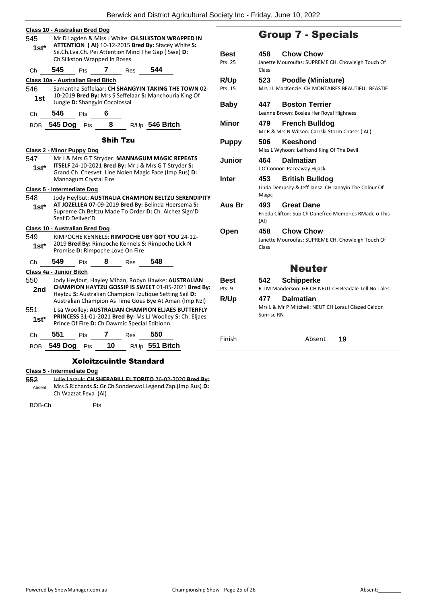| <b>Class 10 - Australian Bred Dog</b><br>545                                                                                                                                    |                                                                                                                                        | Mr D Lagden & Miss J White: CH.SILKSTON WRAPPED IN                                                                               |    | <b>Group</b> |                                                                                                                                                               |                            |                         |                        |  |
|---------------------------------------------------------------------------------------------------------------------------------------------------------------------------------|----------------------------------------------------------------------------------------------------------------------------------------|----------------------------------------------------------------------------------------------------------------------------------|----|--------------|---------------------------------------------------------------------------------------------------------------------------------------------------------------|----------------------------|-------------------------|------------------------|--|
| $1st*$                                                                                                                                                                          |                                                                                                                                        | Ch.Silkston Wrapped In Roses                                                                                                     |    |              | ATTENTION (AI) 10-12-2015 Bred By: Stacey White S:<br>Se.Ch.Lva.Ch. Pei Attention Mind The Gap (Swe) D:                                                       | Best<br>Pts: 25            | 458                     | Cho<br>Janette Mourou  |  |
| Ch                                                                                                                                                                              | 545                                                                                                                                    | Pts                                                                                                                              | 7  | Res          | 544                                                                                                                                                           |                            | Class                   |                        |  |
| Class 10a - Australian Bred Bitch                                                                                                                                               |                                                                                                                                        |                                                                                                                                  |    |              |                                                                                                                                                               | R/Up                       | 523                     | Poo                    |  |
| 546<br>Samantha Seffelaar: CH SHANGYIN TAKING THE TOWN 02-<br>10-2019 Bred By: Mrs S Seffelaar S: Manchouria King Of<br>1st                                                     |                                                                                                                                        |                                                                                                                                  |    |              |                                                                                                                                                               | Pts: 15                    | Mrs J L MacKenz         |                        |  |
|                                                                                                                                                                                 |                                                                                                                                        | Jungle D: Shangyin Cocolossal                                                                                                    |    |              |                                                                                                                                                               | <b>Baby</b>                | 447                     | <b>Bost</b>            |  |
| Ch                                                                                                                                                                              | 546                                                                                                                                    | <b>Pts</b>                                                                                                                       | 6  |              |                                                                                                                                                               |                            |                         | Leanne Brown: E        |  |
| <b>BOB</b>                                                                                                                                                                      | 545 Dog                                                                                                                                | Pts                                                                                                                              | 8  |              | R/Up 546 Bitch                                                                                                                                                | Minor                      | 479                     | Fren<br>Mr R & Mrs N W |  |
| <b>Shih Tzu</b><br>Class 2 - Minor Puppy Dog                                                                                                                                    |                                                                                                                                        |                                                                                                                                  |    |              |                                                                                                                                                               | <b>Puppy</b>               | 506                     | Kee:<br>Miss L Wyhoon: |  |
| 547<br>1st*                                                                                                                                                                     |                                                                                                                                        |                                                                                                                                  |    |              | Mr J & Mrs G T Stryder: MANNAGUM MAGIC REPEATS<br>ITSELF 24-10-2021 Bred By: Mr J & Mrs G T Stryder S:<br>Grand Ch Chesvet Line Nolen Magic Face (Imp Rus) D: | Junior                     | 464<br>J O'Connor: Pace | Daln                   |  |
| Class 5 - Intermediate Dog                                                                                                                                                      |                                                                                                                                        | Mannagum Crystal Fire                                                                                                            |    |              |                                                                                                                                                               | Inter                      | 453                     | Briti<br>Linda Dempsey |  |
| 548                                                                                                                                                                             |                                                                                                                                        |                                                                                                                                  |    |              | Jody Heylbut: AUSTRALIA CHAMPION BELTZU SERENDIPITY                                                                                                           |                            | Magic                   |                        |  |
| 1st*                                                                                                                                                                            |                                                                                                                                        | AT JOZELLEA 07-09-2019 Bred By: Belinda Heersema S:<br>Supreme Ch. Beltzu Made To Order D: Ch. Alchez Sign'D<br>Seal'D Deliver'D |    | Aus Br       | 493<br>(AI)                                                                                                                                                   | Grea<br>Frieda Clifton: Su |                         |                        |  |
| Class 10 - Australian Bred Dog                                                                                                                                                  |                                                                                                                                        |                                                                                                                                  |    |              |                                                                                                                                                               | Open                       | 458                     | Cho                    |  |
| 549<br>$1st*$                                                                                                                                                                   | RIMPOCHE KENNELS: RIMPOCHE UBY GOT YOU 24-12-<br>2019 Bred By: Rimpoche Kennels S: Rimpoche Lick N<br>Promise D: Rimpoche Love On Fire |                                                                                                                                  |    |              |                                                                                                                                                               |                            | Janette Mourou<br>Class |                        |  |
| Ch                                                                                                                                                                              | 549                                                                                                                                    | Pts                                                                                                                              |    | Res          | 548                                                                                                                                                           |                            |                         |                        |  |
| Class 4a - Junior Bitch                                                                                                                                                         |                                                                                                                                        |                                                                                                                                  |    |              |                                                                                                                                                               |                            |                         |                        |  |
| 550                                                                                                                                                                             | Jody Heylbut, Hayley Mihan, Robyn Hawke: <b>AUSTRALIAN</b>                                                                             |                                                                                                                                  |    |              |                                                                                                                                                               | Best                       | 542                     | Schi                   |  |
| CHAMPION HAYTZU GOSSIP IS SWEET 01-05-2021 Bred By:<br>2nd<br>Haytzu S: Australian Champion Tzutique Setting Sail D:<br>Australian Champion As Time Goes Bye At Amari (Imp Nzl) |                                                                                                                                        |                                                                                                                                  |    |              | Pts: 9<br>R/Up                                                                                                                                                | 477                        | R J M Manderso<br>Daln  |                        |  |
| 551                                                                                                                                                                             | Lisa Woolley: AUSTRALIAN CHAMPION ELJAES BUTTERFLY                                                                                     |                                                                                                                                  |    |              |                                                                                                                                                               |                            |                         | Mrs L & Mr P Mi        |  |
| 1st*                                                                                                                                                                            | Sunrise RN<br>PRINCESS 31-01-2021 Bred By: Ms LJ Woolley S: Ch. Eljaes<br>Prince Of Fire D: Ch Dawmic Special Editionn                 |                                                                                                                                  |    |              |                                                                                                                                                               |                            |                         |                        |  |
| Ch                                                                                                                                                                              | 551                                                                                                                                    | <b>Pts</b>                                                                                                                       | 7  | Res          | 550                                                                                                                                                           | Finish                     |                         |                        |  |
| BOB                                                                                                                                                                             | 549 Dog                                                                                                                                | Pts                                                                                                                              | 10 |              | R/Up 551 Bitch                                                                                                                                                |                            |                         |                        |  |

# **7 - Specials**

| Best<br>Pts: 25       | <b>Chow Chow</b><br>458<br>Janette Mouroufas: SUPREME CH. Chowleigh Touch Of<br>Class          |
|-----------------------|------------------------------------------------------------------------------------------------|
| R/Up<br>Pts: 15       | Poodle (Miniature)<br>523<br>Mrs J L MacKenzie: CH MONTAIRES BEAUTIFUL BEASTIE                 |
| <b>Baby</b>           | 447<br><b>Boston Terrier</b><br>Leanne Brown: Boslea Her Royal Highness                        |
| Minor                 | 479<br><b>French Bulldog</b><br>Mr R & Mrs N Wilson: Carrski Storm Chaser (AI)                 |
| <b>Puppy</b>          | <b>Keeshond</b><br>506<br>Miss L Wyhoon: Leifhond King Of The Devil                            |
| Junior                | <b>Dalmatian</b><br>464<br>J O'Connor: Paceaway Hijack                                         |
| Inter                 | 453<br><b>British Bulldog</b><br>Linda Dempsey & Jeff Jansz: CH Janayin The Colour Of<br>Magic |
| Aus Br                | 493<br><b>Great Dane</b><br>Frieda Clifton: Sup Ch Danefred Memories RMade o This<br>(AI)      |
| Open                  | <b>Chow Chow</b><br>458<br>Janette Mouroufas: SUPREME CH. Chowleigh Touch Of<br>Class          |
|                       | <b>Neuter</b>                                                                                  |
| <b>Best</b><br>Pts: 9 | <b>Schipperke</b><br>542<br>R J M Manderson: GR CH NEUT CH Beadale Tell No Tales               |
| R/Up                  | <b>Dalmatian</b><br>477<br>Mrs L & Mr P Mitchell: NEUT CH Loraul Glazed Celdon<br>Sunrise RN   |
| Finish                | Absent<br>19                                                                                   |

## Xoloitzcuintle Standard

## **Class 5 - Intermediate Dog**

552 Julie Laszuk: **CH SHERABILL EL TORITO** 26-02-2020 **Bred By:** Mrs S Richards **S:** Gr Ch Sonderwol Legend Zap (Imp Rus) **D:**  Absent Ch Wazzat Feva (Ai)

BOB-Ch Pts